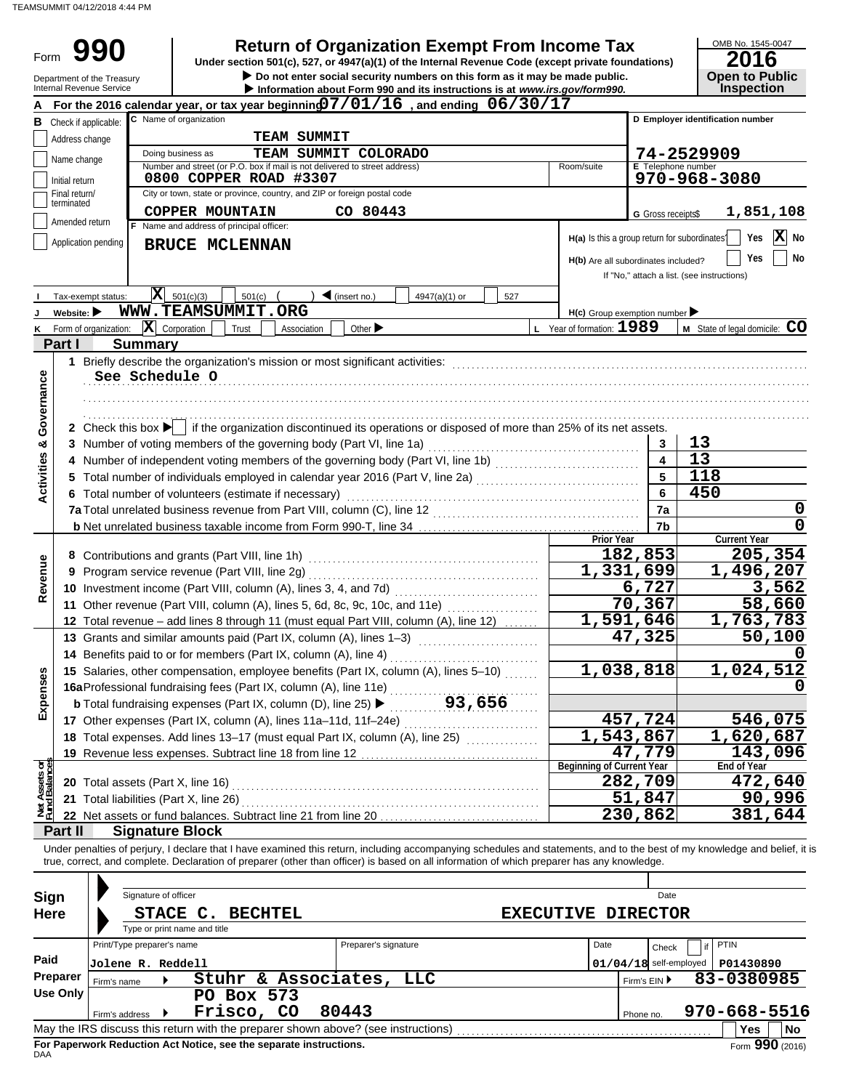Form

**Internal Revenue Service** internal Revenue Service in the **properties of the internal Revenue Service** internal Revenue Service in the **properties of the internal Revenue Service** in the **properties of the internal Reven** ▶ Do not enter social security numbers on this form as it may be made public. **Open to Public Return of Organization Exempt From Income Tax**<br>
Under section 501(c), 527, or 4947(a)(1) of the Internal Revenue Code (except private foundations)<br> **2016**<br> **2016**<br> **2016**<br> **2016**<br> **2016**<br> **2016 Under section 501(c), 527, or 4947(a)(1) of the Internal Revenue Code (except private foundations)**

OMB No. 1545-0047

| For the 2016 calendar year, or tax year beginning $07/01/16$ , and ending $06/30/17$<br>C Name of organization<br>D Employer identification number<br><b>B</b> Check if applicable:<br><b>TEAM SUMMIT</b><br>Address change<br>74-2529909<br>Doing business as<br>TEAM SUMMIT COLORADO<br>Name change<br>Number and street (or P.O. box if mail is not delivered to street address)<br>E Telephone number<br>Room/suite<br>0800 COPPER ROAD #3307<br>970-968-3080<br>Initial return<br>City or town, state or province, country, and ZIP or foreign postal code<br>Final return/<br>terminated<br><b>COPPER MOUNTAIN</b><br>CO 80443<br>1,851,108<br>G Gross receipts\$<br>Amended return<br>F Name and address of principal officer:<br>$ \mathbf{X} $ No<br>Yes<br>H(a) Is this a group return for subordinates?<br>Application pending<br>BRUCE MCLENNAN<br>Yes<br>No<br>H(b) Are all subordinates included?<br>If "No," attach a list. (see instructions)<br>$ \mathbf{X} $ 501(c)(3)<br>$\triangleleft$ (insert no.)<br>Tax-exempt status:<br>501(c)<br>527<br>$4947(a)(1)$ or<br>WWW.TEAMSUMMIT.ORG<br>Website: $\blacktriangleright$<br>$H(c)$ Group exemption number<br>Form of organization: $\ \mathbf{X}\ $ Corporation<br>L Year of formation: 1989<br>M State of legal domicile: CO<br>Other $\blacktriangleright$<br>Trust<br>Association<br>Κ<br>Part I<br><b>Summary</b><br>1 Briefly describe the organization's mission or most significant activities: www.communities.com/www.communities.com<br>Governance<br>See Schedule O<br>2 Check this box $\blacktriangleright$   if the organization discontinued its operations or disposed of more than 25% of its net assets.<br>13<br>3 Number of voting members of the governing body (Part VI, line 1a)<br><b>Activities &amp;</b><br>3<br>13<br>$\overline{\mathbf{4}}$<br>Number of independent voting members of the governing body (Part VI, line 1b) [[11, 11] Number of independent voting<br>4<br>5<br>118<br>Total number of individuals employed in calendar year 2016 (Part V, line 2a) [[[[[[[[[[[[[[[[[[[[[[[[[[[[[[[[<br>5.<br>6<br>450<br>6 Total number of volunteers (estimate if necessary)<br>0<br>7a<br>0<br>7b<br><b>Current Year</b><br><b>Prior Year</b><br>182,853<br>205,354<br>Revenue<br>1,331,699<br>1,496,207<br>Program service revenue (Part VIII, line 2g)<br>9<br>6,727<br>3,562<br>70,367<br>58,660<br>11 Other revenue (Part VIII, column (A), lines 5, 6d, 8c, 9c, 10c, and 11e)<br>1,763,783<br>1,591,646<br>12 Total revenue - add lines 8 through 11 (must equal Part VIII, column (A), line 12)<br>47,325<br><u>50,100</u><br>13 Grants and similar amounts paid (Part IX, column (A), lines 1-3)<br>14 Benefits paid to or for members (Part IX, column (A), line 4)<br>1,038,818<br>1,024,512<br>15 Salaries, other compensation, employee benefits (Part IX, column (A), lines 5-10)<br>n<br>ë<br>16aProfessional fundraising fees (Part IX, column (A), line 11e)<br>Exper<br>93,656<br><b>b</b> Total fundraising expenses (Part IX, column (D), line 25) ▶<br>457,724<br>546,075<br>17 Other expenses (Part IX, column (A), lines 11a-11d, 11f-24e)<br>1,543,867<br>1,620,687<br>18 Total expenses. Add lines 13-17 (must equal Part IX, column (A), line 25)<br>47,779<br>143,096<br>19 Revenue less expenses. Subtract line 18 from line 12<br>Net Assets or<br>Fund Balances<br>Beginning of Current Year<br>End of Year<br>472,640<br>282,709<br>20 Total assets (Part X, line 16)<br>90,996<br>51,847<br>21 Total liabilities (Part X, line 26)<br>230,862<br>381,644<br>22 Net assets or fund balances. Subtract line 21 from line 20<br>Part II<br><b>Signature Block</b><br>Under penalties of perjury, I declare that I have examined this return, including accompanying schedules and statements, and to the best of my knowledge and belief, it<br>true, correct, and complete. Declaration of preparer (other than officer) is based on all information of which preparer has any knowledge.<br>Signature of officer<br>Date<br>Sign<br><b>Here</b><br>STACE C. BECHTEL<br><b>EXECUTIVE DIRECTOR</b><br>Type or print name and title<br>Print/Type preparer's name<br><b>PTIN</b><br>Preparer's signature<br>Date<br>Check<br>Paid<br>$01/04/18$ self-employed<br><b>Jolene R. Reddell</b><br>P01430890<br>Preparer<br>Stuhr & Associates,<br>83-0380985<br>LLC<br>Firm's EIN ▶<br>Firm's name<br><b>Use Only</b><br>PO Box 573<br>Frisco, CO<br>80443<br>970-668-5516<br>Firm's address ▶<br>Phone no.<br><b>Yes</b><br>No |  | Department of the Treasury<br>Internal Revenue Service |  |  |  | Do not enter social security numbers on this form as it may be made public.<br>Information about Form 990 and its instructions is at www.irs.gov/form990. |  | <b>Open to Public</b><br><b>Inspection</b> |
|----------------------------------------------------------------------------------------------------------------------------------------------------------------------------------------------------------------------------------------------------------------------------------------------------------------------------------------------------------------------------------------------------------------------------------------------------------------------------------------------------------------------------------------------------------------------------------------------------------------------------------------------------------------------------------------------------------------------------------------------------------------------------------------------------------------------------------------------------------------------------------------------------------------------------------------------------------------------------------------------------------------------------------------------------------------------------------------------------------------------------------------------------------------------------------------------------------------------------------------------------------------------------------------------------------------------------------------------------------------------------------------------------------------------------------------------------------------------------------------------------------------------------------------------------------------------------------------------------------------------------------------------------------------------------------------------------------------------------------------------------------------------------------------------------------------------------------------------------------------------------------------------------------------------------------------------------------------------------------------------------------------------------------------------------------------------------------------------------------------------------------------------------------------------------------------------------------------------------------------------------------------------------------------------------------------------------------------------------------------------------------------------------------------------------------------------------------------------------------------------------------------------------------------------------------------------------------------------------------------------------------------------------------------------------------------------------------------------------------------------------------------------------------------------------------------------------------------------------------------------------------------------------------------------------------------------------------------------------------------------------------------------------------------------------------------------------------------------------------------------------------------------------------------------------------------------------------------------------------------------------------------------------------------------------------------------------------------------------------------------------------------------------------------------------------------------------------------------------------------------------------------------------------------------------------------------------------------------------------------------------------------------------------------------------------------------------------------------------------------------------------------------------------------------------------------------------------------------------------------------------------------------------------------------------------------------------------------------------------------------------------------------------------------------------------------------------------------------------------------------------------------------------------------------------------------------------------------------------------------------------------------------------------------------------------------------------------------------------------------------------------------------------------------------------------------------------------------------------------------------------------------------------------------------------------|--|--------------------------------------------------------|--|--|--|-----------------------------------------------------------------------------------------------------------------------------------------------------------|--|--------------------------------------------|
|                                                                                                                                                                                                                                                                                                                                                                                                                                                                                                                                                                                                                                                                                                                                                                                                                                                                                                                                                                                                                                                                                                                                                                                                                                                                                                                                                                                                                                                                                                                                                                                                                                                                                                                                                                                                                                                                                                                                                                                                                                                                                                                                                                                                                                                                                                                                                                                                                                                                                                                                                                                                                                                                                                                                                                                                                                                                                                                                                                                                                                                                                                                                                                                                                                                                                                                                                                                                                                                                                                                                                                                                                                                                                                                                                                                                                                                                                                                                                                                                                                                                                                                                                                                                                                                                                                                                                                                                                                                                                                                                                          |  |                                                        |  |  |  |                                                                                                                                                           |  |                                            |
|                                                                                                                                                                                                                                                                                                                                                                                                                                                                                                                                                                                                                                                                                                                                                                                                                                                                                                                                                                                                                                                                                                                                                                                                                                                                                                                                                                                                                                                                                                                                                                                                                                                                                                                                                                                                                                                                                                                                                                                                                                                                                                                                                                                                                                                                                                                                                                                                                                                                                                                                                                                                                                                                                                                                                                                                                                                                                                                                                                                                                                                                                                                                                                                                                                                                                                                                                                                                                                                                                                                                                                                                                                                                                                                                                                                                                                                                                                                                                                                                                                                                                                                                                                                                                                                                                                                                                                                                                                                                                                                                                          |  |                                                        |  |  |  |                                                                                                                                                           |  |                                            |
|                                                                                                                                                                                                                                                                                                                                                                                                                                                                                                                                                                                                                                                                                                                                                                                                                                                                                                                                                                                                                                                                                                                                                                                                                                                                                                                                                                                                                                                                                                                                                                                                                                                                                                                                                                                                                                                                                                                                                                                                                                                                                                                                                                                                                                                                                                                                                                                                                                                                                                                                                                                                                                                                                                                                                                                                                                                                                                                                                                                                                                                                                                                                                                                                                                                                                                                                                                                                                                                                                                                                                                                                                                                                                                                                                                                                                                                                                                                                                                                                                                                                                                                                                                                                                                                                                                                                                                                                                                                                                                                                                          |  |                                                        |  |  |  |                                                                                                                                                           |  |                                            |
|                                                                                                                                                                                                                                                                                                                                                                                                                                                                                                                                                                                                                                                                                                                                                                                                                                                                                                                                                                                                                                                                                                                                                                                                                                                                                                                                                                                                                                                                                                                                                                                                                                                                                                                                                                                                                                                                                                                                                                                                                                                                                                                                                                                                                                                                                                                                                                                                                                                                                                                                                                                                                                                                                                                                                                                                                                                                                                                                                                                                                                                                                                                                                                                                                                                                                                                                                                                                                                                                                                                                                                                                                                                                                                                                                                                                                                                                                                                                                                                                                                                                                                                                                                                                                                                                                                                                                                                                                                                                                                                                                          |  |                                                        |  |  |  |                                                                                                                                                           |  |                                            |
|                                                                                                                                                                                                                                                                                                                                                                                                                                                                                                                                                                                                                                                                                                                                                                                                                                                                                                                                                                                                                                                                                                                                                                                                                                                                                                                                                                                                                                                                                                                                                                                                                                                                                                                                                                                                                                                                                                                                                                                                                                                                                                                                                                                                                                                                                                                                                                                                                                                                                                                                                                                                                                                                                                                                                                                                                                                                                                                                                                                                                                                                                                                                                                                                                                                                                                                                                                                                                                                                                                                                                                                                                                                                                                                                                                                                                                                                                                                                                                                                                                                                                                                                                                                                                                                                                                                                                                                                                                                                                                                                                          |  |                                                        |  |  |  |                                                                                                                                                           |  |                                            |
|                                                                                                                                                                                                                                                                                                                                                                                                                                                                                                                                                                                                                                                                                                                                                                                                                                                                                                                                                                                                                                                                                                                                                                                                                                                                                                                                                                                                                                                                                                                                                                                                                                                                                                                                                                                                                                                                                                                                                                                                                                                                                                                                                                                                                                                                                                                                                                                                                                                                                                                                                                                                                                                                                                                                                                                                                                                                                                                                                                                                                                                                                                                                                                                                                                                                                                                                                                                                                                                                                                                                                                                                                                                                                                                                                                                                                                                                                                                                                                                                                                                                                                                                                                                                                                                                                                                                                                                                                                                                                                                                                          |  |                                                        |  |  |  |                                                                                                                                                           |  |                                            |
|                                                                                                                                                                                                                                                                                                                                                                                                                                                                                                                                                                                                                                                                                                                                                                                                                                                                                                                                                                                                                                                                                                                                                                                                                                                                                                                                                                                                                                                                                                                                                                                                                                                                                                                                                                                                                                                                                                                                                                                                                                                                                                                                                                                                                                                                                                                                                                                                                                                                                                                                                                                                                                                                                                                                                                                                                                                                                                                                                                                                                                                                                                                                                                                                                                                                                                                                                                                                                                                                                                                                                                                                                                                                                                                                                                                                                                                                                                                                                                                                                                                                                                                                                                                                                                                                                                                                                                                                                                                                                                                                                          |  |                                                        |  |  |  |                                                                                                                                                           |  |                                            |
|                                                                                                                                                                                                                                                                                                                                                                                                                                                                                                                                                                                                                                                                                                                                                                                                                                                                                                                                                                                                                                                                                                                                                                                                                                                                                                                                                                                                                                                                                                                                                                                                                                                                                                                                                                                                                                                                                                                                                                                                                                                                                                                                                                                                                                                                                                                                                                                                                                                                                                                                                                                                                                                                                                                                                                                                                                                                                                                                                                                                                                                                                                                                                                                                                                                                                                                                                                                                                                                                                                                                                                                                                                                                                                                                                                                                                                                                                                                                                                                                                                                                                                                                                                                                                                                                                                                                                                                                                                                                                                                                                          |  |                                                        |  |  |  |                                                                                                                                                           |  |                                            |
|                                                                                                                                                                                                                                                                                                                                                                                                                                                                                                                                                                                                                                                                                                                                                                                                                                                                                                                                                                                                                                                                                                                                                                                                                                                                                                                                                                                                                                                                                                                                                                                                                                                                                                                                                                                                                                                                                                                                                                                                                                                                                                                                                                                                                                                                                                                                                                                                                                                                                                                                                                                                                                                                                                                                                                                                                                                                                                                                                                                                                                                                                                                                                                                                                                                                                                                                                                                                                                                                                                                                                                                                                                                                                                                                                                                                                                                                                                                                                                                                                                                                                                                                                                                                                                                                                                                                                                                                                                                                                                                                                          |  |                                                        |  |  |  |                                                                                                                                                           |  |                                            |
|                                                                                                                                                                                                                                                                                                                                                                                                                                                                                                                                                                                                                                                                                                                                                                                                                                                                                                                                                                                                                                                                                                                                                                                                                                                                                                                                                                                                                                                                                                                                                                                                                                                                                                                                                                                                                                                                                                                                                                                                                                                                                                                                                                                                                                                                                                                                                                                                                                                                                                                                                                                                                                                                                                                                                                                                                                                                                                                                                                                                                                                                                                                                                                                                                                                                                                                                                                                                                                                                                                                                                                                                                                                                                                                                                                                                                                                                                                                                                                                                                                                                                                                                                                                                                                                                                                                                                                                                                                                                                                                                                          |  |                                                        |  |  |  |                                                                                                                                                           |  |                                            |
|                                                                                                                                                                                                                                                                                                                                                                                                                                                                                                                                                                                                                                                                                                                                                                                                                                                                                                                                                                                                                                                                                                                                                                                                                                                                                                                                                                                                                                                                                                                                                                                                                                                                                                                                                                                                                                                                                                                                                                                                                                                                                                                                                                                                                                                                                                                                                                                                                                                                                                                                                                                                                                                                                                                                                                                                                                                                                                                                                                                                                                                                                                                                                                                                                                                                                                                                                                                                                                                                                                                                                                                                                                                                                                                                                                                                                                                                                                                                                                                                                                                                                                                                                                                                                                                                                                                                                                                                                                                                                                                                                          |  |                                                        |  |  |  |                                                                                                                                                           |  |                                            |
|                                                                                                                                                                                                                                                                                                                                                                                                                                                                                                                                                                                                                                                                                                                                                                                                                                                                                                                                                                                                                                                                                                                                                                                                                                                                                                                                                                                                                                                                                                                                                                                                                                                                                                                                                                                                                                                                                                                                                                                                                                                                                                                                                                                                                                                                                                                                                                                                                                                                                                                                                                                                                                                                                                                                                                                                                                                                                                                                                                                                                                                                                                                                                                                                                                                                                                                                                                                                                                                                                                                                                                                                                                                                                                                                                                                                                                                                                                                                                                                                                                                                                                                                                                                                                                                                                                                                                                                                                                                                                                                                                          |  |                                                        |  |  |  |                                                                                                                                                           |  |                                            |
|                                                                                                                                                                                                                                                                                                                                                                                                                                                                                                                                                                                                                                                                                                                                                                                                                                                                                                                                                                                                                                                                                                                                                                                                                                                                                                                                                                                                                                                                                                                                                                                                                                                                                                                                                                                                                                                                                                                                                                                                                                                                                                                                                                                                                                                                                                                                                                                                                                                                                                                                                                                                                                                                                                                                                                                                                                                                                                                                                                                                                                                                                                                                                                                                                                                                                                                                                                                                                                                                                                                                                                                                                                                                                                                                                                                                                                                                                                                                                                                                                                                                                                                                                                                                                                                                                                                                                                                                                                                                                                                                                          |  |                                                        |  |  |  |                                                                                                                                                           |  |                                            |
|                                                                                                                                                                                                                                                                                                                                                                                                                                                                                                                                                                                                                                                                                                                                                                                                                                                                                                                                                                                                                                                                                                                                                                                                                                                                                                                                                                                                                                                                                                                                                                                                                                                                                                                                                                                                                                                                                                                                                                                                                                                                                                                                                                                                                                                                                                                                                                                                                                                                                                                                                                                                                                                                                                                                                                                                                                                                                                                                                                                                                                                                                                                                                                                                                                                                                                                                                                                                                                                                                                                                                                                                                                                                                                                                                                                                                                                                                                                                                                                                                                                                                                                                                                                                                                                                                                                                                                                                                                                                                                                                                          |  |                                                        |  |  |  |                                                                                                                                                           |  |                                            |
|                                                                                                                                                                                                                                                                                                                                                                                                                                                                                                                                                                                                                                                                                                                                                                                                                                                                                                                                                                                                                                                                                                                                                                                                                                                                                                                                                                                                                                                                                                                                                                                                                                                                                                                                                                                                                                                                                                                                                                                                                                                                                                                                                                                                                                                                                                                                                                                                                                                                                                                                                                                                                                                                                                                                                                                                                                                                                                                                                                                                                                                                                                                                                                                                                                                                                                                                                                                                                                                                                                                                                                                                                                                                                                                                                                                                                                                                                                                                                                                                                                                                                                                                                                                                                                                                                                                                                                                                                                                                                                                                                          |  |                                                        |  |  |  |                                                                                                                                                           |  |                                            |
|                                                                                                                                                                                                                                                                                                                                                                                                                                                                                                                                                                                                                                                                                                                                                                                                                                                                                                                                                                                                                                                                                                                                                                                                                                                                                                                                                                                                                                                                                                                                                                                                                                                                                                                                                                                                                                                                                                                                                                                                                                                                                                                                                                                                                                                                                                                                                                                                                                                                                                                                                                                                                                                                                                                                                                                                                                                                                                                                                                                                                                                                                                                                                                                                                                                                                                                                                                                                                                                                                                                                                                                                                                                                                                                                                                                                                                                                                                                                                                                                                                                                                                                                                                                                                                                                                                                                                                                                                                                                                                                                                          |  |                                                        |  |  |  |                                                                                                                                                           |  |                                            |
|                                                                                                                                                                                                                                                                                                                                                                                                                                                                                                                                                                                                                                                                                                                                                                                                                                                                                                                                                                                                                                                                                                                                                                                                                                                                                                                                                                                                                                                                                                                                                                                                                                                                                                                                                                                                                                                                                                                                                                                                                                                                                                                                                                                                                                                                                                                                                                                                                                                                                                                                                                                                                                                                                                                                                                                                                                                                                                                                                                                                                                                                                                                                                                                                                                                                                                                                                                                                                                                                                                                                                                                                                                                                                                                                                                                                                                                                                                                                                                                                                                                                                                                                                                                                                                                                                                                                                                                                                                                                                                                                                          |  |                                                        |  |  |  |                                                                                                                                                           |  |                                            |
|                                                                                                                                                                                                                                                                                                                                                                                                                                                                                                                                                                                                                                                                                                                                                                                                                                                                                                                                                                                                                                                                                                                                                                                                                                                                                                                                                                                                                                                                                                                                                                                                                                                                                                                                                                                                                                                                                                                                                                                                                                                                                                                                                                                                                                                                                                                                                                                                                                                                                                                                                                                                                                                                                                                                                                                                                                                                                                                                                                                                                                                                                                                                                                                                                                                                                                                                                                                                                                                                                                                                                                                                                                                                                                                                                                                                                                                                                                                                                                                                                                                                                                                                                                                                                                                                                                                                                                                                                                                                                                                                                          |  |                                                        |  |  |  |                                                                                                                                                           |  |                                            |
|                                                                                                                                                                                                                                                                                                                                                                                                                                                                                                                                                                                                                                                                                                                                                                                                                                                                                                                                                                                                                                                                                                                                                                                                                                                                                                                                                                                                                                                                                                                                                                                                                                                                                                                                                                                                                                                                                                                                                                                                                                                                                                                                                                                                                                                                                                                                                                                                                                                                                                                                                                                                                                                                                                                                                                                                                                                                                                                                                                                                                                                                                                                                                                                                                                                                                                                                                                                                                                                                                                                                                                                                                                                                                                                                                                                                                                                                                                                                                                                                                                                                                                                                                                                                                                                                                                                                                                                                                                                                                                                                                          |  |                                                        |  |  |  |                                                                                                                                                           |  |                                            |
|                                                                                                                                                                                                                                                                                                                                                                                                                                                                                                                                                                                                                                                                                                                                                                                                                                                                                                                                                                                                                                                                                                                                                                                                                                                                                                                                                                                                                                                                                                                                                                                                                                                                                                                                                                                                                                                                                                                                                                                                                                                                                                                                                                                                                                                                                                                                                                                                                                                                                                                                                                                                                                                                                                                                                                                                                                                                                                                                                                                                                                                                                                                                                                                                                                                                                                                                                                                                                                                                                                                                                                                                                                                                                                                                                                                                                                                                                                                                                                                                                                                                                                                                                                                                                                                                                                                                                                                                                                                                                                                                                          |  |                                                        |  |  |  |                                                                                                                                                           |  |                                            |
|                                                                                                                                                                                                                                                                                                                                                                                                                                                                                                                                                                                                                                                                                                                                                                                                                                                                                                                                                                                                                                                                                                                                                                                                                                                                                                                                                                                                                                                                                                                                                                                                                                                                                                                                                                                                                                                                                                                                                                                                                                                                                                                                                                                                                                                                                                                                                                                                                                                                                                                                                                                                                                                                                                                                                                                                                                                                                                                                                                                                                                                                                                                                                                                                                                                                                                                                                                                                                                                                                                                                                                                                                                                                                                                                                                                                                                                                                                                                                                                                                                                                                                                                                                                                                                                                                                                                                                                                                                                                                                                                                          |  |                                                        |  |  |  |                                                                                                                                                           |  |                                            |
|                                                                                                                                                                                                                                                                                                                                                                                                                                                                                                                                                                                                                                                                                                                                                                                                                                                                                                                                                                                                                                                                                                                                                                                                                                                                                                                                                                                                                                                                                                                                                                                                                                                                                                                                                                                                                                                                                                                                                                                                                                                                                                                                                                                                                                                                                                                                                                                                                                                                                                                                                                                                                                                                                                                                                                                                                                                                                                                                                                                                                                                                                                                                                                                                                                                                                                                                                                                                                                                                                                                                                                                                                                                                                                                                                                                                                                                                                                                                                                                                                                                                                                                                                                                                                                                                                                                                                                                                                                                                                                                                                          |  |                                                        |  |  |  |                                                                                                                                                           |  |                                            |
|                                                                                                                                                                                                                                                                                                                                                                                                                                                                                                                                                                                                                                                                                                                                                                                                                                                                                                                                                                                                                                                                                                                                                                                                                                                                                                                                                                                                                                                                                                                                                                                                                                                                                                                                                                                                                                                                                                                                                                                                                                                                                                                                                                                                                                                                                                                                                                                                                                                                                                                                                                                                                                                                                                                                                                                                                                                                                                                                                                                                                                                                                                                                                                                                                                                                                                                                                                                                                                                                                                                                                                                                                                                                                                                                                                                                                                                                                                                                                                                                                                                                                                                                                                                                                                                                                                                                                                                                                                                                                                                                                          |  |                                                        |  |  |  |                                                                                                                                                           |  |                                            |
|                                                                                                                                                                                                                                                                                                                                                                                                                                                                                                                                                                                                                                                                                                                                                                                                                                                                                                                                                                                                                                                                                                                                                                                                                                                                                                                                                                                                                                                                                                                                                                                                                                                                                                                                                                                                                                                                                                                                                                                                                                                                                                                                                                                                                                                                                                                                                                                                                                                                                                                                                                                                                                                                                                                                                                                                                                                                                                                                                                                                                                                                                                                                                                                                                                                                                                                                                                                                                                                                                                                                                                                                                                                                                                                                                                                                                                                                                                                                                                                                                                                                                                                                                                                                                                                                                                                                                                                                                                                                                                                                                          |  |                                                        |  |  |  |                                                                                                                                                           |  |                                            |
|                                                                                                                                                                                                                                                                                                                                                                                                                                                                                                                                                                                                                                                                                                                                                                                                                                                                                                                                                                                                                                                                                                                                                                                                                                                                                                                                                                                                                                                                                                                                                                                                                                                                                                                                                                                                                                                                                                                                                                                                                                                                                                                                                                                                                                                                                                                                                                                                                                                                                                                                                                                                                                                                                                                                                                                                                                                                                                                                                                                                                                                                                                                                                                                                                                                                                                                                                                                                                                                                                                                                                                                                                                                                                                                                                                                                                                                                                                                                                                                                                                                                                                                                                                                                                                                                                                                                                                                                                                                                                                                                                          |  |                                                        |  |  |  |                                                                                                                                                           |  |                                            |
|                                                                                                                                                                                                                                                                                                                                                                                                                                                                                                                                                                                                                                                                                                                                                                                                                                                                                                                                                                                                                                                                                                                                                                                                                                                                                                                                                                                                                                                                                                                                                                                                                                                                                                                                                                                                                                                                                                                                                                                                                                                                                                                                                                                                                                                                                                                                                                                                                                                                                                                                                                                                                                                                                                                                                                                                                                                                                                                                                                                                                                                                                                                                                                                                                                                                                                                                                                                                                                                                                                                                                                                                                                                                                                                                                                                                                                                                                                                                                                                                                                                                                                                                                                                                                                                                                                                                                                                                                                                                                                                                                          |  |                                                        |  |  |  |                                                                                                                                                           |  |                                            |
|                                                                                                                                                                                                                                                                                                                                                                                                                                                                                                                                                                                                                                                                                                                                                                                                                                                                                                                                                                                                                                                                                                                                                                                                                                                                                                                                                                                                                                                                                                                                                                                                                                                                                                                                                                                                                                                                                                                                                                                                                                                                                                                                                                                                                                                                                                                                                                                                                                                                                                                                                                                                                                                                                                                                                                                                                                                                                                                                                                                                                                                                                                                                                                                                                                                                                                                                                                                                                                                                                                                                                                                                                                                                                                                                                                                                                                                                                                                                                                                                                                                                                                                                                                                                                                                                                                                                                                                                                                                                                                                                                          |  |                                                        |  |  |  |                                                                                                                                                           |  |                                            |
|                                                                                                                                                                                                                                                                                                                                                                                                                                                                                                                                                                                                                                                                                                                                                                                                                                                                                                                                                                                                                                                                                                                                                                                                                                                                                                                                                                                                                                                                                                                                                                                                                                                                                                                                                                                                                                                                                                                                                                                                                                                                                                                                                                                                                                                                                                                                                                                                                                                                                                                                                                                                                                                                                                                                                                                                                                                                                                                                                                                                                                                                                                                                                                                                                                                                                                                                                                                                                                                                                                                                                                                                                                                                                                                                                                                                                                                                                                                                                                                                                                                                                                                                                                                                                                                                                                                                                                                                                                                                                                                                                          |  |                                                        |  |  |  |                                                                                                                                                           |  |                                            |
|                                                                                                                                                                                                                                                                                                                                                                                                                                                                                                                                                                                                                                                                                                                                                                                                                                                                                                                                                                                                                                                                                                                                                                                                                                                                                                                                                                                                                                                                                                                                                                                                                                                                                                                                                                                                                                                                                                                                                                                                                                                                                                                                                                                                                                                                                                                                                                                                                                                                                                                                                                                                                                                                                                                                                                                                                                                                                                                                                                                                                                                                                                                                                                                                                                                                                                                                                                                                                                                                                                                                                                                                                                                                                                                                                                                                                                                                                                                                                                                                                                                                                                                                                                                                                                                                                                                                                                                                                                                                                                                                                          |  |                                                        |  |  |  |                                                                                                                                                           |  |                                            |
|                                                                                                                                                                                                                                                                                                                                                                                                                                                                                                                                                                                                                                                                                                                                                                                                                                                                                                                                                                                                                                                                                                                                                                                                                                                                                                                                                                                                                                                                                                                                                                                                                                                                                                                                                                                                                                                                                                                                                                                                                                                                                                                                                                                                                                                                                                                                                                                                                                                                                                                                                                                                                                                                                                                                                                                                                                                                                                                                                                                                                                                                                                                                                                                                                                                                                                                                                                                                                                                                                                                                                                                                                                                                                                                                                                                                                                                                                                                                                                                                                                                                                                                                                                                                                                                                                                                                                                                                                                                                                                                                                          |  |                                                        |  |  |  |                                                                                                                                                           |  |                                            |
|                                                                                                                                                                                                                                                                                                                                                                                                                                                                                                                                                                                                                                                                                                                                                                                                                                                                                                                                                                                                                                                                                                                                                                                                                                                                                                                                                                                                                                                                                                                                                                                                                                                                                                                                                                                                                                                                                                                                                                                                                                                                                                                                                                                                                                                                                                                                                                                                                                                                                                                                                                                                                                                                                                                                                                                                                                                                                                                                                                                                                                                                                                                                                                                                                                                                                                                                                                                                                                                                                                                                                                                                                                                                                                                                                                                                                                                                                                                                                                                                                                                                                                                                                                                                                                                                                                                                                                                                                                                                                                                                                          |  |                                                        |  |  |  |                                                                                                                                                           |  |                                            |
|                                                                                                                                                                                                                                                                                                                                                                                                                                                                                                                                                                                                                                                                                                                                                                                                                                                                                                                                                                                                                                                                                                                                                                                                                                                                                                                                                                                                                                                                                                                                                                                                                                                                                                                                                                                                                                                                                                                                                                                                                                                                                                                                                                                                                                                                                                                                                                                                                                                                                                                                                                                                                                                                                                                                                                                                                                                                                                                                                                                                                                                                                                                                                                                                                                                                                                                                                                                                                                                                                                                                                                                                                                                                                                                                                                                                                                                                                                                                                                                                                                                                                                                                                                                                                                                                                                                                                                                                                                                                                                                                                          |  |                                                        |  |  |  |                                                                                                                                                           |  |                                            |
|                                                                                                                                                                                                                                                                                                                                                                                                                                                                                                                                                                                                                                                                                                                                                                                                                                                                                                                                                                                                                                                                                                                                                                                                                                                                                                                                                                                                                                                                                                                                                                                                                                                                                                                                                                                                                                                                                                                                                                                                                                                                                                                                                                                                                                                                                                                                                                                                                                                                                                                                                                                                                                                                                                                                                                                                                                                                                                                                                                                                                                                                                                                                                                                                                                                                                                                                                                                                                                                                                                                                                                                                                                                                                                                                                                                                                                                                                                                                                                                                                                                                                                                                                                                                                                                                                                                                                                                                                                                                                                                                                          |  |                                                        |  |  |  |                                                                                                                                                           |  |                                            |
|                                                                                                                                                                                                                                                                                                                                                                                                                                                                                                                                                                                                                                                                                                                                                                                                                                                                                                                                                                                                                                                                                                                                                                                                                                                                                                                                                                                                                                                                                                                                                                                                                                                                                                                                                                                                                                                                                                                                                                                                                                                                                                                                                                                                                                                                                                                                                                                                                                                                                                                                                                                                                                                                                                                                                                                                                                                                                                                                                                                                                                                                                                                                                                                                                                                                                                                                                                                                                                                                                                                                                                                                                                                                                                                                                                                                                                                                                                                                                                                                                                                                                                                                                                                                                                                                                                                                                                                                                                                                                                                                                          |  |                                                        |  |  |  |                                                                                                                                                           |  |                                            |
|                                                                                                                                                                                                                                                                                                                                                                                                                                                                                                                                                                                                                                                                                                                                                                                                                                                                                                                                                                                                                                                                                                                                                                                                                                                                                                                                                                                                                                                                                                                                                                                                                                                                                                                                                                                                                                                                                                                                                                                                                                                                                                                                                                                                                                                                                                                                                                                                                                                                                                                                                                                                                                                                                                                                                                                                                                                                                                                                                                                                                                                                                                                                                                                                                                                                                                                                                                                                                                                                                                                                                                                                                                                                                                                                                                                                                                                                                                                                                                                                                                                                                                                                                                                                                                                                                                                                                                                                                                                                                                                                                          |  |                                                        |  |  |  |                                                                                                                                                           |  |                                            |
|                                                                                                                                                                                                                                                                                                                                                                                                                                                                                                                                                                                                                                                                                                                                                                                                                                                                                                                                                                                                                                                                                                                                                                                                                                                                                                                                                                                                                                                                                                                                                                                                                                                                                                                                                                                                                                                                                                                                                                                                                                                                                                                                                                                                                                                                                                                                                                                                                                                                                                                                                                                                                                                                                                                                                                                                                                                                                                                                                                                                                                                                                                                                                                                                                                                                                                                                                                                                                                                                                                                                                                                                                                                                                                                                                                                                                                                                                                                                                                                                                                                                                                                                                                                                                                                                                                                                                                                                                                                                                                                                                          |  |                                                        |  |  |  |                                                                                                                                                           |  |                                            |
|                                                                                                                                                                                                                                                                                                                                                                                                                                                                                                                                                                                                                                                                                                                                                                                                                                                                                                                                                                                                                                                                                                                                                                                                                                                                                                                                                                                                                                                                                                                                                                                                                                                                                                                                                                                                                                                                                                                                                                                                                                                                                                                                                                                                                                                                                                                                                                                                                                                                                                                                                                                                                                                                                                                                                                                                                                                                                                                                                                                                                                                                                                                                                                                                                                                                                                                                                                                                                                                                                                                                                                                                                                                                                                                                                                                                                                                                                                                                                                                                                                                                                                                                                                                                                                                                                                                                                                                                                                                                                                                                                          |  |                                                        |  |  |  |                                                                                                                                                           |  |                                            |
|                                                                                                                                                                                                                                                                                                                                                                                                                                                                                                                                                                                                                                                                                                                                                                                                                                                                                                                                                                                                                                                                                                                                                                                                                                                                                                                                                                                                                                                                                                                                                                                                                                                                                                                                                                                                                                                                                                                                                                                                                                                                                                                                                                                                                                                                                                                                                                                                                                                                                                                                                                                                                                                                                                                                                                                                                                                                                                                                                                                                                                                                                                                                                                                                                                                                                                                                                                                                                                                                                                                                                                                                                                                                                                                                                                                                                                                                                                                                                                                                                                                                                                                                                                                                                                                                                                                                                                                                                                                                                                                                                          |  |                                                        |  |  |  |                                                                                                                                                           |  |                                            |
|                                                                                                                                                                                                                                                                                                                                                                                                                                                                                                                                                                                                                                                                                                                                                                                                                                                                                                                                                                                                                                                                                                                                                                                                                                                                                                                                                                                                                                                                                                                                                                                                                                                                                                                                                                                                                                                                                                                                                                                                                                                                                                                                                                                                                                                                                                                                                                                                                                                                                                                                                                                                                                                                                                                                                                                                                                                                                                                                                                                                                                                                                                                                                                                                                                                                                                                                                                                                                                                                                                                                                                                                                                                                                                                                                                                                                                                                                                                                                                                                                                                                                                                                                                                                                                                                                                                                                                                                                                                                                                                                                          |  |                                                        |  |  |  |                                                                                                                                                           |  |                                            |
|                                                                                                                                                                                                                                                                                                                                                                                                                                                                                                                                                                                                                                                                                                                                                                                                                                                                                                                                                                                                                                                                                                                                                                                                                                                                                                                                                                                                                                                                                                                                                                                                                                                                                                                                                                                                                                                                                                                                                                                                                                                                                                                                                                                                                                                                                                                                                                                                                                                                                                                                                                                                                                                                                                                                                                                                                                                                                                                                                                                                                                                                                                                                                                                                                                                                                                                                                                                                                                                                                                                                                                                                                                                                                                                                                                                                                                                                                                                                                                                                                                                                                                                                                                                                                                                                                                                                                                                                                                                                                                                                                          |  |                                                        |  |  |  |                                                                                                                                                           |  |                                            |
|                                                                                                                                                                                                                                                                                                                                                                                                                                                                                                                                                                                                                                                                                                                                                                                                                                                                                                                                                                                                                                                                                                                                                                                                                                                                                                                                                                                                                                                                                                                                                                                                                                                                                                                                                                                                                                                                                                                                                                                                                                                                                                                                                                                                                                                                                                                                                                                                                                                                                                                                                                                                                                                                                                                                                                                                                                                                                                                                                                                                                                                                                                                                                                                                                                                                                                                                                                                                                                                                                                                                                                                                                                                                                                                                                                                                                                                                                                                                                                                                                                                                                                                                                                                                                                                                                                                                                                                                                                                                                                                                                          |  |                                                        |  |  |  |                                                                                                                                                           |  |                                            |
|                                                                                                                                                                                                                                                                                                                                                                                                                                                                                                                                                                                                                                                                                                                                                                                                                                                                                                                                                                                                                                                                                                                                                                                                                                                                                                                                                                                                                                                                                                                                                                                                                                                                                                                                                                                                                                                                                                                                                                                                                                                                                                                                                                                                                                                                                                                                                                                                                                                                                                                                                                                                                                                                                                                                                                                                                                                                                                                                                                                                                                                                                                                                                                                                                                                                                                                                                                                                                                                                                                                                                                                                                                                                                                                                                                                                                                                                                                                                                                                                                                                                                                                                                                                                                                                                                                                                                                                                                                                                                                                                                          |  |                                                        |  |  |  |                                                                                                                                                           |  |                                            |
|                                                                                                                                                                                                                                                                                                                                                                                                                                                                                                                                                                                                                                                                                                                                                                                                                                                                                                                                                                                                                                                                                                                                                                                                                                                                                                                                                                                                                                                                                                                                                                                                                                                                                                                                                                                                                                                                                                                                                                                                                                                                                                                                                                                                                                                                                                                                                                                                                                                                                                                                                                                                                                                                                                                                                                                                                                                                                                                                                                                                                                                                                                                                                                                                                                                                                                                                                                                                                                                                                                                                                                                                                                                                                                                                                                                                                                                                                                                                                                                                                                                                                                                                                                                                                                                                                                                                                                                                                                                                                                                                                          |  |                                                        |  |  |  |                                                                                                                                                           |  |                                            |
|                                                                                                                                                                                                                                                                                                                                                                                                                                                                                                                                                                                                                                                                                                                                                                                                                                                                                                                                                                                                                                                                                                                                                                                                                                                                                                                                                                                                                                                                                                                                                                                                                                                                                                                                                                                                                                                                                                                                                                                                                                                                                                                                                                                                                                                                                                                                                                                                                                                                                                                                                                                                                                                                                                                                                                                                                                                                                                                                                                                                                                                                                                                                                                                                                                                                                                                                                                                                                                                                                                                                                                                                                                                                                                                                                                                                                                                                                                                                                                                                                                                                                                                                                                                                                                                                                                                                                                                                                                                                                                                                                          |  |                                                        |  |  |  |                                                                                                                                                           |  |                                            |
|                                                                                                                                                                                                                                                                                                                                                                                                                                                                                                                                                                                                                                                                                                                                                                                                                                                                                                                                                                                                                                                                                                                                                                                                                                                                                                                                                                                                                                                                                                                                                                                                                                                                                                                                                                                                                                                                                                                                                                                                                                                                                                                                                                                                                                                                                                                                                                                                                                                                                                                                                                                                                                                                                                                                                                                                                                                                                                                                                                                                                                                                                                                                                                                                                                                                                                                                                                                                                                                                                                                                                                                                                                                                                                                                                                                                                                                                                                                                                                                                                                                                                                                                                                                                                                                                                                                                                                                                                                                                                                                                                          |  |                                                        |  |  |  |                                                                                                                                                           |  |                                            |
|                                                                                                                                                                                                                                                                                                                                                                                                                                                                                                                                                                                                                                                                                                                                                                                                                                                                                                                                                                                                                                                                                                                                                                                                                                                                                                                                                                                                                                                                                                                                                                                                                                                                                                                                                                                                                                                                                                                                                                                                                                                                                                                                                                                                                                                                                                                                                                                                                                                                                                                                                                                                                                                                                                                                                                                                                                                                                                                                                                                                                                                                                                                                                                                                                                                                                                                                                                                                                                                                                                                                                                                                                                                                                                                                                                                                                                                                                                                                                                                                                                                                                                                                                                                                                                                                                                                                                                                                                                                                                                                                                          |  |                                                        |  |  |  |                                                                                                                                                           |  |                                            |
|                                                                                                                                                                                                                                                                                                                                                                                                                                                                                                                                                                                                                                                                                                                                                                                                                                                                                                                                                                                                                                                                                                                                                                                                                                                                                                                                                                                                                                                                                                                                                                                                                                                                                                                                                                                                                                                                                                                                                                                                                                                                                                                                                                                                                                                                                                                                                                                                                                                                                                                                                                                                                                                                                                                                                                                                                                                                                                                                                                                                                                                                                                                                                                                                                                                                                                                                                                                                                                                                                                                                                                                                                                                                                                                                                                                                                                                                                                                                                                                                                                                                                                                                                                                                                                                                                                                                                                                                                                                                                                                                                          |  |                                                        |  |  |  |                                                                                                                                                           |  |                                            |
|                                                                                                                                                                                                                                                                                                                                                                                                                                                                                                                                                                                                                                                                                                                                                                                                                                                                                                                                                                                                                                                                                                                                                                                                                                                                                                                                                                                                                                                                                                                                                                                                                                                                                                                                                                                                                                                                                                                                                                                                                                                                                                                                                                                                                                                                                                                                                                                                                                                                                                                                                                                                                                                                                                                                                                                                                                                                                                                                                                                                                                                                                                                                                                                                                                                                                                                                                                                                                                                                                                                                                                                                                                                                                                                                                                                                                                                                                                                                                                                                                                                                                                                                                                                                                                                                                                                                                                                                                                                                                                                                                          |  |                                                        |  |  |  |                                                                                                                                                           |  |                                            |
|                                                                                                                                                                                                                                                                                                                                                                                                                                                                                                                                                                                                                                                                                                                                                                                                                                                                                                                                                                                                                                                                                                                                                                                                                                                                                                                                                                                                                                                                                                                                                                                                                                                                                                                                                                                                                                                                                                                                                                                                                                                                                                                                                                                                                                                                                                                                                                                                                                                                                                                                                                                                                                                                                                                                                                                                                                                                                                                                                                                                                                                                                                                                                                                                                                                                                                                                                                                                                                                                                                                                                                                                                                                                                                                                                                                                                                                                                                                                                                                                                                                                                                                                                                                                                                                                                                                                                                                                                                                                                                                                                          |  |                                                        |  |  |  |                                                                                                                                                           |  |                                            |
|                                                                                                                                                                                                                                                                                                                                                                                                                                                                                                                                                                                                                                                                                                                                                                                                                                                                                                                                                                                                                                                                                                                                                                                                                                                                                                                                                                                                                                                                                                                                                                                                                                                                                                                                                                                                                                                                                                                                                                                                                                                                                                                                                                                                                                                                                                                                                                                                                                                                                                                                                                                                                                                                                                                                                                                                                                                                                                                                                                                                                                                                                                                                                                                                                                                                                                                                                                                                                                                                                                                                                                                                                                                                                                                                                                                                                                                                                                                                                                                                                                                                                                                                                                                                                                                                                                                                                                                                                                                                                                                                                          |  |                                                        |  |  |  |                                                                                                                                                           |  |                                            |
|                                                                                                                                                                                                                                                                                                                                                                                                                                                                                                                                                                                                                                                                                                                                                                                                                                                                                                                                                                                                                                                                                                                                                                                                                                                                                                                                                                                                                                                                                                                                                                                                                                                                                                                                                                                                                                                                                                                                                                                                                                                                                                                                                                                                                                                                                                                                                                                                                                                                                                                                                                                                                                                                                                                                                                                                                                                                                                                                                                                                                                                                                                                                                                                                                                                                                                                                                                                                                                                                                                                                                                                                                                                                                                                                                                                                                                                                                                                                                                                                                                                                                                                                                                                                                                                                                                                                                                                                                                                                                                                                                          |  |                                                        |  |  |  |                                                                                                                                                           |  |                                            |
|                                                                                                                                                                                                                                                                                                                                                                                                                                                                                                                                                                                                                                                                                                                                                                                                                                                                                                                                                                                                                                                                                                                                                                                                                                                                                                                                                                                                                                                                                                                                                                                                                                                                                                                                                                                                                                                                                                                                                                                                                                                                                                                                                                                                                                                                                                                                                                                                                                                                                                                                                                                                                                                                                                                                                                                                                                                                                                                                                                                                                                                                                                                                                                                                                                                                                                                                                                                                                                                                                                                                                                                                                                                                                                                                                                                                                                                                                                                                                                                                                                                                                                                                                                                                                                                                                                                                                                                                                                                                                                                                                          |  |                                                        |  |  |  |                                                                                                                                                           |  |                                            |
|                                                                                                                                                                                                                                                                                                                                                                                                                                                                                                                                                                                                                                                                                                                                                                                                                                                                                                                                                                                                                                                                                                                                                                                                                                                                                                                                                                                                                                                                                                                                                                                                                                                                                                                                                                                                                                                                                                                                                                                                                                                                                                                                                                                                                                                                                                                                                                                                                                                                                                                                                                                                                                                                                                                                                                                                                                                                                                                                                                                                                                                                                                                                                                                                                                                                                                                                                                                                                                                                                                                                                                                                                                                                                                                                                                                                                                                                                                                                                                                                                                                                                                                                                                                                                                                                                                                                                                                                                                                                                                                                                          |  |                                                        |  |  |  |                                                                                                                                                           |  |                                            |
|                                                                                                                                                                                                                                                                                                                                                                                                                                                                                                                                                                                                                                                                                                                                                                                                                                                                                                                                                                                                                                                                                                                                                                                                                                                                                                                                                                                                                                                                                                                                                                                                                                                                                                                                                                                                                                                                                                                                                                                                                                                                                                                                                                                                                                                                                                                                                                                                                                                                                                                                                                                                                                                                                                                                                                                                                                                                                                                                                                                                                                                                                                                                                                                                                                                                                                                                                                                                                                                                                                                                                                                                                                                                                                                                                                                                                                                                                                                                                                                                                                                                                                                                                                                                                                                                                                                                                                                                                                                                                                                                                          |  |                                                        |  |  |  |                                                                                                                                                           |  |                                            |
|                                                                                                                                                                                                                                                                                                                                                                                                                                                                                                                                                                                                                                                                                                                                                                                                                                                                                                                                                                                                                                                                                                                                                                                                                                                                                                                                                                                                                                                                                                                                                                                                                                                                                                                                                                                                                                                                                                                                                                                                                                                                                                                                                                                                                                                                                                                                                                                                                                                                                                                                                                                                                                                                                                                                                                                                                                                                                                                                                                                                                                                                                                                                                                                                                                                                                                                                                                                                                                                                                                                                                                                                                                                                                                                                                                                                                                                                                                                                                                                                                                                                                                                                                                                                                                                                                                                                                                                                                                                                                                                                                          |  |                                                        |  |  |  |                                                                                                                                                           |  |                                            |

| Sign<br><b>Here</b> | Signature of officer<br><b>STACE</b>                   | <b>BECHTEL</b><br>$\mathbf{C}$ .<br>Type or print name and title   |                                                                                   | Date<br>EXECUTIVE DIRECTOR |                                   |                                |  |  |
|---------------------|--------------------------------------------------------|--------------------------------------------------------------------|-----------------------------------------------------------------------------------|----------------------------|-----------------------------------|--------------------------------|--|--|
| Paid                | Print/Type preparer's name<br><b>Jolene R. Reddell</b> |                                                                    | Preparer's signature                                                              | Date                       | Check<br>$01/04/18$ self-employed | <b>PTIN</b><br>if<br>P01430890 |  |  |
| Preparer            | Firm's name                                            | Stuhr & Associates,                                                | <b>LLC</b>                                                                        |                            | Firm's $EIN$                      | 83-0380985                     |  |  |
| Use Only            | Firm's address                                         | PO Box 573<br>Frisco, CO                                           | 80443                                                                             |                            | Phone no.                         | 970-668-5516                   |  |  |
|                     |                                                        |                                                                    | May the IRS discuss this return with the preparer shown above? (see instructions) |                            |                                   | No<br>Yes                      |  |  |
| <b>DAA</b>          |                                                        | For Paperwork Reduction Act Notice, see the separate instructions. |                                                                                   |                            |                                   | Form 990 (2016)                |  |  |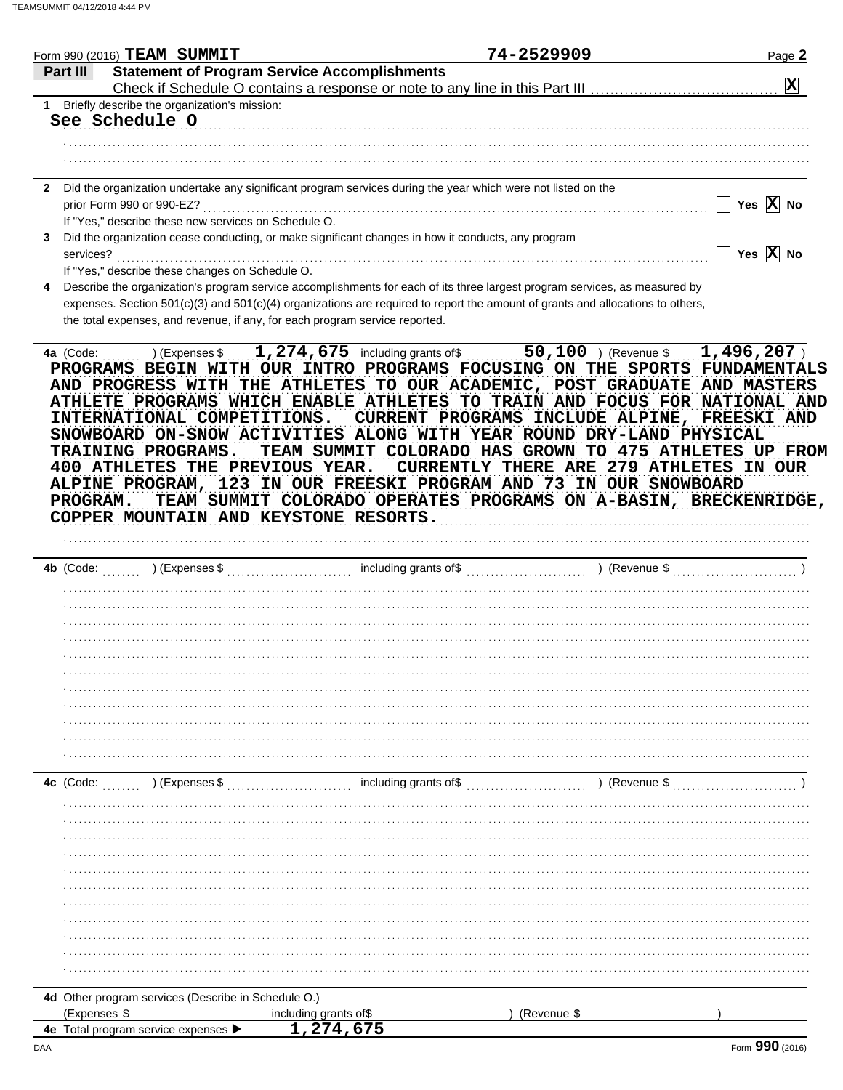|              | Form 990 (2016) TEAM SUMMIT                                                                                   | 74-2529909                                                                                                                                                                                                                                                                                                                                                                                                                                                                                                                         | Page 2                |
|--------------|---------------------------------------------------------------------------------------------------------------|------------------------------------------------------------------------------------------------------------------------------------------------------------------------------------------------------------------------------------------------------------------------------------------------------------------------------------------------------------------------------------------------------------------------------------------------------------------------------------------------------------------------------------|-----------------------|
| Part III     | <b>Statement of Program Service Accomplishments</b>                                                           |                                                                                                                                                                                                                                                                                                                                                                                                                                                                                                                                    | $\mathbf{x}$          |
|              | 1 Briefly describe the organization's mission:                                                                |                                                                                                                                                                                                                                                                                                                                                                                                                                                                                                                                    |                       |
|              | See Schedule O                                                                                                |                                                                                                                                                                                                                                                                                                                                                                                                                                                                                                                                    |                       |
|              |                                                                                                               |                                                                                                                                                                                                                                                                                                                                                                                                                                                                                                                                    |                       |
|              |                                                                                                               |                                                                                                                                                                                                                                                                                                                                                                                                                                                                                                                                    |                       |
| $\mathbf{2}$ |                                                                                                               | Did the organization undertake any significant program services during the year which were not listed on the                                                                                                                                                                                                                                                                                                                                                                                                                       |                       |
|              | prior Form 990 or 990-EZ?                                                                                     |                                                                                                                                                                                                                                                                                                                                                                                                                                                                                                                                    | Yes $\overline{X}$ No |
|              | If "Yes," describe these new services on Schedule O.                                                          |                                                                                                                                                                                                                                                                                                                                                                                                                                                                                                                                    |                       |
|              |                                                                                                               | Did the organization cease conducting, or make significant changes in how it conducts, any program                                                                                                                                                                                                                                                                                                                                                                                                                                 |                       |
| services?    |                                                                                                               |                                                                                                                                                                                                                                                                                                                                                                                                                                                                                                                                    | Yes $\overline{X}$ No |
|              | If "Yes," describe these changes on Schedule O.                                                               |                                                                                                                                                                                                                                                                                                                                                                                                                                                                                                                                    |                       |
|              |                                                                                                               | Describe the organization's program service accomplishments for each of its three largest program services, as measured by                                                                                                                                                                                                                                                                                                                                                                                                         |                       |
|              |                                                                                                               | expenses. Section 501(c)(3) and 501(c)(4) organizations are required to report the amount of grants and allocations to others,                                                                                                                                                                                                                                                                                                                                                                                                     |                       |
|              | the total expenses, and revenue, if any, for each program service reported.                                   |                                                                                                                                                                                                                                                                                                                                                                                                                                                                                                                                    |                       |
| 4a (Code:    | ) (Expenses \$<br>INTERNATIONAL COMPETITIONS.<br><b>TRAINING PROGRAMS.</b><br>400 ATHLETES THE PREVIOUS YEAR. | $1,274,675$ including grants of \$<br>$50,100$ ) (Revenue \$<br>PROGRAMS BEGIN WITH OUR INTRO PROGRAMS FOCUSING ON THE SPORTS FUNDAMENTALS<br>AND PROGRESS WITH THE ATHLETES TO OUR ACADEMIC, POST GRADUATE AND MASTERS<br>ATHLETE PROGRAMS WHICH ENABLE ATHLETES TO TRAIN AND FOCUS FOR NATIONAL AND<br>CURRENT PROGRAMS INCLUDE ALPINE, FREESKI AND<br>SNOWBOARD ON-SNOW ACTIVITIES ALONG WITH YEAR ROUND DRY-LAND PHYSICAL<br>TEAM SUMMIT COLORADO HAS GROWN TO 475 ATHLETES UP FROM<br>CURRENTLY THERE ARE 279 ATHLETES IN OUR |                       |
| PROGRAM.     |                                                                                                               | ALPINE PROGRAM, 123 IN OUR FREESKI PROGRAM AND 73 IN OUR SNOWBOARD<br>TEAM SUMMIT COLORADO OPERATES PROGRAMS ON A-BASIN, BRECKENRIDGE,                                                                                                                                                                                                                                                                                                                                                                                             |                       |
|              | COPPER MOUNTAIN AND KEYSTONE RESORTS.                                                                         |                                                                                                                                                                                                                                                                                                                                                                                                                                                                                                                                    |                       |
|              |                                                                                                               |                                                                                                                                                                                                                                                                                                                                                                                                                                                                                                                                    |                       |
|              | ) (Expenses \$                                                                                                | $\begin{bmatrix} \text{including grants of} \$ \end{bmatrix}$ (Revenue $\$ \begin{bmatrix} \text{Re} \end{bmatrix}$                                                                                                                                                                                                                                                                                                                                                                                                                |                       |
|              |                                                                                                               |                                                                                                                                                                                                                                                                                                                                                                                                                                                                                                                                    |                       |
|              |                                                                                                               |                                                                                                                                                                                                                                                                                                                                                                                                                                                                                                                                    |                       |
|              |                                                                                                               |                                                                                                                                                                                                                                                                                                                                                                                                                                                                                                                                    |                       |
|              |                                                                                                               |                                                                                                                                                                                                                                                                                                                                                                                                                                                                                                                                    |                       |
|              |                                                                                                               |                                                                                                                                                                                                                                                                                                                                                                                                                                                                                                                                    |                       |
| 4b (Code:    |                                                                                                               |                                                                                                                                                                                                                                                                                                                                                                                                                                                                                                                                    | 1,496,207             |
|              |                                                                                                               |                                                                                                                                                                                                                                                                                                                                                                                                                                                                                                                                    |                       |
|              |                                                                                                               |                                                                                                                                                                                                                                                                                                                                                                                                                                                                                                                                    |                       |
|              |                                                                                                               |                                                                                                                                                                                                                                                                                                                                                                                                                                                                                                                                    |                       |
|              |                                                                                                               |                                                                                                                                                                                                                                                                                                                                                                                                                                                                                                                                    |                       |

| 4d Other program services (Describe in Schedule O.)            |           |  |  |  |  |  |  |  |  |  |  |
|----------------------------------------------------------------|-----------|--|--|--|--|--|--|--|--|--|--|
| including grants of \$<br>(Expenses \$<br>(Revenue \$          |           |  |  |  |  |  |  |  |  |  |  |
| <b>4e</b> Total program service expenses $\blacktriangleright$ | 1,274,675 |  |  |  |  |  |  |  |  |  |  |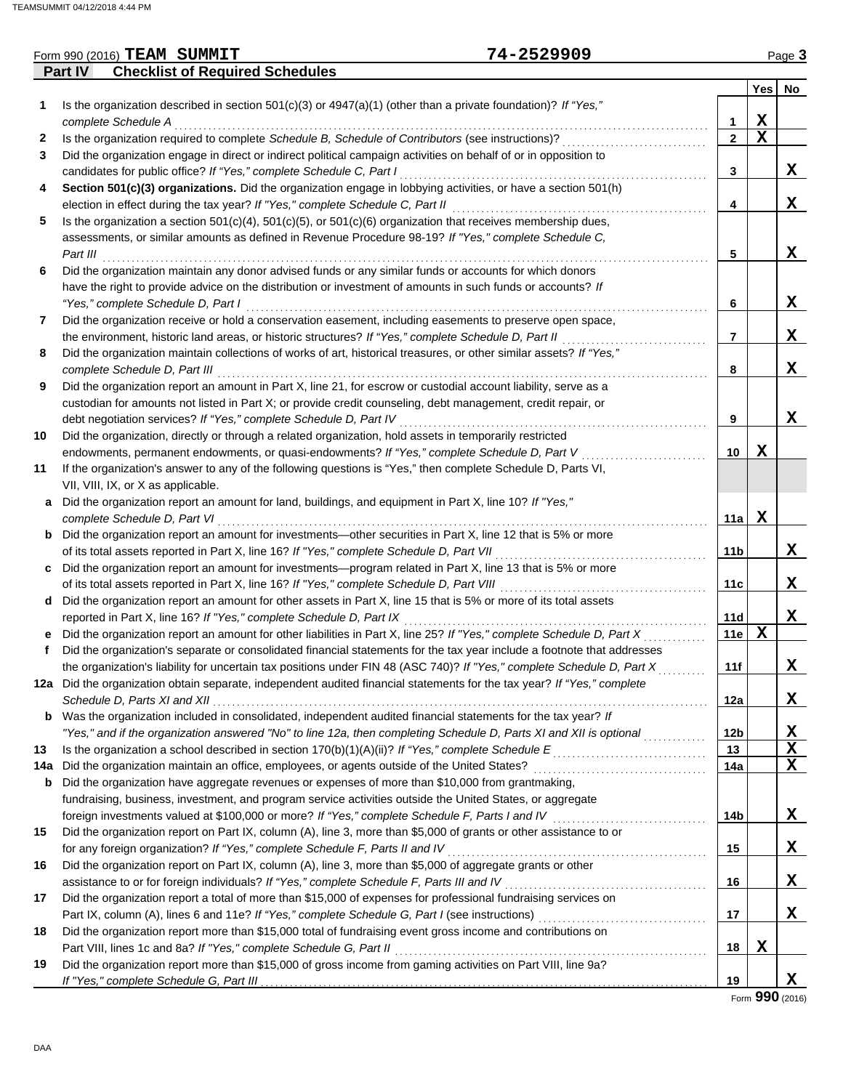|     | Form 990 (2016) TEAM SUMMIT        |                                        |                                                                                                                   | 74-2529909                                                                                                              |                 |             | Page 3 |
|-----|------------------------------------|----------------------------------------|-------------------------------------------------------------------------------------------------------------------|-------------------------------------------------------------------------------------------------------------------------|-----------------|-------------|--------|
|     | Part IV                            | <b>Checklist of Required Schedules</b> |                                                                                                                   |                                                                                                                         |                 |             |        |
|     |                                    |                                        |                                                                                                                   |                                                                                                                         |                 | Yes No      |        |
| 1.  |                                    |                                        | Is the organization described in section $501(c)(3)$ or $4947(a)(1)$ (other than a private foundation)? If "Yes," |                                                                                                                         |                 |             |        |
|     | complete Schedule A                |                                        |                                                                                                                   |                                                                                                                         | 1               | X           |        |
| 2   |                                    |                                        | Is the organization required to complete Schedule B, Schedule of Contributors (see instructions)?                 |                                                                                                                         | $\mathbf{2}$    | $\mathbf x$ |        |
| 3   |                                    |                                        |                                                                                                                   | Did the organization engage in direct or indirect political campaign activities on behalf of or in opposition to        |                 |             |        |
|     |                                    |                                        | candidates for public office? If "Yes," complete Schedule C, Part I                                               |                                                                                                                         | 3               |             | X      |
| 4   |                                    |                                        |                                                                                                                   | Section 501(c)(3) organizations. Did the organization engage in lobbying activities, or have a section 501(h)           |                 |             |        |
|     |                                    |                                        | election in effect during the tax year? If "Yes," complete Schedule C, Part II                                    |                                                                                                                         | 4               |             | X      |
| 5   |                                    |                                        |                                                                                                                   | Is the organization a section $501(c)(4)$ , $501(c)(5)$ , or $501(c)(6)$ organization that receives membership dues,    |                 |             |        |
|     |                                    |                                        |                                                                                                                   | assessments, or similar amounts as defined in Revenue Procedure 98-19? If "Yes," complete Schedule C,                   |                 |             |        |
|     | Part III                           |                                        |                                                                                                                   |                                                                                                                         | 5               |             | X      |
| 6   |                                    |                                        | Did the organization maintain any donor advised funds or any similar funds or accounts for which donors           |                                                                                                                         |                 |             |        |
|     |                                    |                                        | have the right to provide advice on the distribution or investment of amounts in such funds or accounts? If       |                                                                                                                         |                 |             |        |
|     |                                    | "Yes," complete Schedule D, Part I     |                                                                                                                   |                                                                                                                         | 6               |             | X      |
| 7   |                                    |                                        |                                                                                                                   | Did the organization receive or hold a conservation easement, including easements to preserve open space,               |                 |             |        |
|     |                                    |                                        | the environment, historic land areas, or historic structures? If "Yes," complete Schedule D, Part II              |                                                                                                                         | 7               |             | X      |
| 8   |                                    |                                        |                                                                                                                   | Did the organization maintain collections of works of art, historical treasures, or other similar assets? If "Yes,"     |                 |             |        |
|     | complete Schedule D, Part III      |                                        |                                                                                                                   |                                                                                                                         | 8               |             | X      |
| 9   |                                    |                                        |                                                                                                                   | Did the organization report an amount in Part X, line 21, for escrow or custodial account liability, serve as a         |                 |             |        |
|     |                                    |                                        |                                                                                                                   | custodian for amounts not listed in Part X; or provide credit counseling, debt management, credit repair, or            |                 |             |        |
|     |                                    |                                        | debt negotiation services? If "Yes," complete Schedule D, Part IV                                                 |                                                                                                                         | 9               |             | X      |
| 10  |                                    |                                        | Did the organization, directly or through a related organization, hold assets in temporarily restricted           |                                                                                                                         |                 |             |        |
|     |                                    |                                        | endowments, permanent endowments, or quasi-endowments? If "Yes," complete Schedule D, Part V                      |                                                                                                                         | 10              | X           |        |
| 11  |                                    |                                        |                                                                                                                   | If the organization's answer to any of the following questions is "Yes," then complete Schedule D, Parts VI,            |                 |             |        |
|     | VII, VIII, IX, or X as applicable. |                                        |                                                                                                                   |                                                                                                                         |                 |             |        |
| a   |                                    |                                        | Did the organization report an amount for land, buildings, and equipment in Part X, line 10? If "Yes,"            |                                                                                                                         |                 |             |        |
|     | complete Schedule D, Part VI       |                                        |                                                                                                                   |                                                                                                                         | 11a             | X           |        |
| b   |                                    |                                        |                                                                                                                   | Did the organization report an amount for investments—other securities in Part X, line 12 that is 5% or more            |                 |             |        |
|     |                                    |                                        | of its total assets reported in Part X, line 16? If "Yes," complete Schedule D, Part VII                          |                                                                                                                         | 11b             |             | X      |
| c   |                                    |                                        |                                                                                                                   | Did the organization report an amount for investments—program related in Part X, line 13 that is 5% or more             |                 |             |        |
|     |                                    |                                        | of its total assets reported in Part X, line 16? If "Yes," complete Schedule D, Part VIII                         |                                                                                                                         | 11c             |             | X      |
| d   |                                    |                                        |                                                                                                                   | Did the organization report an amount for other assets in Part X, line 15 that is 5% or more of its total assets        |                 |             |        |
|     |                                    |                                        | reported in Part X, line 16? If "Yes," complete Schedule D, Part IX                                               |                                                                                                                         | 11d             |             | X      |
|     |                                    |                                        |                                                                                                                   | Did the organization report an amount for other liabilities in Part X, line 25? If "Yes," complete Schedule D, Part X   | 11e             | X           |        |
|     |                                    |                                        |                                                                                                                   | Did the organization's separate or consolidated financial statements for the tax year include a footnote that addresses |                 |             |        |
|     |                                    |                                        |                                                                                                                   | the organization's liability for uncertain tax positions under FIN 48 (ASC 740)? If "Yes," complete Schedule D, Part X  | 11f             |             | X      |
|     |                                    |                                        |                                                                                                                   | 12a Did the organization obtain separate, independent audited financial statements for the tax year? If "Yes," complete |                 |             |        |
|     |                                    |                                        |                                                                                                                   |                                                                                                                         | 12a             |             | X      |
| b   |                                    |                                        |                                                                                                                   | Was the organization included in consolidated, independent audited financial statements for the tax year? If            |                 |             |        |
|     |                                    |                                        |                                                                                                                   | "Yes," and if the organization answered "No" to line 12a, then completing Schedule D, Parts XI and XII is optional      | 12 <sub>b</sub> |             | Х      |
| 13  |                                    |                                        |                                                                                                                   |                                                                                                                         | 13              |             | X      |
| 14a |                                    |                                        | Did the organization maintain an office, employees, or agents outside of the United States?                       |                                                                                                                         | 14a             |             | X      |
| b   |                                    |                                        | Did the organization have aggregate revenues or expenses of more than \$10,000 from grantmaking,                  |                                                                                                                         |                 |             |        |
|     |                                    |                                        | fundraising, business, investment, and program service activities outside the United States, or aggregate         |                                                                                                                         |                 |             |        |
|     |                                    |                                        | foreign investments valued at \$100,000 or more? If "Yes," complete Schedule F, Parts I and IV                    |                                                                                                                         | 14b             |             | X      |
| 15  |                                    |                                        |                                                                                                                   | Did the organization report on Part IX, column (A), line 3, more than \$5,000 of grants or other assistance to or       |                 |             |        |
|     |                                    |                                        | for any foreign organization? If "Yes," complete Schedule F, Parts II and IV                                      |                                                                                                                         | 15              |             | X      |
| 16  |                                    |                                        | Did the organization report on Part IX, column (A), line 3, more than \$5,000 of aggregate grants or other        |                                                                                                                         |                 |             |        |
|     |                                    |                                        | assistance to or for foreign individuals? If "Yes," complete Schedule F, Parts III and IV                         |                                                                                                                         | 16              |             | X      |
| 17  |                                    |                                        |                                                                                                                   | Did the organization report a total of more than \$15,000 of expenses for professional fundraising services on          |                 |             |        |
|     |                                    |                                        | Part IX, column (A), lines 6 and 11e? If "Yes," complete Schedule G, Part I (see instructions)                    |                                                                                                                         | 17              |             | X      |
| 18  |                                    |                                        |                                                                                                                   | Did the organization report more than \$15,000 total of fundraising event gross income and contributions on             |                 |             |        |
|     |                                    |                                        | Part VIII, lines 1c and 8a? If "Yes," complete Schedule G, Part II                                                |                                                                                                                         | 18              | X           |        |
| 19  |                                    |                                        |                                                                                                                   | Did the organization report more than \$15,000 of gross income from gaming activities on Part VIII, line 9a?            |                 |             |        |
|     |                                    |                                        |                                                                                                                   |                                                                                                                         | 19              |             | X      |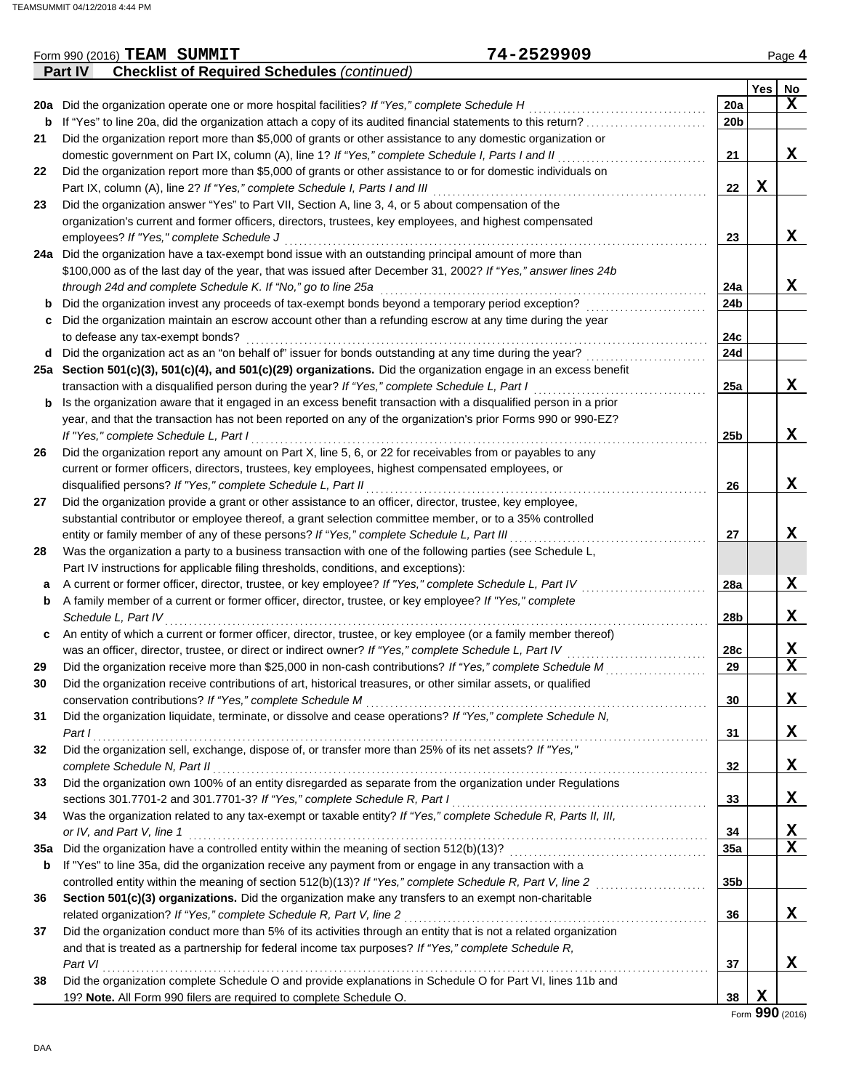| Yes<br>No<br>$\mathbf x$<br>20a Did the organization operate one or more hospital facilities? If "Yes," complete Schedule H<br>20a<br>If "Yes" to line 20a, did the organization attach a copy of its audited financial statements to this return?<br>20 <sub>b</sub><br>b<br>Did the organization report more than \$5,000 of grants or other assistance to any domestic organization or<br>21<br>X<br>domestic government on Part IX, column (A), line 1? If "Yes," complete Schedule I, Parts I and II<br>21<br>Did the organization report more than \$5,000 of grants or other assistance to or for domestic individuals on<br>22<br>X<br>Part IX, column (A), line 2? If "Yes," complete Schedule I, Parts I and III<br>22<br>Did the organization answer "Yes" to Part VII, Section A, line 3, 4, or 5 about compensation of the<br>23<br>organization's current and former officers, directors, trustees, key employees, and highest compensated<br>X<br>employees? If "Yes," complete Schedule J<br>23<br>24a Did the organization have a tax-exempt bond issue with an outstanding principal amount of more than<br>\$100,000 as of the last day of the year, that was issued after December 31, 2002? If "Yes," answer lines 24b<br>X<br>through 24d and complete Schedule K. If "No," go to line 25a<br>24a<br>Did the organization invest any proceeds of tax-exempt bonds beyond a temporary period exception?<br>24b<br>b<br>Did the organization maintain an escrow account other than a refunding escrow at any time during the year<br>c<br>24c<br>to defease any tax-exempt bonds?<br>Did the organization act as an "on behalf of" issuer for bonds outstanding at any time during the year?<br>24d<br>d<br>25a Section 501(c)(3), 501(c)(4), and 501(c)(29) organizations. Did the organization engage in an excess benefit<br>X<br>transaction with a disqualified person during the year? If "Yes," complete Schedule L, Part I<br>25a<br>Is the organization aware that it engaged in an excess benefit transaction with a disqualified person in a prior<br>b<br>year, and that the transaction has not been reported on any of the organization's prior Forms 990 or 990-EZ?<br>$\mathbf X$<br>If "Yes," complete Schedule L, Part I<br>25 <sub>b</sub><br>Did the organization report any amount on Part X, line 5, 6, or 22 for receivables from or payables to any<br>26<br>current or former officers, directors, trustees, key employees, highest compensated employees, or<br>$\mathbf X$<br>disqualified persons? If "Yes," complete Schedule L, Part II<br>26<br>Did the organization provide a grant or other assistance to an officer, director, trustee, key employee,<br>27<br>substantial contributor or employee thereof, a grant selection committee member, or to a 35% controlled<br>X<br>entity or family member of any of these persons? If "Yes," complete Schedule L, Part III<br>27<br>Was the organization a party to a business transaction with one of the following parties (see Schedule L,<br>28<br>Part IV instructions for applicable filing thresholds, conditions, and exceptions):<br>X<br>A current or former officer, director, trustee, or key employee? If "Yes," complete Schedule L, Part IV<br>28a<br>а<br>A family member of a current or former officer, director, trustee, or key employee? If "Yes," complete<br>b<br>X<br>Schedule L, Part IV<br>28b<br>An entity of which a current or former officer, director, trustee, or key employee (or a family member thereof)<br>c<br>X<br>was an officer, director, trustee, or direct or indirect owner? If "Yes," complete Schedule L, Part IV<br>28c<br>$\mathbf x$<br>Did the organization receive more than \$25,000 in non-cash contributions? If "Yes," complete Schedule M<br>29<br>29<br>Did the organization receive contributions of art, historical treasures, or other similar assets, or qualified<br>X<br>conservation contributions? If "Yes," complete Schedule M<br>30<br>Did the organization liquidate, terminate, or dissolve and cease operations? If "Yes," complete Schedule N,<br>31<br>X<br>31<br>Part I<br>Did the organization sell, exchange, dispose of, or transfer more than 25% of its net assets? If "Yes,"<br>32<br>X<br>32<br>complete Schedule N, Part II<br>Did the organization own 100% of an entity disregarded as separate from the organization under Regulations<br>33<br>X<br>sections 301.7701-2 and 301.7701-3? If "Yes," complete Schedule R, Part I<br>33<br>Was the organization related to any tax-exempt or taxable entity? If "Yes," complete Schedule R, Parts II, III,<br>34<br>х<br>or IV, and Part V, line 1<br>34<br>$\mathbf X$<br>Did the organization have a controlled entity within the meaning of section 512(b)(13)?<br>35a<br>35a<br>If "Yes" to line 35a, did the organization receive any payment from or engage in any transaction with a<br>b | Part IV<br><b>Checklist of Required Schedules (continued)</b>                                             |  |  |
|---------------------------------------------------------------------------------------------------------------------------------------------------------------------------------------------------------------------------------------------------------------------------------------------------------------------------------------------------------------------------------------------------------------------------------------------------------------------------------------------------------------------------------------------------------------------------------------------------------------------------------------------------------------------------------------------------------------------------------------------------------------------------------------------------------------------------------------------------------------------------------------------------------------------------------------------------------------------------------------------------------------------------------------------------------------------------------------------------------------------------------------------------------------------------------------------------------------------------------------------------------------------------------------------------------------------------------------------------------------------------------------------------------------------------------------------------------------------------------------------------------------------------------------------------------------------------------------------------------------------------------------------------------------------------------------------------------------------------------------------------------------------------------------------------------------------------------------------------------------------------------------------------------------------------------------------------------------------------------------------------------------------------------------------------------------------------------------------------------------------------------------------------------------------------------------------------------------------------------------------------------------------------------------------------------------------------------------------------------------------------------------------------------------------------------------------------------------------------------------------------------------------------------------------------------------------------------------------------------------------------------------------------------------------------------------------------------------------------------------------------------------------------------------------------------------------------------------------------------------------------------------------------------------------------------------------------------------------------------------------------------------------------------------------------------------------------------------------------------------------------------------------------------------------------------------------------------------------------------------------------------------------------------------------------------------------------------------------------------------------------------------------------------------------------------------------------------------------------------------------------------------------------------------------------------------------------------------------------------------------------------------------------------------------------------------------------------------------------------------------------------------------------------------------------------------------------------------------------------------------------------------------------------------------------------------------------------------------------------------------------------------------------------------------------------------------------------------------------------------------------------------------------------------------------------------------------------------------------------------------------------------------------------------------------------------------------------------------------------------------------------------------------------------------------------------------------------------------------------------------------------------------------------------------------------------------------------------------------------------------------------------------------------------------------------------------------------------------------------------------------------------------------------------------------------------------------------------------------------------------------------------------------------------------------------------|-----------------------------------------------------------------------------------------------------------|--|--|
|                                                                                                                                                                                                                                                                                                                                                                                                                                                                                                                                                                                                                                                                                                                                                                                                                                                                                                                                                                                                                                                                                                                                                                                                                                                                                                                                                                                                                                                                                                                                                                                                                                                                                                                                                                                                                                                                                                                                                                                                                                                                                                                                                                                                                                                                                                                                                                                                                                                                                                                                                                                                                                                                                                                                                                                                                                                                                                                                                                                                                                                                                                                                                                                                                                                                                                                                                                                                                                                                                                                                                                                                                                                                                                                                                                                                                                                                                                                                                                                                                                                                                                                                                                                                                                                                                                                                                                                                                                                                                                                                                                                                                                                                                                                                                                                                                                                                                                                                       |                                                                                                           |  |  |
|                                                                                                                                                                                                                                                                                                                                                                                                                                                                                                                                                                                                                                                                                                                                                                                                                                                                                                                                                                                                                                                                                                                                                                                                                                                                                                                                                                                                                                                                                                                                                                                                                                                                                                                                                                                                                                                                                                                                                                                                                                                                                                                                                                                                                                                                                                                                                                                                                                                                                                                                                                                                                                                                                                                                                                                                                                                                                                                                                                                                                                                                                                                                                                                                                                                                                                                                                                                                                                                                                                                                                                                                                                                                                                                                                                                                                                                                                                                                                                                                                                                                                                                                                                                                                                                                                                                                                                                                                                                                                                                                                                                                                                                                                                                                                                                                                                                                                                                                       |                                                                                                           |  |  |
|                                                                                                                                                                                                                                                                                                                                                                                                                                                                                                                                                                                                                                                                                                                                                                                                                                                                                                                                                                                                                                                                                                                                                                                                                                                                                                                                                                                                                                                                                                                                                                                                                                                                                                                                                                                                                                                                                                                                                                                                                                                                                                                                                                                                                                                                                                                                                                                                                                                                                                                                                                                                                                                                                                                                                                                                                                                                                                                                                                                                                                                                                                                                                                                                                                                                                                                                                                                                                                                                                                                                                                                                                                                                                                                                                                                                                                                                                                                                                                                                                                                                                                                                                                                                                                                                                                                                                                                                                                                                                                                                                                                                                                                                                                                                                                                                                                                                                                                                       |                                                                                                           |  |  |
|                                                                                                                                                                                                                                                                                                                                                                                                                                                                                                                                                                                                                                                                                                                                                                                                                                                                                                                                                                                                                                                                                                                                                                                                                                                                                                                                                                                                                                                                                                                                                                                                                                                                                                                                                                                                                                                                                                                                                                                                                                                                                                                                                                                                                                                                                                                                                                                                                                                                                                                                                                                                                                                                                                                                                                                                                                                                                                                                                                                                                                                                                                                                                                                                                                                                                                                                                                                                                                                                                                                                                                                                                                                                                                                                                                                                                                                                                                                                                                                                                                                                                                                                                                                                                                                                                                                                                                                                                                                                                                                                                                                                                                                                                                                                                                                                                                                                                                                                       |                                                                                                           |  |  |
|                                                                                                                                                                                                                                                                                                                                                                                                                                                                                                                                                                                                                                                                                                                                                                                                                                                                                                                                                                                                                                                                                                                                                                                                                                                                                                                                                                                                                                                                                                                                                                                                                                                                                                                                                                                                                                                                                                                                                                                                                                                                                                                                                                                                                                                                                                                                                                                                                                                                                                                                                                                                                                                                                                                                                                                                                                                                                                                                                                                                                                                                                                                                                                                                                                                                                                                                                                                                                                                                                                                                                                                                                                                                                                                                                                                                                                                                                                                                                                                                                                                                                                                                                                                                                                                                                                                                                                                                                                                                                                                                                                                                                                                                                                                                                                                                                                                                                                                                       |                                                                                                           |  |  |
|                                                                                                                                                                                                                                                                                                                                                                                                                                                                                                                                                                                                                                                                                                                                                                                                                                                                                                                                                                                                                                                                                                                                                                                                                                                                                                                                                                                                                                                                                                                                                                                                                                                                                                                                                                                                                                                                                                                                                                                                                                                                                                                                                                                                                                                                                                                                                                                                                                                                                                                                                                                                                                                                                                                                                                                                                                                                                                                                                                                                                                                                                                                                                                                                                                                                                                                                                                                                                                                                                                                                                                                                                                                                                                                                                                                                                                                                                                                                                                                                                                                                                                                                                                                                                                                                                                                                                                                                                                                                                                                                                                                                                                                                                                                                                                                                                                                                                                                                       |                                                                                                           |  |  |
|                                                                                                                                                                                                                                                                                                                                                                                                                                                                                                                                                                                                                                                                                                                                                                                                                                                                                                                                                                                                                                                                                                                                                                                                                                                                                                                                                                                                                                                                                                                                                                                                                                                                                                                                                                                                                                                                                                                                                                                                                                                                                                                                                                                                                                                                                                                                                                                                                                                                                                                                                                                                                                                                                                                                                                                                                                                                                                                                                                                                                                                                                                                                                                                                                                                                                                                                                                                                                                                                                                                                                                                                                                                                                                                                                                                                                                                                                                                                                                                                                                                                                                                                                                                                                                                                                                                                                                                                                                                                                                                                                                                                                                                                                                                                                                                                                                                                                                                                       |                                                                                                           |  |  |
|                                                                                                                                                                                                                                                                                                                                                                                                                                                                                                                                                                                                                                                                                                                                                                                                                                                                                                                                                                                                                                                                                                                                                                                                                                                                                                                                                                                                                                                                                                                                                                                                                                                                                                                                                                                                                                                                                                                                                                                                                                                                                                                                                                                                                                                                                                                                                                                                                                                                                                                                                                                                                                                                                                                                                                                                                                                                                                                                                                                                                                                                                                                                                                                                                                                                                                                                                                                                                                                                                                                                                                                                                                                                                                                                                                                                                                                                                                                                                                                                                                                                                                                                                                                                                                                                                                                                                                                                                                                                                                                                                                                                                                                                                                                                                                                                                                                                                                                                       |                                                                                                           |  |  |
|                                                                                                                                                                                                                                                                                                                                                                                                                                                                                                                                                                                                                                                                                                                                                                                                                                                                                                                                                                                                                                                                                                                                                                                                                                                                                                                                                                                                                                                                                                                                                                                                                                                                                                                                                                                                                                                                                                                                                                                                                                                                                                                                                                                                                                                                                                                                                                                                                                                                                                                                                                                                                                                                                                                                                                                                                                                                                                                                                                                                                                                                                                                                                                                                                                                                                                                                                                                                                                                                                                                                                                                                                                                                                                                                                                                                                                                                                                                                                                                                                                                                                                                                                                                                                                                                                                                                                                                                                                                                                                                                                                                                                                                                                                                                                                                                                                                                                                                                       |                                                                                                           |  |  |
|                                                                                                                                                                                                                                                                                                                                                                                                                                                                                                                                                                                                                                                                                                                                                                                                                                                                                                                                                                                                                                                                                                                                                                                                                                                                                                                                                                                                                                                                                                                                                                                                                                                                                                                                                                                                                                                                                                                                                                                                                                                                                                                                                                                                                                                                                                                                                                                                                                                                                                                                                                                                                                                                                                                                                                                                                                                                                                                                                                                                                                                                                                                                                                                                                                                                                                                                                                                                                                                                                                                                                                                                                                                                                                                                                                                                                                                                                                                                                                                                                                                                                                                                                                                                                                                                                                                                                                                                                                                                                                                                                                                                                                                                                                                                                                                                                                                                                                                                       |                                                                                                           |  |  |
|                                                                                                                                                                                                                                                                                                                                                                                                                                                                                                                                                                                                                                                                                                                                                                                                                                                                                                                                                                                                                                                                                                                                                                                                                                                                                                                                                                                                                                                                                                                                                                                                                                                                                                                                                                                                                                                                                                                                                                                                                                                                                                                                                                                                                                                                                                                                                                                                                                                                                                                                                                                                                                                                                                                                                                                                                                                                                                                                                                                                                                                                                                                                                                                                                                                                                                                                                                                                                                                                                                                                                                                                                                                                                                                                                                                                                                                                                                                                                                                                                                                                                                                                                                                                                                                                                                                                                                                                                                                                                                                                                                                                                                                                                                                                                                                                                                                                                                                                       |                                                                                                           |  |  |
|                                                                                                                                                                                                                                                                                                                                                                                                                                                                                                                                                                                                                                                                                                                                                                                                                                                                                                                                                                                                                                                                                                                                                                                                                                                                                                                                                                                                                                                                                                                                                                                                                                                                                                                                                                                                                                                                                                                                                                                                                                                                                                                                                                                                                                                                                                                                                                                                                                                                                                                                                                                                                                                                                                                                                                                                                                                                                                                                                                                                                                                                                                                                                                                                                                                                                                                                                                                                                                                                                                                                                                                                                                                                                                                                                                                                                                                                                                                                                                                                                                                                                                                                                                                                                                                                                                                                                                                                                                                                                                                                                                                                                                                                                                                                                                                                                                                                                                                                       |                                                                                                           |  |  |
|                                                                                                                                                                                                                                                                                                                                                                                                                                                                                                                                                                                                                                                                                                                                                                                                                                                                                                                                                                                                                                                                                                                                                                                                                                                                                                                                                                                                                                                                                                                                                                                                                                                                                                                                                                                                                                                                                                                                                                                                                                                                                                                                                                                                                                                                                                                                                                                                                                                                                                                                                                                                                                                                                                                                                                                                                                                                                                                                                                                                                                                                                                                                                                                                                                                                                                                                                                                                                                                                                                                                                                                                                                                                                                                                                                                                                                                                                                                                                                                                                                                                                                                                                                                                                                                                                                                                                                                                                                                                                                                                                                                                                                                                                                                                                                                                                                                                                                                                       |                                                                                                           |  |  |
|                                                                                                                                                                                                                                                                                                                                                                                                                                                                                                                                                                                                                                                                                                                                                                                                                                                                                                                                                                                                                                                                                                                                                                                                                                                                                                                                                                                                                                                                                                                                                                                                                                                                                                                                                                                                                                                                                                                                                                                                                                                                                                                                                                                                                                                                                                                                                                                                                                                                                                                                                                                                                                                                                                                                                                                                                                                                                                                                                                                                                                                                                                                                                                                                                                                                                                                                                                                                                                                                                                                                                                                                                                                                                                                                                                                                                                                                                                                                                                                                                                                                                                                                                                                                                                                                                                                                                                                                                                                                                                                                                                                                                                                                                                                                                                                                                                                                                                                                       |                                                                                                           |  |  |
|                                                                                                                                                                                                                                                                                                                                                                                                                                                                                                                                                                                                                                                                                                                                                                                                                                                                                                                                                                                                                                                                                                                                                                                                                                                                                                                                                                                                                                                                                                                                                                                                                                                                                                                                                                                                                                                                                                                                                                                                                                                                                                                                                                                                                                                                                                                                                                                                                                                                                                                                                                                                                                                                                                                                                                                                                                                                                                                                                                                                                                                                                                                                                                                                                                                                                                                                                                                                                                                                                                                                                                                                                                                                                                                                                                                                                                                                                                                                                                                                                                                                                                                                                                                                                                                                                                                                                                                                                                                                                                                                                                                                                                                                                                                                                                                                                                                                                                                                       |                                                                                                           |  |  |
|                                                                                                                                                                                                                                                                                                                                                                                                                                                                                                                                                                                                                                                                                                                                                                                                                                                                                                                                                                                                                                                                                                                                                                                                                                                                                                                                                                                                                                                                                                                                                                                                                                                                                                                                                                                                                                                                                                                                                                                                                                                                                                                                                                                                                                                                                                                                                                                                                                                                                                                                                                                                                                                                                                                                                                                                                                                                                                                                                                                                                                                                                                                                                                                                                                                                                                                                                                                                                                                                                                                                                                                                                                                                                                                                                                                                                                                                                                                                                                                                                                                                                                                                                                                                                                                                                                                                                                                                                                                                                                                                                                                                                                                                                                                                                                                                                                                                                                                                       |                                                                                                           |  |  |
|                                                                                                                                                                                                                                                                                                                                                                                                                                                                                                                                                                                                                                                                                                                                                                                                                                                                                                                                                                                                                                                                                                                                                                                                                                                                                                                                                                                                                                                                                                                                                                                                                                                                                                                                                                                                                                                                                                                                                                                                                                                                                                                                                                                                                                                                                                                                                                                                                                                                                                                                                                                                                                                                                                                                                                                                                                                                                                                                                                                                                                                                                                                                                                                                                                                                                                                                                                                                                                                                                                                                                                                                                                                                                                                                                                                                                                                                                                                                                                                                                                                                                                                                                                                                                                                                                                                                                                                                                                                                                                                                                                                                                                                                                                                                                                                                                                                                                                                                       |                                                                                                           |  |  |
|                                                                                                                                                                                                                                                                                                                                                                                                                                                                                                                                                                                                                                                                                                                                                                                                                                                                                                                                                                                                                                                                                                                                                                                                                                                                                                                                                                                                                                                                                                                                                                                                                                                                                                                                                                                                                                                                                                                                                                                                                                                                                                                                                                                                                                                                                                                                                                                                                                                                                                                                                                                                                                                                                                                                                                                                                                                                                                                                                                                                                                                                                                                                                                                                                                                                                                                                                                                                                                                                                                                                                                                                                                                                                                                                                                                                                                                                                                                                                                                                                                                                                                                                                                                                                                                                                                                                                                                                                                                                                                                                                                                                                                                                                                                                                                                                                                                                                                                                       |                                                                                                           |  |  |
|                                                                                                                                                                                                                                                                                                                                                                                                                                                                                                                                                                                                                                                                                                                                                                                                                                                                                                                                                                                                                                                                                                                                                                                                                                                                                                                                                                                                                                                                                                                                                                                                                                                                                                                                                                                                                                                                                                                                                                                                                                                                                                                                                                                                                                                                                                                                                                                                                                                                                                                                                                                                                                                                                                                                                                                                                                                                                                                                                                                                                                                                                                                                                                                                                                                                                                                                                                                                                                                                                                                                                                                                                                                                                                                                                                                                                                                                                                                                                                                                                                                                                                                                                                                                                                                                                                                                                                                                                                                                                                                                                                                                                                                                                                                                                                                                                                                                                                                                       |                                                                                                           |  |  |
|                                                                                                                                                                                                                                                                                                                                                                                                                                                                                                                                                                                                                                                                                                                                                                                                                                                                                                                                                                                                                                                                                                                                                                                                                                                                                                                                                                                                                                                                                                                                                                                                                                                                                                                                                                                                                                                                                                                                                                                                                                                                                                                                                                                                                                                                                                                                                                                                                                                                                                                                                                                                                                                                                                                                                                                                                                                                                                                                                                                                                                                                                                                                                                                                                                                                                                                                                                                                                                                                                                                                                                                                                                                                                                                                                                                                                                                                                                                                                                                                                                                                                                                                                                                                                                                                                                                                                                                                                                                                                                                                                                                                                                                                                                                                                                                                                                                                                                                                       |                                                                                                           |  |  |
|                                                                                                                                                                                                                                                                                                                                                                                                                                                                                                                                                                                                                                                                                                                                                                                                                                                                                                                                                                                                                                                                                                                                                                                                                                                                                                                                                                                                                                                                                                                                                                                                                                                                                                                                                                                                                                                                                                                                                                                                                                                                                                                                                                                                                                                                                                                                                                                                                                                                                                                                                                                                                                                                                                                                                                                                                                                                                                                                                                                                                                                                                                                                                                                                                                                                                                                                                                                                                                                                                                                                                                                                                                                                                                                                                                                                                                                                                                                                                                                                                                                                                                                                                                                                                                                                                                                                                                                                                                                                                                                                                                                                                                                                                                                                                                                                                                                                                                                                       |                                                                                                           |  |  |
|                                                                                                                                                                                                                                                                                                                                                                                                                                                                                                                                                                                                                                                                                                                                                                                                                                                                                                                                                                                                                                                                                                                                                                                                                                                                                                                                                                                                                                                                                                                                                                                                                                                                                                                                                                                                                                                                                                                                                                                                                                                                                                                                                                                                                                                                                                                                                                                                                                                                                                                                                                                                                                                                                                                                                                                                                                                                                                                                                                                                                                                                                                                                                                                                                                                                                                                                                                                                                                                                                                                                                                                                                                                                                                                                                                                                                                                                                                                                                                                                                                                                                                                                                                                                                                                                                                                                                                                                                                                                                                                                                                                                                                                                                                                                                                                                                                                                                                                                       |                                                                                                           |  |  |
|                                                                                                                                                                                                                                                                                                                                                                                                                                                                                                                                                                                                                                                                                                                                                                                                                                                                                                                                                                                                                                                                                                                                                                                                                                                                                                                                                                                                                                                                                                                                                                                                                                                                                                                                                                                                                                                                                                                                                                                                                                                                                                                                                                                                                                                                                                                                                                                                                                                                                                                                                                                                                                                                                                                                                                                                                                                                                                                                                                                                                                                                                                                                                                                                                                                                                                                                                                                                                                                                                                                                                                                                                                                                                                                                                                                                                                                                                                                                                                                                                                                                                                                                                                                                                                                                                                                                                                                                                                                                                                                                                                                                                                                                                                                                                                                                                                                                                                                                       |                                                                                                           |  |  |
|                                                                                                                                                                                                                                                                                                                                                                                                                                                                                                                                                                                                                                                                                                                                                                                                                                                                                                                                                                                                                                                                                                                                                                                                                                                                                                                                                                                                                                                                                                                                                                                                                                                                                                                                                                                                                                                                                                                                                                                                                                                                                                                                                                                                                                                                                                                                                                                                                                                                                                                                                                                                                                                                                                                                                                                                                                                                                                                                                                                                                                                                                                                                                                                                                                                                                                                                                                                                                                                                                                                                                                                                                                                                                                                                                                                                                                                                                                                                                                                                                                                                                                                                                                                                                                                                                                                                                                                                                                                                                                                                                                                                                                                                                                                                                                                                                                                                                                                                       |                                                                                                           |  |  |
|                                                                                                                                                                                                                                                                                                                                                                                                                                                                                                                                                                                                                                                                                                                                                                                                                                                                                                                                                                                                                                                                                                                                                                                                                                                                                                                                                                                                                                                                                                                                                                                                                                                                                                                                                                                                                                                                                                                                                                                                                                                                                                                                                                                                                                                                                                                                                                                                                                                                                                                                                                                                                                                                                                                                                                                                                                                                                                                                                                                                                                                                                                                                                                                                                                                                                                                                                                                                                                                                                                                                                                                                                                                                                                                                                                                                                                                                                                                                                                                                                                                                                                                                                                                                                                                                                                                                                                                                                                                                                                                                                                                                                                                                                                                                                                                                                                                                                                                                       |                                                                                                           |  |  |
|                                                                                                                                                                                                                                                                                                                                                                                                                                                                                                                                                                                                                                                                                                                                                                                                                                                                                                                                                                                                                                                                                                                                                                                                                                                                                                                                                                                                                                                                                                                                                                                                                                                                                                                                                                                                                                                                                                                                                                                                                                                                                                                                                                                                                                                                                                                                                                                                                                                                                                                                                                                                                                                                                                                                                                                                                                                                                                                                                                                                                                                                                                                                                                                                                                                                                                                                                                                                                                                                                                                                                                                                                                                                                                                                                                                                                                                                                                                                                                                                                                                                                                                                                                                                                                                                                                                                                                                                                                                                                                                                                                                                                                                                                                                                                                                                                                                                                                                                       |                                                                                                           |  |  |
|                                                                                                                                                                                                                                                                                                                                                                                                                                                                                                                                                                                                                                                                                                                                                                                                                                                                                                                                                                                                                                                                                                                                                                                                                                                                                                                                                                                                                                                                                                                                                                                                                                                                                                                                                                                                                                                                                                                                                                                                                                                                                                                                                                                                                                                                                                                                                                                                                                                                                                                                                                                                                                                                                                                                                                                                                                                                                                                                                                                                                                                                                                                                                                                                                                                                                                                                                                                                                                                                                                                                                                                                                                                                                                                                                                                                                                                                                                                                                                                                                                                                                                                                                                                                                                                                                                                                                                                                                                                                                                                                                                                                                                                                                                                                                                                                                                                                                                                                       |                                                                                                           |  |  |
|                                                                                                                                                                                                                                                                                                                                                                                                                                                                                                                                                                                                                                                                                                                                                                                                                                                                                                                                                                                                                                                                                                                                                                                                                                                                                                                                                                                                                                                                                                                                                                                                                                                                                                                                                                                                                                                                                                                                                                                                                                                                                                                                                                                                                                                                                                                                                                                                                                                                                                                                                                                                                                                                                                                                                                                                                                                                                                                                                                                                                                                                                                                                                                                                                                                                                                                                                                                                                                                                                                                                                                                                                                                                                                                                                                                                                                                                                                                                                                                                                                                                                                                                                                                                                                                                                                                                                                                                                                                                                                                                                                                                                                                                                                                                                                                                                                                                                                                                       |                                                                                                           |  |  |
|                                                                                                                                                                                                                                                                                                                                                                                                                                                                                                                                                                                                                                                                                                                                                                                                                                                                                                                                                                                                                                                                                                                                                                                                                                                                                                                                                                                                                                                                                                                                                                                                                                                                                                                                                                                                                                                                                                                                                                                                                                                                                                                                                                                                                                                                                                                                                                                                                                                                                                                                                                                                                                                                                                                                                                                                                                                                                                                                                                                                                                                                                                                                                                                                                                                                                                                                                                                                                                                                                                                                                                                                                                                                                                                                                                                                                                                                                                                                                                                                                                                                                                                                                                                                                                                                                                                                                                                                                                                                                                                                                                                                                                                                                                                                                                                                                                                                                                                                       |                                                                                                           |  |  |
|                                                                                                                                                                                                                                                                                                                                                                                                                                                                                                                                                                                                                                                                                                                                                                                                                                                                                                                                                                                                                                                                                                                                                                                                                                                                                                                                                                                                                                                                                                                                                                                                                                                                                                                                                                                                                                                                                                                                                                                                                                                                                                                                                                                                                                                                                                                                                                                                                                                                                                                                                                                                                                                                                                                                                                                                                                                                                                                                                                                                                                                                                                                                                                                                                                                                                                                                                                                                                                                                                                                                                                                                                                                                                                                                                                                                                                                                                                                                                                                                                                                                                                                                                                                                                                                                                                                                                                                                                                                                                                                                                                                                                                                                                                                                                                                                                                                                                                                                       |                                                                                                           |  |  |
|                                                                                                                                                                                                                                                                                                                                                                                                                                                                                                                                                                                                                                                                                                                                                                                                                                                                                                                                                                                                                                                                                                                                                                                                                                                                                                                                                                                                                                                                                                                                                                                                                                                                                                                                                                                                                                                                                                                                                                                                                                                                                                                                                                                                                                                                                                                                                                                                                                                                                                                                                                                                                                                                                                                                                                                                                                                                                                                                                                                                                                                                                                                                                                                                                                                                                                                                                                                                                                                                                                                                                                                                                                                                                                                                                                                                                                                                                                                                                                                                                                                                                                                                                                                                                                                                                                                                                                                                                                                                                                                                                                                                                                                                                                                                                                                                                                                                                                                                       |                                                                                                           |  |  |
|                                                                                                                                                                                                                                                                                                                                                                                                                                                                                                                                                                                                                                                                                                                                                                                                                                                                                                                                                                                                                                                                                                                                                                                                                                                                                                                                                                                                                                                                                                                                                                                                                                                                                                                                                                                                                                                                                                                                                                                                                                                                                                                                                                                                                                                                                                                                                                                                                                                                                                                                                                                                                                                                                                                                                                                                                                                                                                                                                                                                                                                                                                                                                                                                                                                                                                                                                                                                                                                                                                                                                                                                                                                                                                                                                                                                                                                                                                                                                                                                                                                                                                                                                                                                                                                                                                                                                                                                                                                                                                                                                                                                                                                                                                                                                                                                                                                                                                                                       |                                                                                                           |  |  |
|                                                                                                                                                                                                                                                                                                                                                                                                                                                                                                                                                                                                                                                                                                                                                                                                                                                                                                                                                                                                                                                                                                                                                                                                                                                                                                                                                                                                                                                                                                                                                                                                                                                                                                                                                                                                                                                                                                                                                                                                                                                                                                                                                                                                                                                                                                                                                                                                                                                                                                                                                                                                                                                                                                                                                                                                                                                                                                                                                                                                                                                                                                                                                                                                                                                                                                                                                                                                                                                                                                                                                                                                                                                                                                                                                                                                                                                                                                                                                                                                                                                                                                                                                                                                                                                                                                                                                                                                                                                                                                                                                                                                                                                                                                                                                                                                                                                                                                                                       |                                                                                                           |  |  |
|                                                                                                                                                                                                                                                                                                                                                                                                                                                                                                                                                                                                                                                                                                                                                                                                                                                                                                                                                                                                                                                                                                                                                                                                                                                                                                                                                                                                                                                                                                                                                                                                                                                                                                                                                                                                                                                                                                                                                                                                                                                                                                                                                                                                                                                                                                                                                                                                                                                                                                                                                                                                                                                                                                                                                                                                                                                                                                                                                                                                                                                                                                                                                                                                                                                                                                                                                                                                                                                                                                                                                                                                                                                                                                                                                                                                                                                                                                                                                                                                                                                                                                                                                                                                                                                                                                                                                                                                                                                                                                                                                                                                                                                                                                                                                                                                                                                                                                                                       |                                                                                                           |  |  |
|                                                                                                                                                                                                                                                                                                                                                                                                                                                                                                                                                                                                                                                                                                                                                                                                                                                                                                                                                                                                                                                                                                                                                                                                                                                                                                                                                                                                                                                                                                                                                                                                                                                                                                                                                                                                                                                                                                                                                                                                                                                                                                                                                                                                                                                                                                                                                                                                                                                                                                                                                                                                                                                                                                                                                                                                                                                                                                                                                                                                                                                                                                                                                                                                                                                                                                                                                                                                                                                                                                                                                                                                                                                                                                                                                                                                                                                                                                                                                                                                                                                                                                                                                                                                                                                                                                                                                                                                                                                                                                                                                                                                                                                                                                                                                                                                                                                                                                                                       |                                                                                                           |  |  |
|                                                                                                                                                                                                                                                                                                                                                                                                                                                                                                                                                                                                                                                                                                                                                                                                                                                                                                                                                                                                                                                                                                                                                                                                                                                                                                                                                                                                                                                                                                                                                                                                                                                                                                                                                                                                                                                                                                                                                                                                                                                                                                                                                                                                                                                                                                                                                                                                                                                                                                                                                                                                                                                                                                                                                                                                                                                                                                                                                                                                                                                                                                                                                                                                                                                                                                                                                                                                                                                                                                                                                                                                                                                                                                                                                                                                                                                                                                                                                                                                                                                                                                                                                                                                                                                                                                                                                                                                                                                                                                                                                                                                                                                                                                                                                                                                                                                                                                                                       |                                                                                                           |  |  |
|                                                                                                                                                                                                                                                                                                                                                                                                                                                                                                                                                                                                                                                                                                                                                                                                                                                                                                                                                                                                                                                                                                                                                                                                                                                                                                                                                                                                                                                                                                                                                                                                                                                                                                                                                                                                                                                                                                                                                                                                                                                                                                                                                                                                                                                                                                                                                                                                                                                                                                                                                                                                                                                                                                                                                                                                                                                                                                                                                                                                                                                                                                                                                                                                                                                                                                                                                                                                                                                                                                                                                                                                                                                                                                                                                                                                                                                                                                                                                                                                                                                                                                                                                                                                                                                                                                                                                                                                                                                                                                                                                                                                                                                                                                                                                                                                                                                                                                                                       |                                                                                                           |  |  |
|                                                                                                                                                                                                                                                                                                                                                                                                                                                                                                                                                                                                                                                                                                                                                                                                                                                                                                                                                                                                                                                                                                                                                                                                                                                                                                                                                                                                                                                                                                                                                                                                                                                                                                                                                                                                                                                                                                                                                                                                                                                                                                                                                                                                                                                                                                                                                                                                                                                                                                                                                                                                                                                                                                                                                                                                                                                                                                                                                                                                                                                                                                                                                                                                                                                                                                                                                                                                                                                                                                                                                                                                                                                                                                                                                                                                                                                                                                                                                                                                                                                                                                                                                                                                                                                                                                                                                                                                                                                                                                                                                                                                                                                                                                                                                                                                                                                                                                                                       |                                                                                                           |  |  |
|                                                                                                                                                                                                                                                                                                                                                                                                                                                                                                                                                                                                                                                                                                                                                                                                                                                                                                                                                                                                                                                                                                                                                                                                                                                                                                                                                                                                                                                                                                                                                                                                                                                                                                                                                                                                                                                                                                                                                                                                                                                                                                                                                                                                                                                                                                                                                                                                                                                                                                                                                                                                                                                                                                                                                                                                                                                                                                                                                                                                                                                                                                                                                                                                                                                                                                                                                                                                                                                                                                                                                                                                                                                                                                                                                                                                                                                                                                                                                                                                                                                                                                                                                                                                                                                                                                                                                                                                                                                                                                                                                                                                                                                                                                                                                                                                                                                                                                                                       |                                                                                                           |  |  |
|                                                                                                                                                                                                                                                                                                                                                                                                                                                                                                                                                                                                                                                                                                                                                                                                                                                                                                                                                                                                                                                                                                                                                                                                                                                                                                                                                                                                                                                                                                                                                                                                                                                                                                                                                                                                                                                                                                                                                                                                                                                                                                                                                                                                                                                                                                                                                                                                                                                                                                                                                                                                                                                                                                                                                                                                                                                                                                                                                                                                                                                                                                                                                                                                                                                                                                                                                                                                                                                                                                                                                                                                                                                                                                                                                                                                                                                                                                                                                                                                                                                                                                                                                                                                                                                                                                                                                                                                                                                                                                                                                                                                                                                                                                                                                                                                                                                                                                                                       |                                                                                                           |  |  |
|                                                                                                                                                                                                                                                                                                                                                                                                                                                                                                                                                                                                                                                                                                                                                                                                                                                                                                                                                                                                                                                                                                                                                                                                                                                                                                                                                                                                                                                                                                                                                                                                                                                                                                                                                                                                                                                                                                                                                                                                                                                                                                                                                                                                                                                                                                                                                                                                                                                                                                                                                                                                                                                                                                                                                                                                                                                                                                                                                                                                                                                                                                                                                                                                                                                                                                                                                                                                                                                                                                                                                                                                                                                                                                                                                                                                                                                                                                                                                                                                                                                                                                                                                                                                                                                                                                                                                                                                                                                                                                                                                                                                                                                                                                                                                                                                                                                                                                                                       |                                                                                                           |  |  |
|                                                                                                                                                                                                                                                                                                                                                                                                                                                                                                                                                                                                                                                                                                                                                                                                                                                                                                                                                                                                                                                                                                                                                                                                                                                                                                                                                                                                                                                                                                                                                                                                                                                                                                                                                                                                                                                                                                                                                                                                                                                                                                                                                                                                                                                                                                                                                                                                                                                                                                                                                                                                                                                                                                                                                                                                                                                                                                                                                                                                                                                                                                                                                                                                                                                                                                                                                                                                                                                                                                                                                                                                                                                                                                                                                                                                                                                                                                                                                                                                                                                                                                                                                                                                                                                                                                                                                                                                                                                                                                                                                                                                                                                                                                                                                                                                                                                                                                                                       |                                                                                                           |  |  |
|                                                                                                                                                                                                                                                                                                                                                                                                                                                                                                                                                                                                                                                                                                                                                                                                                                                                                                                                                                                                                                                                                                                                                                                                                                                                                                                                                                                                                                                                                                                                                                                                                                                                                                                                                                                                                                                                                                                                                                                                                                                                                                                                                                                                                                                                                                                                                                                                                                                                                                                                                                                                                                                                                                                                                                                                                                                                                                                                                                                                                                                                                                                                                                                                                                                                                                                                                                                                                                                                                                                                                                                                                                                                                                                                                                                                                                                                                                                                                                                                                                                                                                                                                                                                                                                                                                                                                                                                                                                                                                                                                                                                                                                                                                                                                                                                                                                                                                                                       |                                                                                                           |  |  |
|                                                                                                                                                                                                                                                                                                                                                                                                                                                                                                                                                                                                                                                                                                                                                                                                                                                                                                                                                                                                                                                                                                                                                                                                                                                                                                                                                                                                                                                                                                                                                                                                                                                                                                                                                                                                                                                                                                                                                                                                                                                                                                                                                                                                                                                                                                                                                                                                                                                                                                                                                                                                                                                                                                                                                                                                                                                                                                                                                                                                                                                                                                                                                                                                                                                                                                                                                                                                                                                                                                                                                                                                                                                                                                                                                                                                                                                                                                                                                                                                                                                                                                                                                                                                                                                                                                                                                                                                                                                                                                                                                                                                                                                                                                                                                                                                                                                                                                                                       |                                                                                                           |  |  |
|                                                                                                                                                                                                                                                                                                                                                                                                                                                                                                                                                                                                                                                                                                                                                                                                                                                                                                                                                                                                                                                                                                                                                                                                                                                                                                                                                                                                                                                                                                                                                                                                                                                                                                                                                                                                                                                                                                                                                                                                                                                                                                                                                                                                                                                                                                                                                                                                                                                                                                                                                                                                                                                                                                                                                                                                                                                                                                                                                                                                                                                                                                                                                                                                                                                                                                                                                                                                                                                                                                                                                                                                                                                                                                                                                                                                                                                                                                                                                                                                                                                                                                                                                                                                                                                                                                                                                                                                                                                                                                                                                                                                                                                                                                                                                                                                                                                                                                                                       |                                                                                                           |  |  |
|                                                                                                                                                                                                                                                                                                                                                                                                                                                                                                                                                                                                                                                                                                                                                                                                                                                                                                                                                                                                                                                                                                                                                                                                                                                                                                                                                                                                                                                                                                                                                                                                                                                                                                                                                                                                                                                                                                                                                                                                                                                                                                                                                                                                                                                                                                                                                                                                                                                                                                                                                                                                                                                                                                                                                                                                                                                                                                                                                                                                                                                                                                                                                                                                                                                                                                                                                                                                                                                                                                                                                                                                                                                                                                                                                                                                                                                                                                                                                                                                                                                                                                                                                                                                                                                                                                                                                                                                                                                                                                                                                                                                                                                                                                                                                                                                                                                                                                                                       |                                                                                                           |  |  |
|                                                                                                                                                                                                                                                                                                                                                                                                                                                                                                                                                                                                                                                                                                                                                                                                                                                                                                                                                                                                                                                                                                                                                                                                                                                                                                                                                                                                                                                                                                                                                                                                                                                                                                                                                                                                                                                                                                                                                                                                                                                                                                                                                                                                                                                                                                                                                                                                                                                                                                                                                                                                                                                                                                                                                                                                                                                                                                                                                                                                                                                                                                                                                                                                                                                                                                                                                                                                                                                                                                                                                                                                                                                                                                                                                                                                                                                                                                                                                                                                                                                                                                                                                                                                                                                                                                                                                                                                                                                                                                                                                                                                                                                                                                                                                                                                                                                                                                                                       |                                                                                                           |  |  |
|                                                                                                                                                                                                                                                                                                                                                                                                                                                                                                                                                                                                                                                                                                                                                                                                                                                                                                                                                                                                                                                                                                                                                                                                                                                                                                                                                                                                                                                                                                                                                                                                                                                                                                                                                                                                                                                                                                                                                                                                                                                                                                                                                                                                                                                                                                                                                                                                                                                                                                                                                                                                                                                                                                                                                                                                                                                                                                                                                                                                                                                                                                                                                                                                                                                                                                                                                                                                                                                                                                                                                                                                                                                                                                                                                                                                                                                                                                                                                                                                                                                                                                                                                                                                                                                                                                                                                                                                                                                                                                                                                                                                                                                                                                                                                                                                                                                                                                                                       |                                                                                                           |  |  |
| 35b                                                                                                                                                                                                                                                                                                                                                                                                                                                                                                                                                                                                                                                                                                                                                                                                                                                                                                                                                                                                                                                                                                                                                                                                                                                                                                                                                                                                                                                                                                                                                                                                                                                                                                                                                                                                                                                                                                                                                                                                                                                                                                                                                                                                                                                                                                                                                                                                                                                                                                                                                                                                                                                                                                                                                                                                                                                                                                                                                                                                                                                                                                                                                                                                                                                                                                                                                                                                                                                                                                                                                                                                                                                                                                                                                                                                                                                                                                                                                                                                                                                                                                                                                                                                                                                                                                                                                                                                                                                                                                                                                                                                                                                                                                                                                                                                                                                                                                                                   | controlled entity within the meaning of section 512(b)(13)? If "Yes," complete Schedule R, Part V, line 2 |  |  |
| Section 501(c)(3) organizations. Did the organization make any transfers to an exempt non-charitable<br>36                                                                                                                                                                                                                                                                                                                                                                                                                                                                                                                                                                                                                                                                                                                                                                                                                                                                                                                                                                                                                                                                                                                                                                                                                                                                                                                                                                                                                                                                                                                                                                                                                                                                                                                                                                                                                                                                                                                                                                                                                                                                                                                                                                                                                                                                                                                                                                                                                                                                                                                                                                                                                                                                                                                                                                                                                                                                                                                                                                                                                                                                                                                                                                                                                                                                                                                                                                                                                                                                                                                                                                                                                                                                                                                                                                                                                                                                                                                                                                                                                                                                                                                                                                                                                                                                                                                                                                                                                                                                                                                                                                                                                                                                                                                                                                                                                            |                                                                                                           |  |  |
| X<br>related organization? If "Yes," complete Schedule R, Part V, line 2<br>36                                                                                                                                                                                                                                                                                                                                                                                                                                                                                                                                                                                                                                                                                                                                                                                                                                                                                                                                                                                                                                                                                                                                                                                                                                                                                                                                                                                                                                                                                                                                                                                                                                                                                                                                                                                                                                                                                                                                                                                                                                                                                                                                                                                                                                                                                                                                                                                                                                                                                                                                                                                                                                                                                                                                                                                                                                                                                                                                                                                                                                                                                                                                                                                                                                                                                                                                                                                                                                                                                                                                                                                                                                                                                                                                                                                                                                                                                                                                                                                                                                                                                                                                                                                                                                                                                                                                                                                                                                                                                                                                                                                                                                                                                                                                                                                                                                                        |                                                                                                           |  |  |
| Did the organization conduct more than 5% of its activities through an entity that is not a related organization<br>37                                                                                                                                                                                                                                                                                                                                                                                                                                                                                                                                                                                                                                                                                                                                                                                                                                                                                                                                                                                                                                                                                                                                                                                                                                                                                                                                                                                                                                                                                                                                                                                                                                                                                                                                                                                                                                                                                                                                                                                                                                                                                                                                                                                                                                                                                                                                                                                                                                                                                                                                                                                                                                                                                                                                                                                                                                                                                                                                                                                                                                                                                                                                                                                                                                                                                                                                                                                                                                                                                                                                                                                                                                                                                                                                                                                                                                                                                                                                                                                                                                                                                                                                                                                                                                                                                                                                                                                                                                                                                                                                                                                                                                                                                                                                                                                                                |                                                                                                           |  |  |
| and that is treated as a partnership for federal income tax purposes? If "Yes," complete Schedule R,                                                                                                                                                                                                                                                                                                                                                                                                                                                                                                                                                                                                                                                                                                                                                                                                                                                                                                                                                                                                                                                                                                                                                                                                                                                                                                                                                                                                                                                                                                                                                                                                                                                                                                                                                                                                                                                                                                                                                                                                                                                                                                                                                                                                                                                                                                                                                                                                                                                                                                                                                                                                                                                                                                                                                                                                                                                                                                                                                                                                                                                                                                                                                                                                                                                                                                                                                                                                                                                                                                                                                                                                                                                                                                                                                                                                                                                                                                                                                                                                                                                                                                                                                                                                                                                                                                                                                                                                                                                                                                                                                                                                                                                                                                                                                                                                                                  |                                                                                                           |  |  |
| X<br>37<br>Part VI                                                                                                                                                                                                                                                                                                                                                                                                                                                                                                                                                                                                                                                                                                                                                                                                                                                                                                                                                                                                                                                                                                                                                                                                                                                                                                                                                                                                                                                                                                                                                                                                                                                                                                                                                                                                                                                                                                                                                                                                                                                                                                                                                                                                                                                                                                                                                                                                                                                                                                                                                                                                                                                                                                                                                                                                                                                                                                                                                                                                                                                                                                                                                                                                                                                                                                                                                                                                                                                                                                                                                                                                                                                                                                                                                                                                                                                                                                                                                                                                                                                                                                                                                                                                                                                                                                                                                                                                                                                                                                                                                                                                                                                                                                                                                                                                                                                                                                                    |                                                                                                           |  |  |
| Did the organization complete Schedule O and provide explanations in Schedule O for Part VI, lines 11b and<br>38                                                                                                                                                                                                                                                                                                                                                                                                                                                                                                                                                                                                                                                                                                                                                                                                                                                                                                                                                                                                                                                                                                                                                                                                                                                                                                                                                                                                                                                                                                                                                                                                                                                                                                                                                                                                                                                                                                                                                                                                                                                                                                                                                                                                                                                                                                                                                                                                                                                                                                                                                                                                                                                                                                                                                                                                                                                                                                                                                                                                                                                                                                                                                                                                                                                                                                                                                                                                                                                                                                                                                                                                                                                                                                                                                                                                                                                                                                                                                                                                                                                                                                                                                                                                                                                                                                                                                                                                                                                                                                                                                                                                                                                                                                                                                                                                                      |                                                                                                           |  |  |
| X<br>19? Note. All Form 990 filers are required to complete Schedule O.<br>38                                                                                                                                                                                                                                                                                                                                                                                                                                                                                                                                                                                                                                                                                                                                                                                                                                                                                                                                                                                                                                                                                                                                                                                                                                                                                                                                                                                                                                                                                                                                                                                                                                                                                                                                                                                                                                                                                                                                                                                                                                                                                                                                                                                                                                                                                                                                                                                                                                                                                                                                                                                                                                                                                                                                                                                                                                                                                                                                                                                                                                                                                                                                                                                                                                                                                                                                                                                                                                                                                                                                                                                                                                                                                                                                                                                                                                                                                                                                                                                                                                                                                                                                                                                                                                                                                                                                                                                                                                                                                                                                                                                                                                                                                                                                                                                                                                                         |                                                                                                           |  |  |

Form 990 (2016) Page **4 TEAM SUMMIT 74-2529909**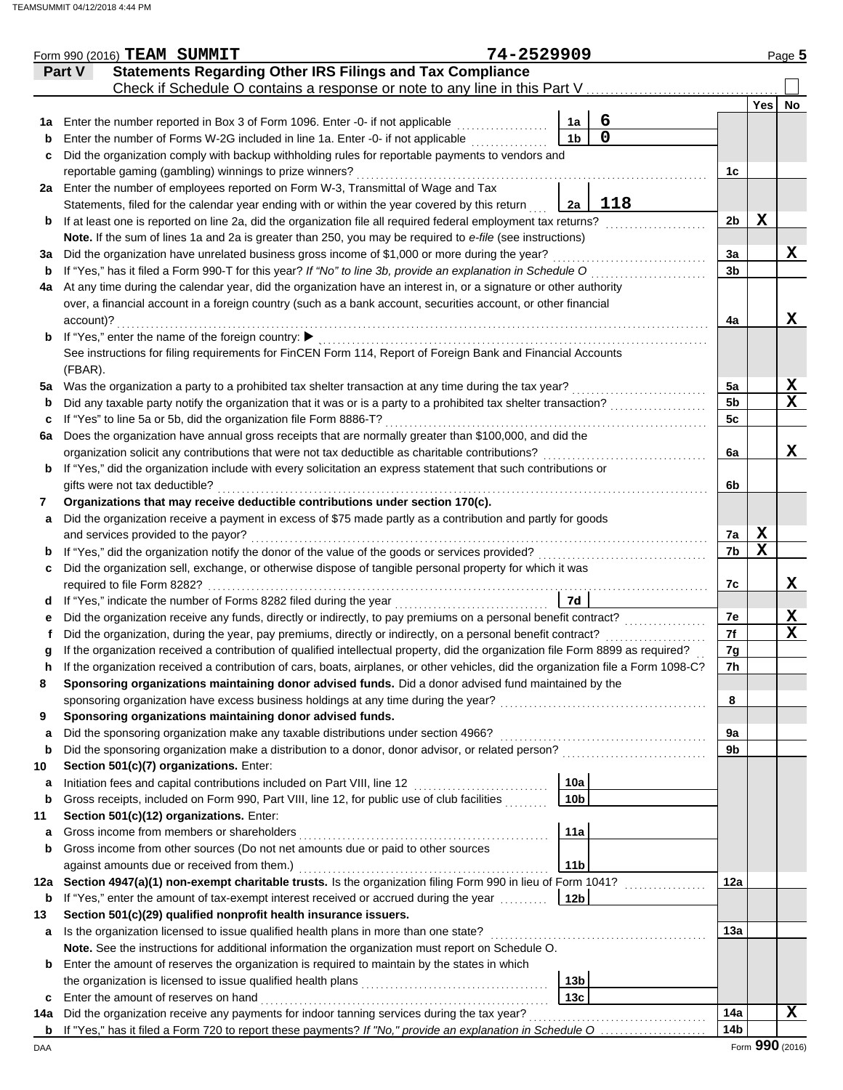|          | <b>Statements Regarding Other IRS Filings and Tax Compliance</b><br>Part V<br>Check if Schedule O contains a response or note to any line in this Part V                                                                                         |                                    |                                                                                                                       |                      |                 |                                 |
|----------|--------------------------------------------------------------------------------------------------------------------------------------------------------------------------------------------------------------------------------------------------|------------------------------------|-----------------------------------------------------------------------------------------------------------------------|----------------------|-----------------|---------------------------------|
|          |                                                                                                                                                                                                                                                  |                                    |                                                                                                                       |                      |                 |                                 |
|          |                                                                                                                                                                                                                                                  |                                    |                                                                                                                       |                      |                 |                                 |
|          |                                                                                                                                                                                                                                                  |                                    |                                                                                                                       |                      | Yes             | No                              |
| 1а       | Enter the number reported in Box 3 of Form 1096. Enter -0- if not applicable                                                                                                                                                                     | 1a                                 | 6                                                                                                                     |                      |                 |                                 |
| b        | Enter the number of Forms W-2G included in line 1a. Enter -0- if not applicable                                                                                                                                                                  | 1 <sub>b</sub>                     | 0                                                                                                                     |                      |                 |                                 |
| c        | Did the organization comply with backup withholding rules for reportable payments to vendors and                                                                                                                                                 |                                    |                                                                                                                       |                      |                 |                                 |
|          | reportable gaming (gambling) winnings to prize winners?                                                                                                                                                                                          |                                    |                                                                                                                       | 1c                   |                 |                                 |
| 2a       | Enter the number of employees reported on Form W-3, Transmittal of Wage and Tax                                                                                                                                                                  |                                    |                                                                                                                       |                      |                 |                                 |
|          | Statements, filed for the calendar year ending with or within the year covered by this return                                                                                                                                                    | 2a                                 | 118                                                                                                                   |                      |                 |                                 |
| b        | If at least one is reported on line 2a, did the organization file all required federal employment tax returns?                                                                                                                                   |                                    |                                                                                                                       | 2 <sub>b</sub>       | X               |                                 |
|          | Note. If the sum of lines 1a and 2a is greater than 250, you may be required to e-file (see instructions)                                                                                                                                        |                                    |                                                                                                                       |                      |                 |                                 |
| За       | Did the organization have unrelated business gross income of \$1,000 or more during the year?<br>If "Yes," has it filed a Form 990-T for this year? If "No" to line 3b, provide an explanation in Schedule O                                     |                                    |                                                                                                                       | 3a<br>3 <sub>b</sub> |                 | X                               |
| b<br>4a  | At any time during the calendar year, did the organization have an interest in, or a signature or other authority                                                                                                                                |                                    |                                                                                                                       |                      |                 |                                 |
|          | over, a financial account in a foreign country (such as a bank account, securities account, or other financial                                                                                                                                   |                                    |                                                                                                                       |                      |                 |                                 |
|          | account)?                                                                                                                                                                                                                                        |                                    |                                                                                                                       | 4a                   |                 | X                               |
| b        | If "Yes," enter the name of the foreign country: ▶                                                                                                                                                                                               |                                    |                                                                                                                       |                      |                 |                                 |
|          | See instructions for filing requirements for FinCEN Form 114, Report of Foreign Bank and Financial Accounts                                                                                                                                      |                                    |                                                                                                                       |                      |                 |                                 |
|          | (FBAR).                                                                                                                                                                                                                                          |                                    |                                                                                                                       |                      |                 |                                 |
| 5а       | Was the organization a party to a prohibited tax shelter transaction at any time during the tax year?                                                                                                                                            |                                    |                                                                                                                       | 5a                   |                 | X                               |
| b        | Did any taxable party notify the organization that it was or is a party to a prohibited tax shelter transaction?                                                                                                                                 |                                    |                                                                                                                       | 5 <sub>b</sub>       |                 | $\overline{\mathbf{x}}$         |
| c        | If "Yes" to line 5a or 5b, did the organization file Form 8886-T?                                                                                                                                                                                |                                    |                                                                                                                       | 5 <sub>c</sub>       |                 |                                 |
| 6a       | Does the organization have annual gross receipts that are normally greater than \$100,000, and did the                                                                                                                                           |                                    |                                                                                                                       |                      |                 |                                 |
|          | organization solicit any contributions that were not tax deductible as charitable contributions?                                                                                                                                                 |                                    |                                                                                                                       | 6a                   |                 | X                               |
| b        | If "Yes," did the organization include with every solicitation an express statement that such contributions or                                                                                                                                   |                                    |                                                                                                                       |                      |                 |                                 |
|          | gifts were not tax deductible?                                                                                                                                                                                                                   |                                    |                                                                                                                       | 6b                   |                 |                                 |
| 7        | Organizations that may receive deductible contributions under section 170(c).                                                                                                                                                                    |                                    |                                                                                                                       |                      |                 |                                 |
| a        | Did the organization receive a payment in excess of \$75 made partly as a contribution and partly for goods                                                                                                                                      |                                    |                                                                                                                       |                      |                 |                                 |
|          | and services provided to the payor?                                                                                                                                                                                                              |                                    |                                                                                                                       | 7a                   | X               |                                 |
| b        | If "Yes," did the organization notify the donor of the value of the goods or services provided?                                                                                                                                                  |                                    |                                                                                                                       | 7b                   | $\mathbf x$     |                                 |
| c        | Did the organization sell, exchange, or otherwise dispose of tangible personal property for which it was                                                                                                                                         |                                    |                                                                                                                       |                      |                 |                                 |
|          | required to file Form 8282?                                                                                                                                                                                                                      |                                    |                                                                                                                       | 7c                   |                 | x                               |
| d        |                                                                                                                                                                                                                                                  | 7d                                 |                                                                                                                       |                      |                 |                                 |
| е        | Did the organization receive any funds, directly or indirectly, to pay premiums on a personal benefit contract?                                                                                                                                  |                                    |                                                                                                                       | 7e<br>7f             |                 | $\frac{\mathbf{X}}{\mathbf{X}}$ |
|          | Did the organization, during the year, pay premiums, directly or indirectly, on a personal benefit contract?<br>If the organization received a contribution of qualified intellectual property, did the organization file Form 8899 as required? |                                    |                                                                                                                       | 7g                   |                 |                                 |
|          | If the organization received a contribution of cars, boats, airplanes, or other vehicles, did the organization file a Form 1098-C?                                                                                                               |                                    |                                                                                                                       | 7h                   |                 |                                 |
| n<br>8   | Sponsoring organizations maintaining donor advised funds. Did a donor advised fund maintained by the                                                                                                                                             |                                    |                                                                                                                       |                      |                 |                                 |
|          | sponsoring organization have excess business holdings at any time during the year?                                                                                                                                                               |                                    | <u> 1986 - Johann Stoff, deutscher Stoff, der Stoff, der Stoff, der Stoff, der Stoff, der Stoff, der Stoff, der S</u> | 8                    |                 |                                 |
| 9        | Sponsoring organizations maintaining donor advised funds.                                                                                                                                                                                        |                                    |                                                                                                                       |                      |                 |                                 |
| a        | Did the sponsoring organization make any taxable distributions under section 4966?                                                                                                                                                               |                                    |                                                                                                                       | 9a                   |                 |                                 |
| b        | Did the sponsoring organization make a distribution to a donor, donor advisor, or related person?                                                                                                                                                |                                    |                                                                                                                       | 9b                   |                 |                                 |
| 10       | Section 501(c)(7) organizations. Enter:                                                                                                                                                                                                          |                                    |                                                                                                                       |                      |                 |                                 |
| a        | Initiation fees and capital contributions included on Part VIII, line 12                                                                                                                                                                         | 10a                                |                                                                                                                       |                      |                 |                                 |
| b        | Gross receipts, included on Form 990, Part VIII, line 12, for public use of club facilities                                                                                                                                                      | 10 <sub>b</sub>                    |                                                                                                                       |                      |                 |                                 |
| 11       | Section 501(c)(12) organizations. Enter:                                                                                                                                                                                                         |                                    |                                                                                                                       |                      |                 |                                 |
| a        | Gross income from members or shareholders                                                                                                                                                                                                        | 11a                                |                                                                                                                       |                      |                 |                                 |
| b        | Gross income from other sources (Do not net amounts due or paid to other sources                                                                                                                                                                 |                                    |                                                                                                                       |                      |                 |                                 |
|          | against amounts due or received from them.)                                                                                                                                                                                                      | 11 <sub>b</sub>                    |                                                                                                                       |                      |                 |                                 |
| 12a      | Section 4947(a)(1) non-exempt charitable trusts. Is the organization filing Form 990 in lieu of Form 1041?                                                                                                                                       |                                    |                                                                                                                       | 12a                  |                 |                                 |
| b        | If "Yes," enter the amount of tax-exempt interest received or accrued during the year                                                                                                                                                            | 12 <sub>b</sub>                    |                                                                                                                       |                      |                 |                                 |
| 13       | Section 501(c)(29) qualified nonprofit health insurance issuers.                                                                                                                                                                                 |                                    |                                                                                                                       |                      |                 |                                 |
| a        | Is the organization licensed to issue qualified health plans in more than one state?                                                                                                                                                             |                                    |                                                                                                                       | 13a                  |                 |                                 |
|          | Note. See the instructions for additional information the organization must report on Schedule O.                                                                                                                                                |                                    |                                                                                                                       |                      |                 |                                 |
| b        | Enter the amount of reserves the organization is required to maintain by the states in which                                                                                                                                                     |                                    |                                                                                                                       |                      |                 |                                 |
|          | the organization is licensed to issue qualified health plans                                                                                                                                                                                     | 13 <sub>b</sub><br>13 <sub>c</sub> |                                                                                                                       |                      |                 |                                 |
| c<br>14a | Enter the amount of reserves on hand<br>Did the organization receive any payments for indoor tanning services during the tax year?                                                                                                               |                                    |                                                                                                                       | 14a                  |                 | $\mathbf X$                     |
| b        | If "Yes," has it filed a Form 720 to report these payments? If "No," provide an explanation in Schedule O                                                                                                                                        |                                    |                                                                                                                       | 14b                  |                 |                                 |
| DAA      |                                                                                                                                                                                                                                                  |                                    |                                                                                                                       |                      | Form 990 (2016) |                                 |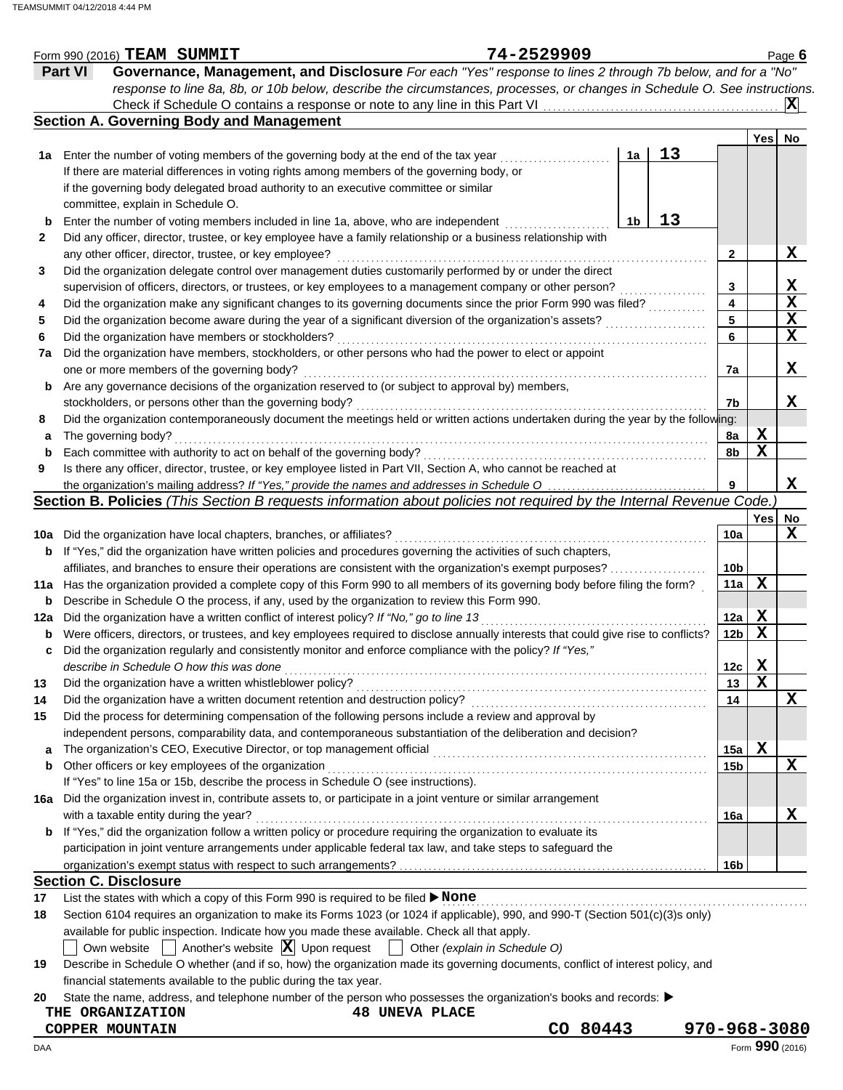|     | <b>Section A. Governing Body and Management</b>                                                                                     |    |    |                 |             |                         |
|-----|-------------------------------------------------------------------------------------------------------------------------------------|----|----|-----------------|-------------|-------------------------|
|     |                                                                                                                                     |    |    |                 | Yes         | No                      |
|     | 1a Enter the number of voting members of the governing body at the end of the tax year                                              | 1a | 13 |                 |             |                         |
|     | If there are material differences in voting rights among members of the governing body, or                                          |    |    |                 |             |                         |
|     | if the governing body delegated broad authority to an executive committee or similar                                                |    |    |                 |             |                         |
|     | committee, explain in Schedule O.                                                                                                   |    |    |                 |             |                         |
| b   | Enter the number of voting members included in line 1a, above, who are independent                                                  | 1b | 13 |                 |             |                         |
| 2   | Did any officer, director, trustee, or key employee have a family relationship or a business relationship with                      |    |    |                 |             |                         |
|     | any other officer, director, trustee, or key employee?                                                                              |    |    | 2               |             | X                       |
| 3   | Did the organization delegate control over management duties customarily performed by or under the direct                           |    |    |                 |             |                         |
|     | supervision of officers, directors, or trustees, or key employees to a management company or other person?                          |    |    | 3               |             |                         |
| 4   | Did the organization make any significant changes to its governing documents since the prior Form 990 was filed?                    |    |    | 4               |             | $rac{X}{X}$             |
| 5   | Did the organization become aware during the year of a significant diversion of the organization's assets?                          |    |    | 5               |             | $\overline{\mathbf{X}}$ |
| 6   | Did the organization have members or stockholders?                                                                                  |    |    | 6               |             | $\overline{\mathbf{X}}$ |
|     | Did the organization have members, stockholders, or other persons who had the power to elect or appoint                             |    |    |                 |             |                         |
| 7a  |                                                                                                                                     |    |    |                 |             |                         |
|     | one or more members of the governing body?                                                                                          |    |    | 7a              |             | X                       |
| b   | Are any governance decisions of the organization reserved to (or subject to approval by) members,                                   |    |    |                 |             |                         |
|     | stockholders, or persons other than the governing body?                                                                             |    |    | 7b              |             | X                       |
| 8   | Did the organization contemporaneously document the meetings held or written actions undertaken during the year by the following:   |    |    |                 |             |                         |
| a   | The governing body?                                                                                                                 |    |    | 8a              | X           |                         |
| b   | Each committee with authority to act on behalf of the governing body?                                                               |    |    | 8b              | $\mathbf x$ |                         |
| 9   | Is there any officer, director, trustee, or key employee listed in Part VII, Section A, who cannot be reached at                    |    |    |                 |             |                         |
|     |                                                                                                                                     |    |    | 9               |             | X                       |
|     | Section B. Policies (This Section B requests information about policies not required by the Internal Revenue Code.                  |    |    |                 |             |                         |
|     |                                                                                                                                     |    |    |                 | Yes         | No                      |
|     | 10a Did the organization have local chapters, branches, or affiliates?                                                              |    |    | 10a             |             | X                       |
| b   | If "Yes," did the organization have written policies and procedures governing the activities of such chapters,                      |    |    |                 |             |                         |
|     | affiliates, and branches to ensure their operations are consistent with the organization's exempt purposes?                         |    |    | 10 <sub>b</sub> |             |                         |
| 11a | Has the organization provided a complete copy of this Form 990 to all members of its governing body before filing the form?         |    |    | 11a             | X           |                         |
| b   | Describe in Schedule O the process, if any, used by the organization to review this Form 990.                                       |    |    |                 |             |                         |
| 12a | Did the organization have a written conflict of interest policy? If "No," go to line 13                                             |    |    | 12a             | X           |                         |
| b   | Were officers, directors, or trustees, and key employees required to disclose annually interests that could give rise to conflicts? |    |    | 12b             | X           |                         |
| c   | Did the organization regularly and consistently monitor and enforce compliance with the policy? If "Yes,"                           |    |    |                 |             |                         |
|     | describe in Schedule O how this was done                                                                                            |    |    | 12c             | X           |                         |
|     | Did the organization have a written whistleblower policy?                                                                           |    |    | 13              | X           |                         |
| 14  | Did the organization have a written document retention and destruction policy?                                                      |    |    | 14              |             | X                       |
| 15  | Did the process for determining compensation of the following persons include a review and approval by                              |    |    |                 |             |                         |
|     | independent persons, comparability data, and contemporaneous substantiation of the deliberation and decision?                       |    |    |                 |             |                         |
| a   |                                                                                                                                     |    |    | 15a             | X           |                         |
| b   | Other officers or key employees of the organization                                                                                 |    |    | 15b             |             | X                       |
|     | If "Yes" to line 15a or 15b, describe the process in Schedule O (see instructions).                                                 |    |    |                 |             |                         |
| 16а | Did the organization invest in, contribute assets to, or participate in a joint venture or similar arrangement                      |    |    |                 |             |                         |
|     | with a taxable entity during the year?                                                                                              |    |    | 16a             |             | X                       |
| b   | If "Yes," did the organization follow a written policy or procedure requiring the organization to evaluate its                      |    |    |                 |             |                         |
|     |                                                                                                                                     |    |    |                 |             |                         |
|     | participation in joint venture arrangements under applicable federal tax law, and take steps to safeguard the                       |    |    |                 |             |                         |
|     |                                                                                                                                     |    |    | 16b             |             |                         |
|     | <b>Section C. Disclosure</b>                                                                                                        |    |    |                 |             |                         |
| 17  | List the states with which a copy of this Form 990 is required to be filed > None                                                   |    |    |                 |             |                         |
| 18  | Section 6104 requires an organization to make its Forms 1023 (or 1024 if applicable), 990, and 990-T (Section 501(c)(3)s only)      |    |    |                 |             |                         |
|     | available for public inspection. Indicate how you made these available. Check all that apply.                                       |    |    |                 |             |                         |
|     | Another's website $ \mathbf{X} $ Upon request<br>Other (explain in Schedule O)<br>Own website                                       |    |    |                 |             |                         |
| 19  | Describe in Schedule O whether (and if so, how) the organization made its governing documents, conflict of interest policy, and     |    |    |                 |             |                         |
|     | financial statements available to the public during the tax year.                                                                   |    |    |                 |             |                         |
| 20  | State the name, address, and telephone number of the person who possesses the organization's books and records: ▶                   |    |    |                 |             |                         |
|     | <b>48 UNEVA PLACE</b><br>THE ORGANIZATION                                                                                           |    |    |                 |             |                         |
|     | CO 80443<br><b>COPPER MOUNTAIN</b>                                                                                                  |    |    | 970-968-3080    |             |                         |

Form 990 (2016) Page **6 TEAM SUMMIT 74-2529909**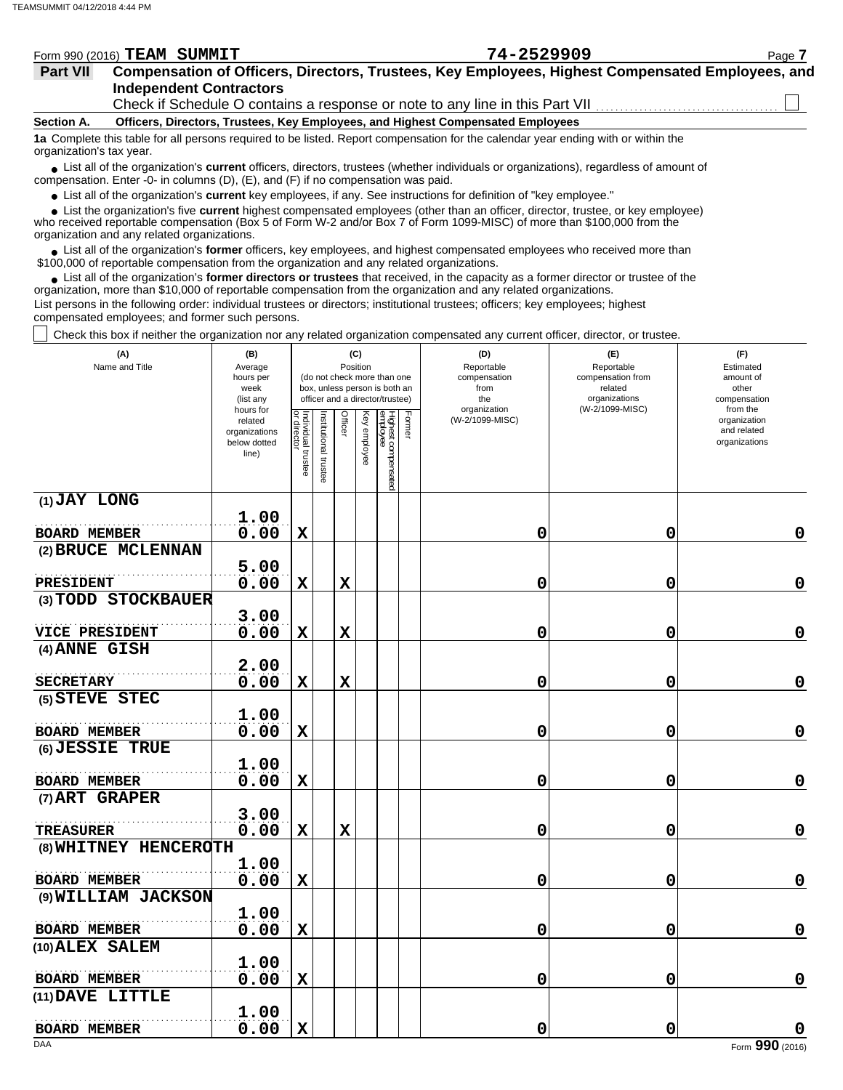## Form 990 (2016) Page **7 TEAM SUMMIT 74-2529909**

|  | 74-2529909 |  |  |  |  |  |  |  |  |  |
|--|------------|--|--|--|--|--|--|--|--|--|
|--|------------|--|--|--|--|--|--|--|--|--|

| <b>Part VII</b> | Compensation of Officers, Directors, Trustees, Key Employees, Highest Compensated Employees, and |  |
|-----------------|--------------------------------------------------------------------------------------------------|--|
|                 | <b>Independent Contractors</b>                                                                   |  |
|                 |                                                                                                  |  |

Check if Schedule O contains a response or note to any line in this Part VII

**Section A. Officers, Directors, Trustees, Key Employees, and Highest Compensated Employees**

**1a** Complete this table for all persons required to be listed. Report compensation for the calendar year ending with or within the organization's tax year.

■ List all of the organization's **current** officers, directors, trustees (whether individuals or organizations), regardless of amount of compensation. Enter -0- in columns (D), (E), and (F) if no compensation was paid.

● List all of the organization's **current** key employees, if any. See instructions for definition of "key employee."

 $\bullet$  List the organization's five **current** highest compensated employees (other than an officer, director, trustee, or key employee)<br>a received reportable compensation (Box 5 of Form  $M-2$  and/or Box 7 of Form 1000-MISC)

who received reportable compensation (Box 5 of Form W-2 and/or Box 7 of Form 1099-MISC) of more than \$100,000 from the organization and any related organizations.

• List all of the organization's **former** officers, key employees, and highest compensated employees who received more than<br>00,000 of reportable compensation from the erganization and any related erganizations. \$100,000 of reportable compensation from the organization and any related organizations.

• List all of the organization's **former directors or trustees** that received, in the capacity as a former director or trustee of the organization, more than \$10,000 of reportable compensation from the organization and any related organizations. List persons in the following order: individual trustees or directors; institutional trustees; officers; key employees; highest

compensated employees; and former such persons.

Check this box if neither the organization nor any related organization compensated any current officer, director, or trustee.

| (A)<br>Name and Title | (B)<br>Average<br>hours per<br>week<br>(list any               | (C)<br>Position<br>(do not check more than one<br>box, unless person is both an<br>officer and a director/trustee) |                      |             |              |                                 |        | (D)<br>Reportable<br>compensation<br>from<br>the | (E)<br>Reportable<br>compensation from<br>related<br>organizations | (F)<br>Estimated<br>amount of<br>other<br>compensation   |  |
|-----------------------|----------------------------------------------------------------|--------------------------------------------------------------------------------------------------------------------|----------------------|-------------|--------------|---------------------------------|--------|--------------------------------------------------|--------------------------------------------------------------------|----------------------------------------------------------|--|
|                       | hours for<br>related<br>organizations<br>below dotted<br>line) | Individual trustee<br>or director                                                                                  | nstitutional trustee | Officer     | Key employee | Highest compensated<br>employee | Former | organization<br>(W-2/1099-MISC)                  | (W-2/1099-MISC)                                                    | from the<br>organization<br>and related<br>organizations |  |
| $(1)$ JAY LONG        | 1.00                                                           |                                                                                                                    |                      |             |              |                                 |        |                                                  |                                                                    |                                                          |  |
| <b>BOARD MEMBER</b>   | 0.00                                                           | $\mathbf X$                                                                                                        |                      |             |              |                                 |        | 0                                                | 0                                                                  | 0                                                        |  |
| (2) BRUCE MCLENNAN    |                                                                |                                                                                                                    |                      |             |              |                                 |        |                                                  |                                                                    |                                                          |  |
| <b>PRESIDENT</b>      | 5.00<br>0.00                                                   | $\mathbf x$                                                                                                        |                      | $\mathbf x$ |              |                                 |        | 0                                                | 0                                                                  | $\mathbf 0$                                              |  |
| (3) TODD STOCKBAUER   |                                                                |                                                                                                                    |                      |             |              |                                 |        |                                                  |                                                                    |                                                          |  |
| <b>VICE PRESIDENT</b> | 3.00<br>0.00                                                   | $\mathbf X$                                                                                                        |                      | $\mathbf x$ |              |                                 |        | 0                                                | 0                                                                  | 0                                                        |  |
| (4) ANNE GISH         |                                                                |                                                                                                                    |                      |             |              |                                 |        |                                                  |                                                                    |                                                          |  |
|                       | 2.00                                                           |                                                                                                                    |                      |             |              |                                 |        |                                                  |                                                                    |                                                          |  |
| <b>SECRETARY</b>      | 0.00                                                           | $\mathbf X$                                                                                                        |                      | $\mathbf X$ |              |                                 |        | 0                                                | 0                                                                  | 0                                                        |  |
| (5) STEVE STEC        |                                                                |                                                                                                                    |                      |             |              |                                 |        |                                                  |                                                                    |                                                          |  |
| <b>BOARD MEMBER</b>   | 1.00<br>0.00                                                   | $\mathbf X$                                                                                                        |                      |             |              |                                 |        | 0                                                | 0                                                                  | $\mathbf 0$                                              |  |
| (6) JESSIE TRUE       |                                                                |                                                                                                                    |                      |             |              |                                 |        |                                                  |                                                                    |                                                          |  |
|                       | 1.00                                                           |                                                                                                                    |                      |             |              |                                 |        |                                                  |                                                                    |                                                          |  |
| <b>BOARD MEMBER</b>   | 0.00                                                           | X                                                                                                                  |                      |             |              |                                 |        | 0                                                | 0                                                                  | $\mathbf 0$                                              |  |
| (7) ART GRAPER        |                                                                |                                                                                                                    |                      |             |              |                                 |        |                                                  |                                                                    |                                                          |  |
|                       | 3.00                                                           |                                                                                                                    |                      |             |              |                                 |        |                                                  |                                                                    |                                                          |  |
| <b>TREASURER</b>      | 0.00                                                           | $\mathbf X$                                                                                                        |                      | $\mathbf x$ |              |                                 |        | 0                                                | 0                                                                  | 0                                                        |  |
| (8) WHITNEY HENCEROTH |                                                                |                                                                                                                    |                      |             |              |                                 |        |                                                  |                                                                    |                                                          |  |
| <b>BOARD MEMBER</b>   | 1.00<br>0.00                                                   | $\mathbf X$                                                                                                        |                      |             |              |                                 |        | 0                                                | 0                                                                  | 0                                                        |  |
| (9) WILLIAM JACKSON   |                                                                |                                                                                                                    |                      |             |              |                                 |        |                                                  |                                                                    |                                                          |  |
|                       | 1.00                                                           |                                                                                                                    |                      |             |              |                                 |        |                                                  |                                                                    |                                                          |  |
| <b>BOARD MEMBER</b>   | 0.00                                                           | $\mathbf X$                                                                                                        |                      |             |              |                                 |        | 0                                                | 0                                                                  | $\mathbf 0$                                              |  |
| (10) ALEX SALEM       |                                                                |                                                                                                                    |                      |             |              |                                 |        |                                                  |                                                                    |                                                          |  |
|                       | 1.00                                                           |                                                                                                                    |                      |             |              |                                 |        |                                                  |                                                                    |                                                          |  |
| <b>BOARD MEMBER</b>   | 0.00                                                           | X                                                                                                                  |                      |             |              |                                 |        | 0                                                | 0                                                                  | $\mathbf 0$                                              |  |
| (11) DAVE LITTLE      |                                                                |                                                                                                                    |                      |             |              |                                 |        |                                                  |                                                                    |                                                          |  |
| <b>BOARD MEMBER</b>   | 1.00<br>0.00                                                   | X                                                                                                                  |                      |             |              |                                 |        | 0                                                | 0                                                                  | 0                                                        |  |
| DAA                   |                                                                |                                                                                                                    |                      |             |              |                                 |        |                                                  |                                                                    | Form 990 (2016)                                          |  |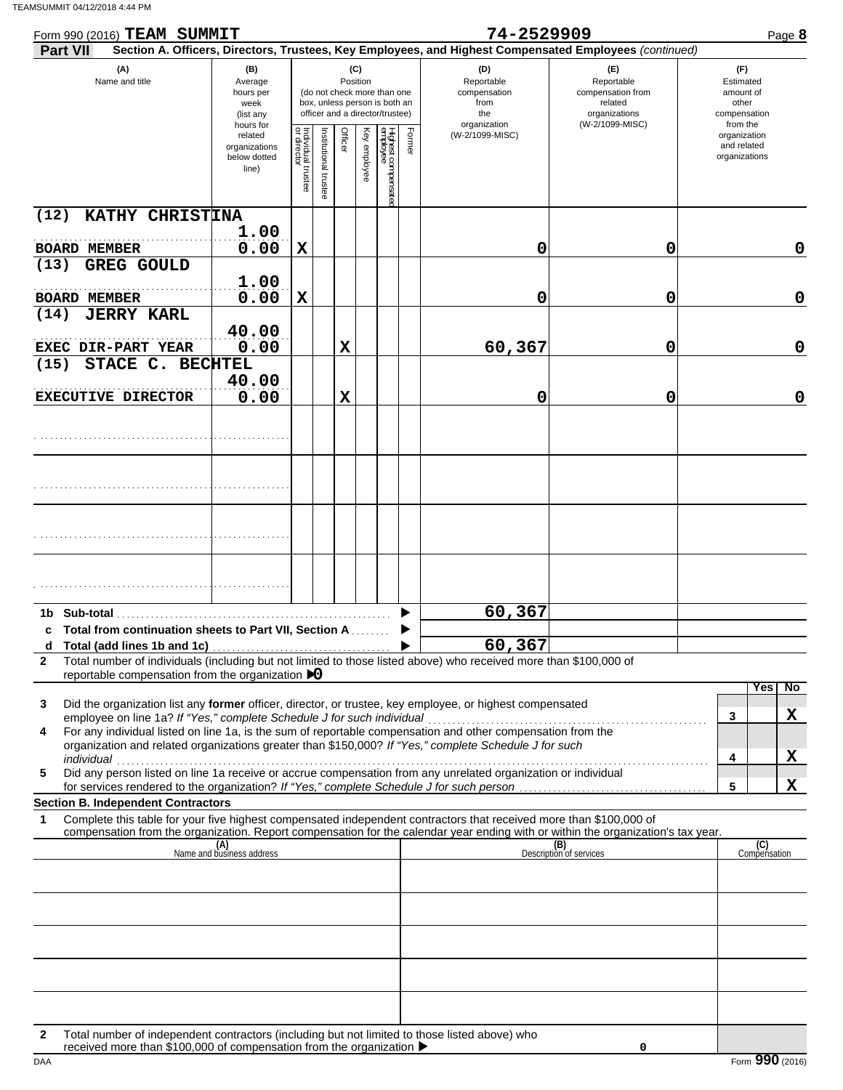| Form 990 (2016) TEAM SUMMIT                                                                                                                                                                                                                                 |                                                               |                                   |                      |         |                 |                                                                                                 |        | 74-2529909                                                                                             |                                                                                       |   | Page 8                                                             |
|-------------------------------------------------------------------------------------------------------------------------------------------------------------------------------------------------------------------------------------------------------------|---------------------------------------------------------------|-----------------------------------|----------------------|---------|-----------------|-------------------------------------------------------------------------------------------------|--------|--------------------------------------------------------------------------------------------------------|---------------------------------------------------------------------------------------|---|--------------------------------------------------------------------|
| <b>Part VII</b>                                                                                                                                                                                                                                             |                                                               |                                   |                      |         |                 |                                                                                                 |        | Section A. Officers, Directors, Trustees, Key Employees, and Highest Compensated Employees (continued) |                                                                                       |   |                                                                    |
| (A)<br>Name and title                                                                                                                                                                                                                                       | (B)<br>Average<br>hours per<br>week<br>(list any<br>hours for |                                   |                      |         | (C)<br>Position | (do not check more than one<br>box, unless person is both an<br>officer and a director/trustee) |        | (D)<br>Reportable<br>compensation<br>from<br>the<br>organization                                       | (F)<br>Reportable<br>compensation from<br>related<br>organizations<br>(W-2/1099-MISC) |   | (F)<br>Estimated<br>amount of<br>other<br>compensation<br>from the |
|                                                                                                                                                                                                                                                             | related<br>organizations<br>below dotted<br>line)             | Individual trustee<br>or director | nstitutional trustee | Officer | Key employee    | Highest compensatec<br>employee                                                                 | Former | (W-2/1099-MISC)                                                                                        |                                                                                       |   | organization<br>and related<br>organizations                       |
| KATHY CHRISTINA<br>(12)                                                                                                                                                                                                                                     | 1.00                                                          |                                   |                      |         |                 |                                                                                                 |        |                                                                                                        |                                                                                       |   |                                                                    |
| <b>BOARD MEMBER</b>                                                                                                                                                                                                                                         | 0.00                                                          | $\mathbf x$                       |                      |         |                 |                                                                                                 |        | 0                                                                                                      | 0                                                                                     |   | 0                                                                  |
| <b>GREG GOULD</b><br>(13)                                                                                                                                                                                                                                   | 1.00                                                          |                                   |                      |         |                 |                                                                                                 |        |                                                                                                        |                                                                                       |   |                                                                    |
| <b>BOARD MEMBER</b>                                                                                                                                                                                                                                         | 0.00                                                          | $\mathbf x$                       |                      |         |                 |                                                                                                 |        | 0                                                                                                      | 0                                                                                     |   | 0                                                                  |
| <b>JERRY KARL</b><br>(14)                                                                                                                                                                                                                                   | 40.00                                                         |                                   |                      |         |                 |                                                                                                 |        |                                                                                                        |                                                                                       |   |                                                                    |
| <b>EXEC DIR-PART YEAR</b><br>STACE C. BECHTEL<br>(15)                                                                                                                                                                                                       | 0.00                                                          |                                   |                      | X       |                 |                                                                                                 |        | 60,367                                                                                                 | 0                                                                                     |   | $\mathbf 0$                                                        |
| <b>EXECUTIVE DIRECTOR</b>                                                                                                                                                                                                                                   | 40.00<br>0.00                                                 |                                   |                      | X       |                 |                                                                                                 |        | 0                                                                                                      | 0                                                                                     |   | 0                                                                  |
|                                                                                                                                                                                                                                                             |                                                               |                                   |                      |         |                 |                                                                                                 |        |                                                                                                        |                                                                                       |   |                                                                    |
|                                                                                                                                                                                                                                                             |                                                               |                                   |                      |         |                 |                                                                                                 |        |                                                                                                        |                                                                                       |   |                                                                    |
|                                                                                                                                                                                                                                                             |                                                               |                                   |                      |         |                 |                                                                                                 |        |                                                                                                        |                                                                                       |   |                                                                    |
|                                                                                                                                                                                                                                                             |                                                               |                                   |                      |         |                 |                                                                                                 |        |                                                                                                        |                                                                                       |   |                                                                    |
| 1b Sub-total                                                                                                                                                                                                                                                |                                                               |                                   |                      |         |                 |                                                                                                 |        | 60,367                                                                                                 |                                                                                       |   |                                                                    |
| c Total from continuation sheets to Part VII, Section A.<br>Total (add lines 1b and 1c)<br>d                                                                                                                                                                |                                                               |                                   |                      |         |                 |                                                                                                 |        | 60,367                                                                                                 |                                                                                       |   |                                                                    |
| Total number of individuals (including but not limited to those listed above) who received more than \$100,000 of<br>$\mathbf{2}$<br>reportable compensation from the organization $\bigtriangledown$                                                       |                                                               |                                   |                      |         |                 |                                                                                                 |        |                                                                                                        |                                                                                       |   |                                                                    |
| Did the organization list any former officer, director, or trustee, key employee, or highest compensated<br>3<br>employee on line 1a? If "Yes," complete Schedule J for such individual                                                                     |                                                               |                                   |                      |         |                 |                                                                                                 |        |                                                                                                        |                                                                                       | 3 | Yes<br>No.<br>X                                                    |
| For any individual listed on line 1a, is the sum of reportable compensation and other compensation from the<br>4<br>organization and related organizations greater than \$150,000? If "Yes," complete Schedule J for such                                   |                                                               |                                   |                      |         |                 |                                                                                                 |        |                                                                                                        |                                                                                       |   |                                                                    |
| individual<br>individual<br>Did any person listed on line 1a receive or accrue compensation from any unrelated organization or individual<br>5                                                                                                              |                                                               |                                   |                      |         |                 |                                                                                                 |        |                                                                                                        |                                                                                       | 4 | X                                                                  |
| <b>Section B. Independent Contractors</b>                                                                                                                                                                                                                   |                                                               |                                   |                      |         |                 |                                                                                                 |        |                                                                                                        |                                                                                       | 5 | X                                                                  |
| Complete this table for your five highest compensated independent contractors that received more than \$100,000 of<br>1<br>compensation from the organization. Report compensation for the calendar year ending with or within the organization's tax year. |                                                               |                                   |                      |         |                 |                                                                                                 |        |                                                                                                        |                                                                                       |   |                                                                    |
|                                                                                                                                                                                                                                                             | (A)<br>Name and business address                              |                                   |                      |         |                 |                                                                                                 |        |                                                                                                        | (B)<br>Description of services                                                        |   | (C)<br>Compensation                                                |
|                                                                                                                                                                                                                                                             |                                                               |                                   |                      |         |                 |                                                                                                 |        |                                                                                                        |                                                                                       |   |                                                                    |
|                                                                                                                                                                                                                                                             |                                                               |                                   |                      |         |                 |                                                                                                 |        |                                                                                                        |                                                                                       |   |                                                                    |
|                                                                                                                                                                                                                                                             |                                                               |                                   |                      |         |                 |                                                                                                 |        |                                                                                                        |                                                                                       |   |                                                                    |
|                                                                                                                                                                                                                                                             |                                                               |                                   |                      |         |                 |                                                                                                 |        |                                                                                                        |                                                                                       |   |                                                                    |
|                                                                                                                                                                                                                                                             |                                                               |                                   |                      |         |                 |                                                                                                 |        |                                                                                                        |                                                                                       |   |                                                                    |
| Total number of independent contractors (including but not limited to those listed above) who<br>2<br>received more than \$100,000 of compensation from the organization ▶                                                                                  |                                                               |                                   |                      |         |                 |                                                                                                 |        |                                                                                                        | 0                                                                                     |   |                                                                    |

| received more than \$100,000 of compensation from the organization ▶ |  |
|----------------------------------------------------------------------|--|
|                                                                      |  |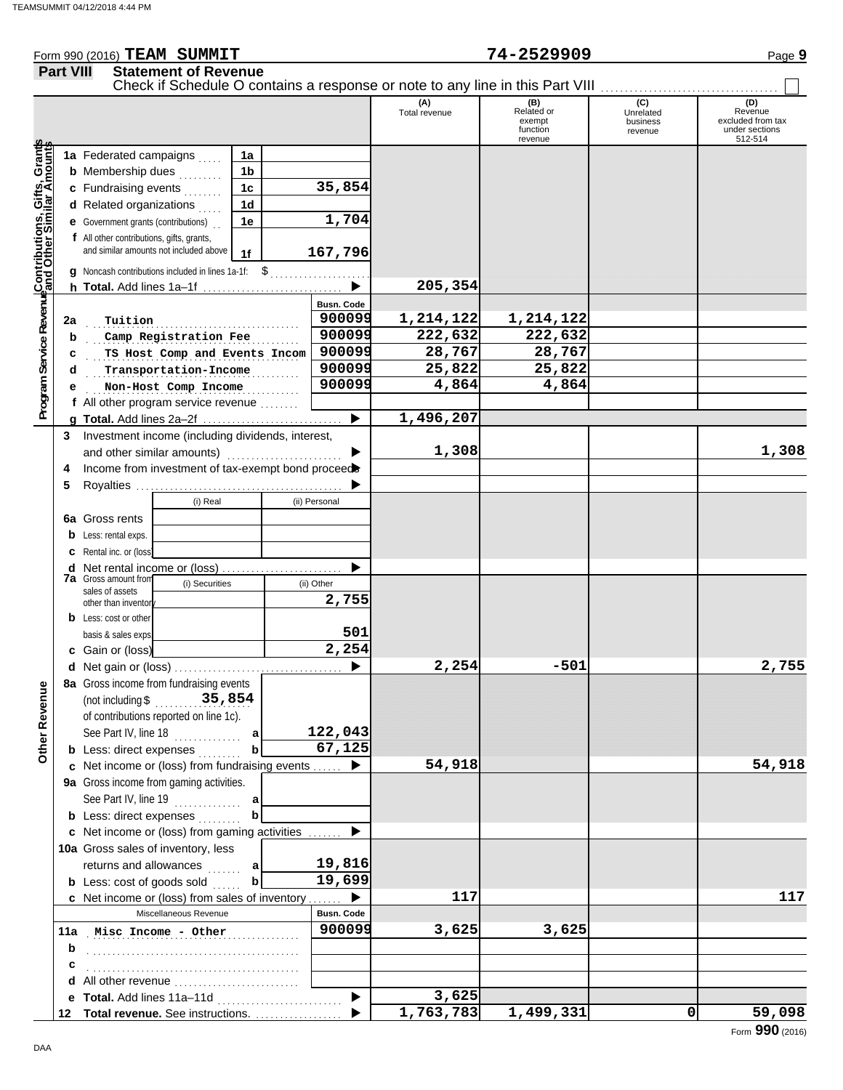### Form 990 (2016) Page **9**

**TEAM SUMMIT 74-2529909**

|                                                                                                                                      | <b>Part VIII</b> |                                           | <b>Statement of Revenue</b><br>Check if Schedule O contains a response or note to any line in this Part VIII |                |                       |                      |                                                    |                                         |                                                                  |
|--------------------------------------------------------------------------------------------------------------------------------------|------------------|-------------------------------------------|--------------------------------------------------------------------------------------------------------------|----------------|-----------------------|----------------------|----------------------------------------------------|-----------------------------------------|------------------------------------------------------------------|
|                                                                                                                                      |                  |                                           |                                                                                                              |                |                       | (A)<br>Total revenue | (B)<br>Related or<br>exempt<br>function<br>revenue | (C)<br>Unrelated<br>business<br>revenue | (D)<br>Revenue<br>excluded from tax<br>under sections<br>512-514 |
|                                                                                                                                      |                  |                                           | 1a Federated campaigns                                                                                       | 1a             |                       |                      |                                                    |                                         |                                                                  |
|                                                                                                                                      |                  |                                           | <b>b</b> Membership dues                                                                                     | 1 <sub>b</sub> |                       |                      |                                                    |                                         |                                                                  |
|                                                                                                                                      |                  |                                           | c Fundraising events                                                                                         | 1 <sub>c</sub> | 35,854                |                      |                                                    |                                         |                                                                  |
|                                                                                                                                      |                  |                                           | d Related organizations                                                                                      | 1 <sub>d</sub> |                       |                      |                                                    |                                         |                                                                  |
|                                                                                                                                      |                  |                                           | <b>e</b> Government grants (contributions)                                                                   | 1e             | 1,704                 |                      |                                                    |                                         |                                                                  |
|                                                                                                                                      |                  |                                           | f All other contributions, gifts, grants,                                                                    |                |                       |                      |                                                    |                                         |                                                                  |
|                                                                                                                                      |                  |                                           | and similar amounts not included above                                                                       | 1 <sub>f</sub> | 167,796               |                      |                                                    |                                         |                                                                  |
|                                                                                                                                      |                  |                                           | g Noncash contributions included in lines 1a-1f: \$                                                          |                |                       |                      |                                                    |                                         |                                                                  |
| Program Service Revenu <mark>eContributions, Gifts, Grant</mark> s<br>Program Service Revenue <mark>and Other Similar Amounts</mark> |                  |                                           |                                                                                                              |                |                       | 205,354              |                                                    |                                         |                                                                  |
|                                                                                                                                      |                  |                                           |                                                                                                              |                | <b>Busn. Code</b>     |                      |                                                    |                                         |                                                                  |
|                                                                                                                                      | 2a               |                                           | Tuition                                                                                                      |                | 900099                | 1,214,122            | 1,214,122                                          |                                         |                                                                  |
|                                                                                                                                      | b                |                                           | Camp Registration Fee                                                                                        |                | 900099                | 222,632              | 222,632                                            |                                         |                                                                  |
|                                                                                                                                      | c                |                                           | TS Host Comp and Events Incom                                                                                |                | 900099                | 28,767               | 28,767                                             |                                         |                                                                  |
|                                                                                                                                      | d                |                                           | Transportation-Income                                                                                        |                | 900099                | 25,822               | 25,822                                             |                                         |                                                                  |
|                                                                                                                                      |                  |                                           | Non-Host Comp Income                                                                                         |                | 900099                | 4,864                | 4,864                                              |                                         |                                                                  |
|                                                                                                                                      |                  |                                           | f All other program service revenue $\ldots$                                                                 |                |                       |                      |                                                    |                                         |                                                                  |
|                                                                                                                                      |                  |                                           |                                                                                                              |                | ▶                     | 1,496,207            |                                                    |                                         |                                                                  |
|                                                                                                                                      | 3                |                                           | Investment income (including dividends, interest,                                                            |                |                       |                      |                                                    |                                         |                                                                  |
|                                                                                                                                      |                  |                                           | and other similar amounts)                                                                                   |                |                       | 1,308                |                                                    |                                         | 1,308                                                            |
|                                                                                                                                      | 4                |                                           | Income from investment of tax-exempt bond proceed                                                            |                |                       |                      |                                                    |                                         |                                                                  |
|                                                                                                                                      | 5                |                                           |                                                                                                              |                |                       |                      |                                                    |                                         |                                                                  |
|                                                                                                                                      |                  |                                           | (i) Real                                                                                                     |                | (ii) Personal         |                      |                                                    |                                         |                                                                  |
|                                                                                                                                      |                  |                                           | 6a Gross rents                                                                                               |                |                       |                      |                                                    |                                         |                                                                  |
|                                                                                                                                      | b                |                                           | Less: rental exps.                                                                                           |                |                       |                      |                                                    |                                         |                                                                  |
|                                                                                                                                      |                  |                                           | Rental inc. or (loss)                                                                                        |                |                       |                      |                                                    |                                         |                                                                  |
|                                                                                                                                      | d                | <b>7a</b> Gross amount from<br>(ii) Other |                                                                                                              |                |                       |                      |                                                    |                                         |                                                                  |
|                                                                                                                                      |                  |                                           | (i) Securities<br>sales of assets                                                                            |                | 2,755                 |                      |                                                    |                                         |                                                                  |
|                                                                                                                                      |                  |                                           | other than inventor                                                                                          |                |                       |                      |                                                    |                                         |                                                                  |
|                                                                                                                                      |                  |                                           | <b>b</b> Less: cost or other                                                                                 |                | 501                   |                      |                                                    |                                         |                                                                  |
|                                                                                                                                      |                  |                                           | basis & sales exps<br>c Gain or (loss)                                                                       |                | 2,254                 |                      |                                                    |                                         |                                                                  |
|                                                                                                                                      |                  |                                           |                                                                                                              |                |                       | 2,254                | -501                                               |                                         | 2,755                                                            |
|                                                                                                                                      |                  |                                           | 8a Gross income from fundraising events                                                                      |                |                       |                      |                                                    |                                         |                                                                  |
| Other Revenue                                                                                                                        |                  |                                           | (not including $$35,854$                                                                                     |                |                       |                      |                                                    |                                         |                                                                  |
|                                                                                                                                      |                  |                                           | of contributions reported on line 1c).                                                                       |                |                       |                      |                                                    |                                         |                                                                  |
|                                                                                                                                      |                  |                                           | See Part IV, line 18                                                                                         | a              | 122,043               |                      |                                                    |                                         |                                                                  |
|                                                                                                                                      |                  |                                           | <b>b</b> Less: direct expenses                                                                               | b              | 67,125                |                      |                                                    |                                         |                                                                  |
|                                                                                                                                      |                  |                                           | c Net income or (loss) from fundraising events                                                               |                |                       | 54,918               |                                                    |                                         | 54,918                                                           |
|                                                                                                                                      |                  |                                           | 9a Gross income from gaming activities.                                                                      |                |                       |                      |                                                    |                                         |                                                                  |
|                                                                                                                                      |                  |                                           | See Part IV, line 19                                                                                         | a              |                       |                      |                                                    |                                         |                                                                  |
|                                                                                                                                      |                  |                                           | <b>b</b> Less: direct expenses                                                                               |                |                       |                      |                                                    |                                         |                                                                  |
|                                                                                                                                      |                  |                                           | <b>c</b> Net income or (loss) from gaming activities                                                         |                |                       |                      |                                                    |                                         |                                                                  |
|                                                                                                                                      |                  |                                           | 10a Gross sales of inventory, less                                                                           |                |                       |                      |                                                    |                                         |                                                                  |
|                                                                                                                                      |                  |                                           | returns and allowances                                                                                       | a              | 19,816                |                      |                                                    |                                         |                                                                  |
|                                                                                                                                      |                  |                                           | <b>b</b> Less: cost of goods sold                                                                            | b              | 19,699                |                      |                                                    |                                         |                                                                  |
|                                                                                                                                      |                  |                                           | c Net income or (loss) from sales of inventory                                                               |                | $\blacktriangleright$ | 117                  |                                                    |                                         | 117                                                              |
|                                                                                                                                      |                  |                                           | Miscellaneous Revenue                                                                                        |                | <b>Busn. Code</b>     |                      |                                                    |                                         |                                                                  |
|                                                                                                                                      |                  |                                           | 11a Misc Income - Other                                                                                      |                | 900099                | 3,625                | 3,625                                              |                                         |                                                                  |
|                                                                                                                                      | b                |                                           |                                                                                                              |                |                       |                      |                                                    |                                         |                                                                  |
|                                                                                                                                      | с                |                                           |                                                                                                              |                |                       |                      |                                                    |                                         |                                                                  |
|                                                                                                                                      |                  |                                           | d All other revenue                                                                                          |                |                       | 3,625                |                                                    |                                         |                                                                  |
|                                                                                                                                      |                  |                                           | e Total. Add lines 11a-11d<br>12 Total revenue. See instructions.                                            |                |                       | 1,763,783            | 1,499,331                                          | 0                                       | 59,098                                                           |
|                                                                                                                                      |                  |                                           |                                                                                                              |                |                       |                      |                                                    |                                         |                                                                  |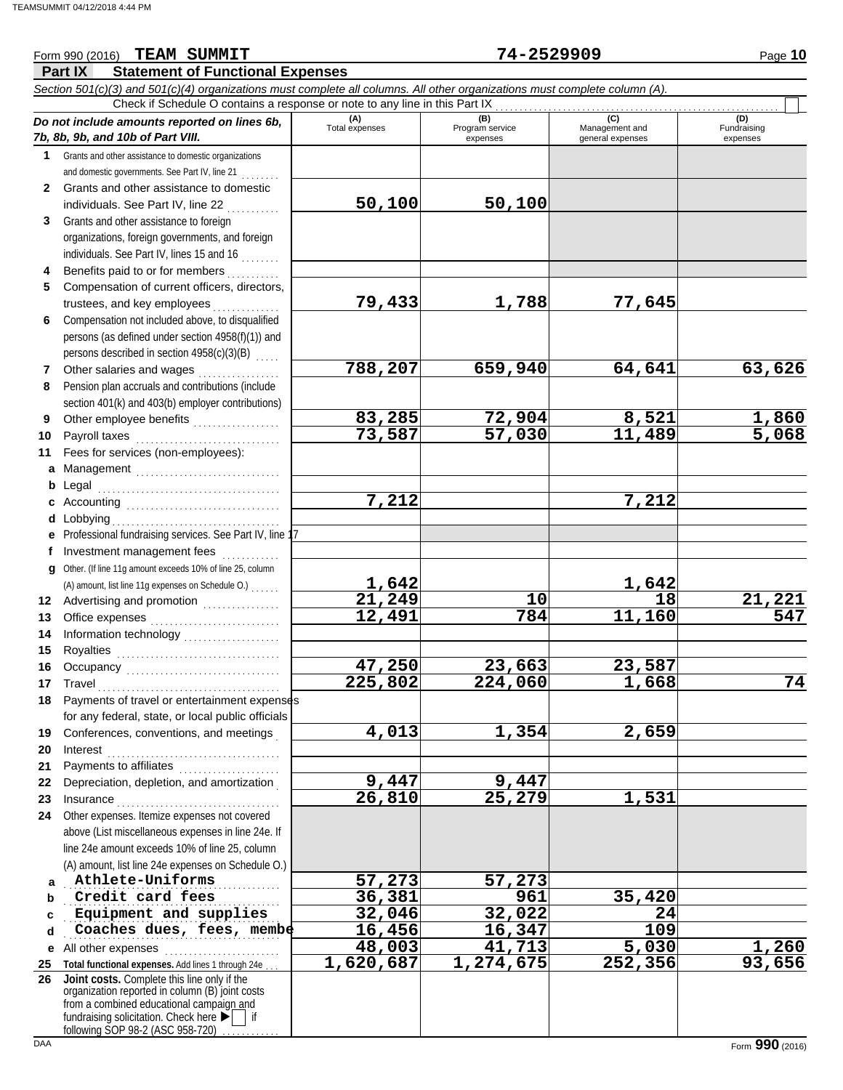#### **Part IX Statement of Functional Expenses** Form 990 (2016) Page **10 TEAM SUMMIT 74-2529909** *Section 501(c)(3) and 501(c)(4) organizations must complete all columns. All other organizations must complete column (A). Do not include amounts reported on lines 6b, 7b, 8b, 9b, and 10b of Part VIII.* **1 2 3 4 5 6 7 8 9 10 11 a** Management .............................. **b** Legal **c** Accounting . . . . . . . . . . . . . . . . . . . . . . . . . . . . . . . . **d** Lobbying . . . . . . . . . . . . . . . . . . . . . . . . . . . . . . . . . . . **e** Professional fundraising services. See Part IV, line 17 **f g** Other. (If line 11g amount exceeds 10% of line 25, column **12** Advertising and promotion . . . . . . . . . . . . . . **13 14** Grants and other assistance to domestic organizations and domestic governments. See Part IV, line 21 . . . . . . . . Grants and other assistance to domestic individuals. See Part IV, line 22 Grants and other assistance to foreign organizations, foreign governments, and foreign individuals. See Part IV, lines 15 and 16 . . . . . . . . Benefits paid to or for members ........... Compensation of current officers, directors, trustees, and key employees . . . . . . . Compensation not included above, to disqualified persons (as defined under section 4958(f)(1)) and persons described in section 4958(c)(3)(B) Other salaries and wages .................. Pension plan accruals and contributions (include section 401(k) and 403(b) employer contributions) Other employee benefits .................. Payroll taxes . . . . . . . . . . . . . . . . . . . . . . . . . . . . . . Fees for services (non-employees): Legal . . . . . . . . . . . . . . . . . . . . . . . . . . . . . . . . . . . . . . Investment management fees ............. Office expenses . . . . . . . . . . . . . . . . . . . . . . . . . . . Information technology . . . . . . . . . . . . . . . . . . . . **(A) (B) (B)** (C) (C) (D)<br>Total expenses Program service Management and Fundrai expenses general expenses (D)<br>Fundraising expenses Check if Schedule O contains a response or note to any line in this Part IX (A) amount, list line 11g expenses on Schedule O.) . . . . . . **50,100 50,100 79,433 1,788 77,645 788,207 659,940 64,641 63,626 83,285 72,904 8,521 1,860** 57,030 **7,212 7,212** <u>1,642</u> 1,642<br>1,249 10 18 **21,249 10 18 21,221 12,491 784 11,160 547**

**47,250 23,663 23,587**

**4,013 1,354 2,659**

**9,447 9,447**

**225,802 224,060 1,668 74**

**26,810 25,279 1,531**

**a** Athlete-Uniforms **67,273** 57,273

**Credit card fees 36,381** 961 35,420 **Equipment and supplies 12,046 32,022 24** 

**26**

> **b c d**

**e** All other expenses . . . . . . . . . . . . . . . . . . . . . . . . **25 Total functional expenses.** Add lines 1 through 24e . . .

fundraising solicitation. Check here  $\blacktriangleright$  | if organization reported in column (B) joint costs from a combined educational campaign and

**Joint costs.** Complete this line only if the

following SOP 98-2 (ASC 958-720)

Royalties . . . . . . . . . . . . . . . . . . . . . . . . . . . . . . . . . . Occupancy . . . . . . . . . . . . . . . . . . . . . . . . . . . . . . . . Travel . . . . . . . . . . . . . . . . . . . . . . . . . . . . . . . . . . . . . . Payments of travel or entertainment expenses for any federal, state, or local public officials Conferences, conventions, and meetings . Interest . . . . . . . . . . . . . . . . . . . . . . . . . . . . . . . . . . . . Payments to affiliates ...................... Depreciation, depletion, and amortization . Insurance . . . . . . . . . . . . . . . . . . . . . . . . . . . . . . . . . . Other expenses. Itemize expenses not covered above (List miscellaneous expenses in line 24e. If line 24e amount exceeds 10% of line 25, column (A) amount, list line 24e expenses on Schedule O.)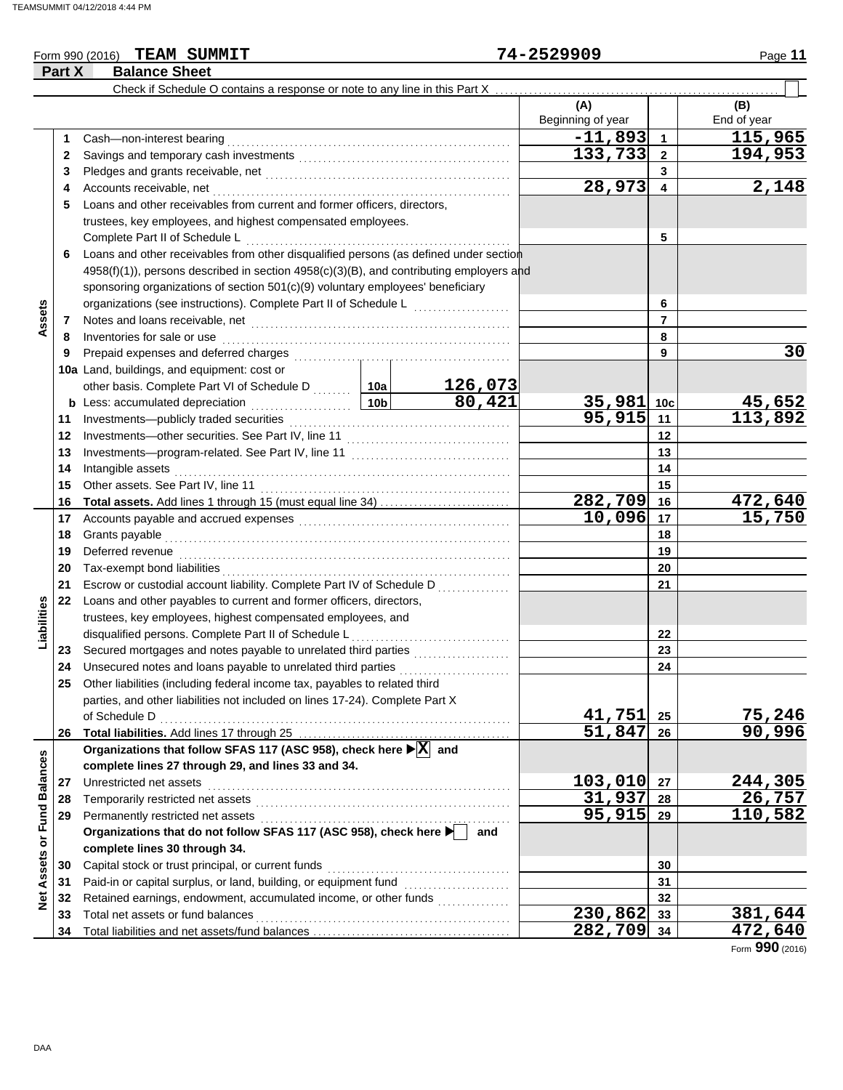#### Form 990 (2016) Page **11 TEAM SUMMIT 74-2529909**

|                             | Part X | <b>Balance Sheet</b>                                                                                  |                 |         |                          |                         |                    |
|-----------------------------|--------|-------------------------------------------------------------------------------------------------------|-----------------|---------|--------------------------|-------------------------|--------------------|
|                             |        | Check if Schedule O contains a response or note to any line in this Part X                            |                 |         |                          |                         |                    |
|                             |        |                                                                                                       |                 |         | (A)<br>Beginning of year |                         | (B)<br>End of year |
|                             | 1      | Cash-non-interest bearing                                                                             |                 |         | $-11,893$                | $\overline{1}$          | 115,965            |
|                             | 2      |                                                                                                       |                 |         | $133,733$ 2              |                         | 194,953            |
|                             | 3      |                                                                                                       |                 | 3       |                          |                         |                    |
|                             | 4      | Accounts receivable, net                                                                              |                 |         | 28,973                   | $\overline{\mathbf{4}}$ | 2,148              |
|                             | 5      | Loans and other receivables from current and former officers, directors,                              |                 |         |                          |                         |                    |
|                             |        | trustees, key employees, and highest compensated employees.                                           |                 |         |                          |                         |                    |
|                             |        | Complete Part II of Schedule L                                                                        |                 |         |                          | 5                       |                    |
|                             | 6      | Loans and other receivables from other disqualified persons (as defined under section                 |                 |         |                          |                         |                    |
|                             |        | 4958(f)(1)), persons described in section 4958(c)(3)(B), and contributing employers and               |                 |         |                          |                         |                    |
|                             |        | sponsoring organizations of section 501(c)(9) voluntary employees' beneficiary                        |                 |         |                          |                         |                    |
|                             |        |                                                                                                       |                 |         |                          | 6                       |                    |
| Assets                      | 7      |                                                                                                       |                 |         |                          | $\overline{7}$          |                    |
|                             | 8      | Inventories for sale or use                                                                           |                 |         |                          | 8                       |                    |
|                             | 9      |                                                                                                       |                 |         |                          | 9                       | 30                 |
|                             |        | 10a Land, buildings, and equipment: cost or                                                           |                 |         |                          |                         |                    |
|                             |        | other basis. Complete Part VI of Schedule D  10a                                                      |                 | 126,073 |                          |                         |                    |
|                             |        | <b>b</b> Less: accumulated depreciation<br>.                                                          | 10 <sub>b</sub> | 80,421  | 35,981                   | 10 <sub>c</sub>         |                    |
|                             | 11     | Investments-publicly traded securities                                                                |                 |         | 95,915                   | 11                      | 45,652<br>113,892  |
|                             | 12     |                                                                                                       |                 |         |                          | $12 \,$                 |                    |
|                             | 13     |                                                                                                       |                 |         |                          | 13                      |                    |
|                             | 14     | Intangible assets                                                                                     |                 |         |                          | 14                      |                    |
|                             | 15     | Other assets. See Part IV, line 11                                                                    |                 |         |                          | 15                      |                    |
|                             | 16     | <b>Total assets.</b> Add lines 1 through 15 (must equal line 34)                                      |                 |         | 282,709                  | 16                      | 472,640            |
|                             | 17     |                                                                                                       |                 |         | 10,096                   | 17                      | 15,750             |
|                             | 18     | Grants payable                                                                                        |                 |         |                          | 18                      |                    |
|                             | 19     | Deferred revenue                                                                                      |                 |         |                          | 19                      |                    |
|                             | 20     |                                                                                                       |                 |         |                          | 20                      |                    |
|                             | 21     | Escrow or custodial account liability. Complete Part IV of Schedule D                                 |                 |         |                          | 21                      |                    |
|                             | 22     | Loans and other payables to current and former officers, directors,                                   |                 |         |                          |                         |                    |
| Liabilities                 |        | trustees, key employees, highest compensated employees, and                                           |                 |         |                          |                         |                    |
|                             |        | disqualified persons. Complete Part II of Schedule L                                                  |                 |         |                          | 22                      |                    |
|                             | 23     | Secured mortgages and notes payable to unrelated third parties [[11, 11, 11, 11, 11, 11, 11, 11]      |                 |         |                          | 23                      |                    |
|                             | 24     | Unsecured notes and loans payable to unrelated third parties [[[[[[[[[[[[[[[[[[[[[[[[[]]]]]]]]]       |                 |         |                          | 24                      |                    |
|                             |        | 25 Other liabilities (including federal income tax, payables to related third                         |                 |         |                          |                         |                    |
|                             |        | parties, and other liabilities not included on lines 17-24). Complete Part X                          |                 |         |                          |                         |                    |
|                             |        | of Schedule D                                                                                         |                 |         | 41,751                   | 25                      |                    |
|                             | 26     |                                                                                                       |                 |         | 51,847                   | 26                      | 75,246<br>90,996   |
|                             |        | Organizations that follow SFAS 117 (ASC 958), check here $\blacktriangleright$ $\boxed{\text{X}}$ and |                 |         |                          |                         |                    |
|                             |        | complete lines 27 through 29, and lines 33 and 34.                                                    |                 |         |                          |                         |                    |
|                             | 27     | Unrestricted net assets                                                                               |                 |         | $103,010$ 27             |                         | 244,305            |
|                             | 28     | Temporarily restricted net assets                                                                     | $31,937$ 28     |         | $\frac{26,757}{110,582}$ |                         |                    |
|                             | 29     | Permanently restricted net assets                                                                     | $95, 915$ 29    |         |                          |                         |                    |
|                             |        | Organizations that do not follow SFAS 117 (ASC 958), check here                                       | and             |         |                          |                         |                    |
| Net Assets or Fund Balances |        | complete lines 30 through 34.                                                                         |                 |         |                          |                         |                    |
|                             | 30     | Capital stock or trust principal, or current funds                                                    |                 |         | 30                       |                         |                    |
|                             | 31     | Paid-in or capital surplus, or land, building, or equipment fund                                      |                 |         |                          | 31                      |                    |
|                             | 32     | Retained earnings, endowment, accumulated income, or other funds                                      |                 |         |                          | 32                      |                    |
|                             | 33     | Total net assets or fund balances                                                                     |                 |         | $\overline{230,862}$     | 33                      | 381,644            |
|                             | 34     |                                                                                                       |                 |         | 282,709 34               |                         | 472,640            |

Form **990** (2016)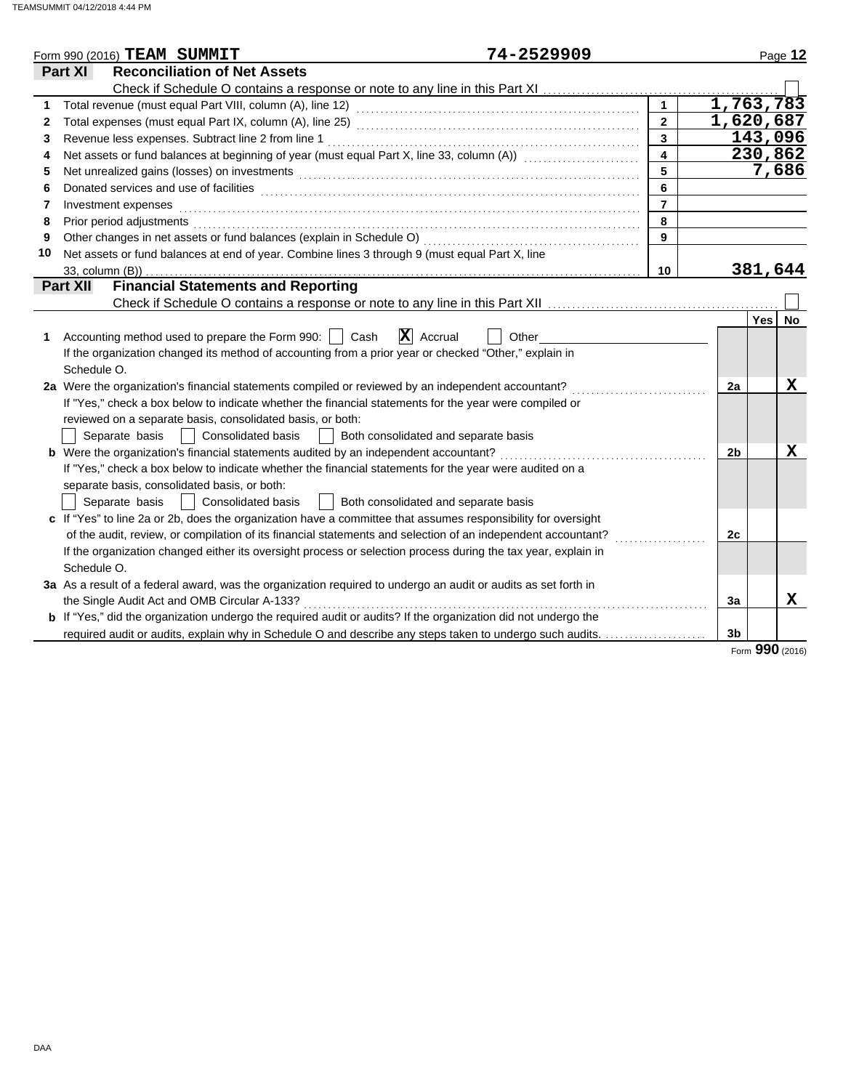|              | 74-2529909<br>Form 990 (2016) TEAM SUMMIT                                                                             |                         |                | Page 12             |
|--------------|-----------------------------------------------------------------------------------------------------------------------|-------------------------|----------------|---------------------|
|              | Part XI<br><b>Reconciliation of Net Assets</b>                                                                        |                         |                |                     |
|              |                                                                                                                       |                         |                |                     |
| 1            |                                                                                                                       | $\mathbf{1}$            |                | 1,763,783           |
| $\mathbf{2}$ |                                                                                                                       | $\overline{2}$          |                | 1,620,687           |
| 3            | Revenue less expenses. Subtract line 2 from line 1                                                                    | $\mathbf{3}$            |                | 143,096             |
| 4            | Net assets or fund balances at beginning of year (must equal Part X, line 33, column (A)) [[[[[[[[[[[[[[[[[[[         | $\overline{\mathbf{4}}$ |                | 230,862             |
| 5            |                                                                                                                       | 5                       |                | $\overline{7}$ ,686 |
| 6            |                                                                                                                       | 6                       |                |                     |
| 7            | Investment expenses                                                                                                   | $\overline{7}$          |                |                     |
| 8            | Prior period adjustments                                                                                              | 8                       |                |                     |
| 9            |                                                                                                                       | 9                       |                |                     |
| 10           | Net assets or fund balances at end of year. Combine lines 3 through 9 (must equal Part X, line                        |                         |                |                     |
|              |                                                                                                                       | 10                      |                | 381,644             |
|              | <b>Financial Statements and Reporting</b><br><b>Part XII</b>                                                          |                         |                |                     |
|              |                                                                                                                       |                         |                |                     |
|              |                                                                                                                       |                         |                | <b>Yes</b><br>No    |
| 1            | $ \mathbf{X} $ Accrual<br>Accounting method used to prepare the Form 990:     Cash<br>Other                           |                         |                |                     |
|              | If the organization changed its method of accounting from a prior year or checked "Other," explain in                 |                         |                |                     |
|              | Schedule O.                                                                                                           |                         |                |                     |
|              | 2a Were the organization's financial statements compiled or reviewed by an independent accountant?                    |                         | 2a             | X                   |
|              | If "Yes," check a box below to indicate whether the financial statements for the year were compiled or                |                         |                |                     |
|              | reviewed on a separate basis, consolidated basis, or both:                                                            |                         |                |                     |
|              | Separate basis<br>  Consolidated basis<br>Both consolidated and separate basis                                        |                         |                |                     |
|              | b Were the organization's financial statements audited by an independent accountant?                                  |                         | 2 <sub>b</sub> | $\mathbf X$         |
|              | If "Yes," check a box below to indicate whether the financial statements for the year were audited on a               |                         |                |                     |
|              | separate basis, consolidated basis, or both:                                                                          |                         |                |                     |
|              | Separate basis<br><b>Consolidated basis</b><br>Both consolidated and separate basis                                   |                         |                |                     |
|              | c If "Yes" to line 2a or 2b, does the organization have a committee that assumes responsibility for oversight         |                         |                |                     |
|              | of the audit, review, or compilation of its financial statements and selection of an independent accountant?          |                         | 2c             |                     |
|              | If the organization changed either its oversight process or selection process during the tax year, explain in         |                         |                |                     |
|              | Schedule O.                                                                                                           |                         |                |                     |
|              | 3a As a result of a federal award, was the organization required to undergo an audit or audits as set forth in        |                         |                |                     |
|              | the Single Audit Act and OMB Circular A-133?                                                                          |                         | 3a             | x                   |
|              | <b>b</b> If "Yes," did the organization undergo the required audit or audits? If the organization did not undergo the |                         |                |                     |
|              |                                                                                                                       |                         | 3 <sub>b</sub> | nnn                 |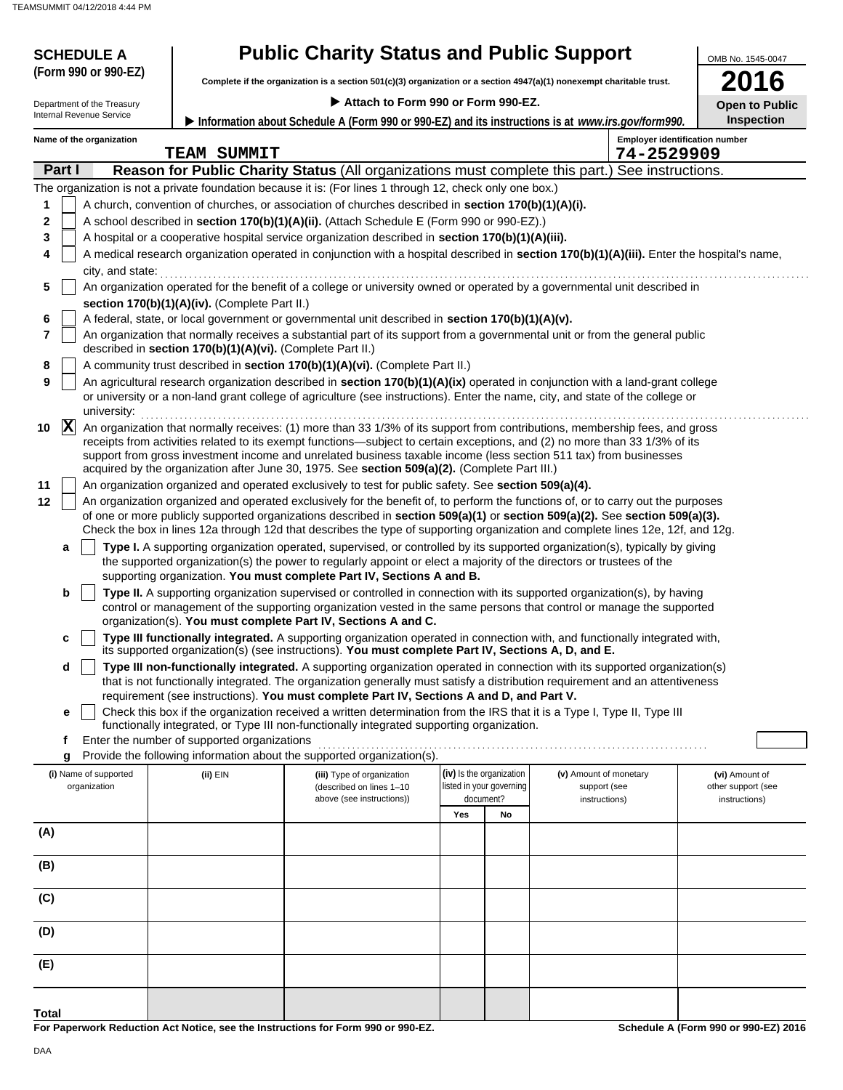| <b>SCHEDULE A</b>          |                                                            | <b>Public Charity Status and Public Support</b>                                                                                                                                                                                                     |                          |  |                                       | OMB No. 1545-0047     |  |  |  |
|----------------------------|------------------------------------------------------------|-----------------------------------------------------------------------------------------------------------------------------------------------------------------------------------------------------------------------------------------------------|--------------------------|--|---------------------------------------|-----------------------|--|--|--|
| (Form 990 or 990-EZ)       |                                                            | Complete if the organization is a section 501(c)(3) organization or a section 4947(a)(1) nonexempt charitable trust.                                                                                                                                |                          |  |                                       | 2016                  |  |  |  |
| Department of the Treasury |                                                            | Attach to Form 990 or Form 990-EZ.                                                                                                                                                                                                                  |                          |  |                                       | <b>Open to Public</b> |  |  |  |
| Internal Revenue Service   |                                                            | <b>Inspection</b><br>Information about Schedule A (Form 990 or 990-EZ) and its instructions is at www.irs.gov/form990.                                                                                                                              |                          |  |                                       |                       |  |  |  |
| Name of the organization   |                                                            |                                                                                                                                                                                                                                                     |                          |  | <b>Employer identification number</b> |                       |  |  |  |
|                            | TEAM SUMMIT                                                |                                                                                                                                                                                                                                                     |                          |  | 74-2529909                            |                       |  |  |  |
| Part I                     |                                                            | Reason for Public Charity Status (All organizations must complete this part.) See instructions.                                                                                                                                                     |                          |  |                                       |                       |  |  |  |
|                            |                                                            | The organization is not a private foundation because it is: (For lines 1 through 12, check only one box.)                                                                                                                                           |                          |  |                                       |                       |  |  |  |
| 1                          |                                                            | A church, convention of churches, or association of churches described in section 170(b)(1)(A)(i).                                                                                                                                                  |                          |  |                                       |                       |  |  |  |
| 2<br>3                     |                                                            | A school described in section 170(b)(1)(A)(ii). (Attach Schedule E (Form 990 or 990-EZ).)<br>A hospital or a cooperative hospital service organization described in section 170(b)(1)(A)(iii).                                                      |                          |  |                                       |                       |  |  |  |
| 4                          |                                                            | A medical research organization operated in conjunction with a hospital described in section 170(b)(1)(A)(iii). Enter the hospital's name,                                                                                                          |                          |  |                                       |                       |  |  |  |
| city, and state:           |                                                            |                                                                                                                                                                                                                                                     |                          |  |                                       |                       |  |  |  |
| 5                          |                                                            | An organization operated for the benefit of a college or university owned or operated by a governmental unit described in                                                                                                                           |                          |  |                                       |                       |  |  |  |
|                            | section 170(b)(1)(A)(iv). (Complete Part II.)              |                                                                                                                                                                                                                                                     |                          |  |                                       |                       |  |  |  |
| 6                          |                                                            | A federal, state, or local government or governmental unit described in section 170(b)(1)(A)(v).                                                                                                                                                    |                          |  |                                       |                       |  |  |  |
| 7                          | described in section 170(b)(1)(A)(vi). (Complete Part II.) | An organization that normally receives a substantial part of its support from a governmental unit or from the general public                                                                                                                        |                          |  |                                       |                       |  |  |  |
| 8                          |                                                            | A community trust described in section 170(b)(1)(A)(vi). (Complete Part II.)                                                                                                                                                                        |                          |  |                                       |                       |  |  |  |
| 9                          |                                                            | An agricultural research organization described in section 170(b)(1)(A)(ix) operated in conjunction with a land-grant college                                                                                                                       |                          |  |                                       |                       |  |  |  |
| university:                |                                                            | or university or a non-land grant college of agriculture (see instructions). Enter the name, city, and state of the college or                                                                                                                      |                          |  |                                       |                       |  |  |  |
| $ \mathbf{X} $<br>10       |                                                            | An organization that normally receives: (1) more than 33 1/3% of its support from contributions, membership fees, and gross                                                                                                                         |                          |  |                                       |                       |  |  |  |
|                            |                                                            | receipts from activities related to its exempt functions—subject to certain exceptions, and (2) no more than 33 1/3% of its                                                                                                                         |                          |  |                                       |                       |  |  |  |
|                            |                                                            | support from gross investment income and unrelated business taxable income (less section 511 tax) from businesses<br>acquired by the organization after June 30, 1975. See section 509(a)(2). (Complete Part III.)                                  |                          |  |                                       |                       |  |  |  |
| 11                         |                                                            | An organization organized and operated exclusively to test for public safety. See section 509(a)(4).                                                                                                                                                |                          |  |                                       |                       |  |  |  |
| 12                         |                                                            | An organization organized and operated exclusively for the benefit of, to perform the functions of, or to carry out the purposes                                                                                                                    |                          |  |                                       |                       |  |  |  |
|                            |                                                            | of one or more publicly supported organizations described in section 509(a)(1) or section 509(a)(2). See section 509(a)(3).                                                                                                                         |                          |  |                                       |                       |  |  |  |
|                            |                                                            | Check the box in lines 12a through 12d that describes the type of supporting organization and complete lines 12e, 12f, and 12g.                                                                                                                     |                          |  |                                       |                       |  |  |  |
| а                          |                                                            | Type I. A supporting organization operated, supervised, or controlled by its supported organization(s), typically by giving<br>the supported organization(s) the power to regularly appoint or elect a majority of the directors or trustees of the |                          |  |                                       |                       |  |  |  |
|                            |                                                            | supporting organization. You must complete Part IV, Sections A and B.                                                                                                                                                                               |                          |  |                                       |                       |  |  |  |
| b                          |                                                            | Type II. A supporting organization supervised or controlled in connection with its supported organization(s), by having                                                                                                                             |                          |  |                                       |                       |  |  |  |
|                            |                                                            | control or management of the supporting organization vested in the same persons that control or manage the supported<br>organization(s). You must complete Part IV, Sections A and C.                                                               |                          |  |                                       |                       |  |  |  |
| c                          |                                                            | Type III functionally integrated. A supporting organization operated in connection with, and functionally integrated with,                                                                                                                          |                          |  |                                       |                       |  |  |  |
|                            |                                                            | its supported organization(s) (see instructions). You must complete Part IV, Sections A, D, and E.                                                                                                                                                  |                          |  |                                       |                       |  |  |  |
| d                          |                                                            | Type III non-functionally integrated. A supporting organization operated in connection with its supported organization(s)                                                                                                                           |                          |  |                                       |                       |  |  |  |
|                            |                                                            | that is not functionally integrated. The organization generally must satisfy a distribution requirement and an attentiveness<br>requirement (see instructions). You must complete Part IV, Sections A and D, and Part V.                            |                          |  |                                       |                       |  |  |  |
| e                          |                                                            | Check this box if the organization received a written determination from the IRS that it is a Type I, Type II, Type III                                                                                                                             |                          |  |                                       |                       |  |  |  |
|                            |                                                            | functionally integrated, or Type III non-functionally integrated supporting organization.                                                                                                                                                           |                          |  |                                       |                       |  |  |  |
| f                          | Enter the number of supported organizations                | Provide the following information about the supported organization(s).                                                                                                                                                                              |                          |  |                                       |                       |  |  |  |
| g<br>(i) Name of supported | (ii) EIN                                                   | (iii) Type of organization                                                                                                                                                                                                                          | (iv) Is the organization |  | (v) Amount of monetary                | (vi) Amount of        |  |  |  |
| organization               |                                                            | (described on lines 1-10                                                                                                                                                                                                                            | listed in your governing |  | support (see                          | other support (see    |  |  |  |
|                            |                                                            | above (see instructions))                                                                                                                                                                                                                           | document?<br>Yes<br>No   |  | instructions)                         | instructions)         |  |  |  |
| (A)                        |                                                            |                                                                                                                                                                                                                                                     |                          |  |                                       |                       |  |  |  |
|                            |                                                            |                                                                                                                                                                                                                                                     |                          |  |                                       |                       |  |  |  |
| (B)                        |                                                            |                                                                                                                                                                                                                                                     |                          |  |                                       |                       |  |  |  |
|                            |                                                            |                                                                                                                                                                                                                                                     |                          |  |                                       |                       |  |  |  |
| (C)                        |                                                            |                                                                                                                                                                                                                                                     |                          |  |                                       |                       |  |  |  |
| (D)                        |                                                            |                                                                                                                                                                                                                                                     |                          |  |                                       |                       |  |  |  |
|                            |                                                            |                                                                                                                                                                                                                                                     |                          |  |                                       |                       |  |  |  |
| (E)                        |                                                            |                                                                                                                                                                                                                                                     |                          |  |                                       |                       |  |  |  |
|                            |                                                            |                                                                                                                                                                                                                                                     |                          |  |                                       |                       |  |  |  |
|                            |                                                            |                                                                                                                                                                                                                                                     |                          |  |                                       |                       |  |  |  |

**For Paperwork Reduction Act Notice, see the Instructions for Form 990 or 990-EZ.**

**Schedule A (Form 990 or 990-EZ) 2016**

**Total**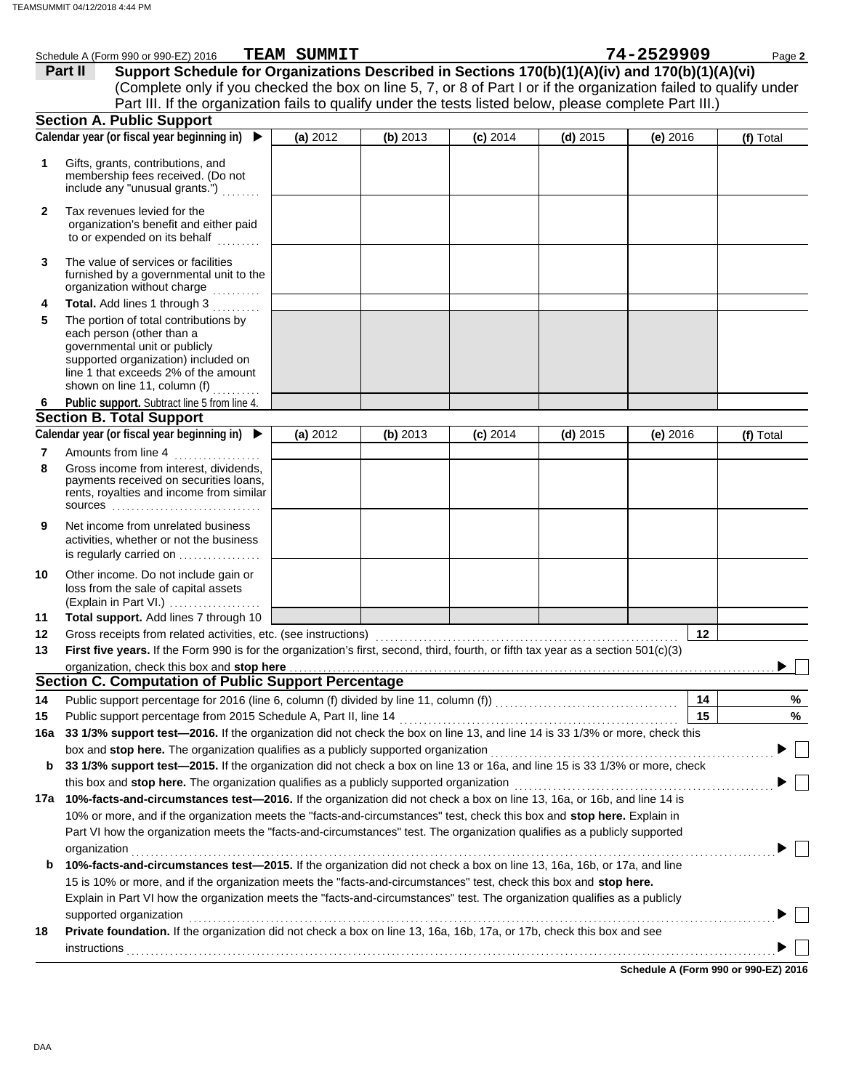|              | Schedule A (Form 990 or 990-EZ) 2016                                                                                                                                                                                                                 | TEAM SUMMIT |          |            |            | 74-2529909 | Page 2    |
|--------------|------------------------------------------------------------------------------------------------------------------------------------------------------------------------------------------------------------------------------------------------------|-------------|----------|------------|------------|------------|-----------|
|              | Support Schedule for Organizations Described in Sections 170(b)(1)(A)(iv) and 170(b)(1)(A)(vi)<br>Part II                                                                                                                                            |             |          |            |            |            |           |
|              | (Complete only if you checked the box on line 5, 7, or 8 of Part I or if the organization failed to qualify under<br>Part III. If the organization fails to qualify under the tests listed below, please complete Part III.)                         |             |          |            |            |            |           |
|              |                                                                                                                                                                                                                                                      |             |          |            |            |            |           |
|              | <b>Section A. Public Support</b>                                                                                                                                                                                                                     |             |          |            |            |            |           |
|              | Calendar year (or fiscal year beginning in) $\blacktriangleright$                                                                                                                                                                                    | (a) 2012    | (b) 2013 | $(c)$ 2014 | $(d)$ 2015 | (e) $2016$ | (f) Total |
| 1            | Gifts, grants, contributions, and<br>membership fees received. (Do not<br>include any "unusual grants.")                                                                                                                                             |             |          |            |            |            |           |
| $\mathbf{2}$ | Tax revenues levied for the<br>organization's benefit and either paid<br>to or expended on its behalf                                                                                                                                                |             |          |            |            |            |           |
| 3            | The value of services or facilities<br>furnished by a governmental unit to the<br>organization without charge<br>.<br>Geboortes en die So                                                                                                            |             |          |            |            |            |           |
| 4            | Total. Add lines 1 through 3                                                                                                                                                                                                                         |             |          |            |            |            |           |
| 5            | The portion of total contributions by<br>each person (other than a<br>governmental unit or publicly<br>supported organization) included on<br>line 1 that exceeds 2% of the amount<br>shown on line 11, column (f) $\ldots$                          |             |          |            |            |            |           |
| 6            | Public support. Subtract line 5 from line 4.                                                                                                                                                                                                         |             |          |            |            |            |           |
|              | <b>Section B. Total Support</b>                                                                                                                                                                                                                      |             |          |            |            |            |           |
|              | Calendar year (or fiscal year beginning in)                                                                                                                                                                                                          | (a) 2012    | (b) 2013 | $(c)$ 2014 | $(d)$ 2015 | (e) 2016   | (f) Total |
| 7            | Amounts from line 4<br><u> 1999 - Alexandr Steinberg, Amerikaansk kon</u>                                                                                                                                                                            |             |          |            |            |            |           |
| 8            | Gross income from interest, dividends,<br>payments received on securities loans,<br>rents, royalties and income from similar<br><b>sources</b>                                                                                                       |             |          |            |            |            |           |
| 9            | Net income from unrelated business<br>activities, whether or not the business<br>is regularly carried on                                                                                                                                             |             |          |            |            |            |           |
| 10           | Other income. Do not include gain or<br>loss from the sale of capital assets<br>(Explain in Part VI.)                                                                                                                                                |             |          |            |            |            |           |
| 11           | Total support. Add lines 7 through 10                                                                                                                                                                                                                |             |          |            |            |            |           |
| 12           | Gross receipts from related activities, etc. (see instructions) [11] content content content from related activities, etc. (see instructions) [11] content content content of the set of the set of the set of the set of the                        |             |          |            |            | 12         |           |
| 13           | First five years. If the Form 990 is for the organization's first, second, third, fourth, or fifth tax year as a section 501(c)(3)                                                                                                                   |             |          |            |            |            |           |
|              | organization, check this box and stop here                                                                                                                                                                                                           |             |          |            |            |            |           |
|              | <b>Section C. Computation of Public Support Percentage</b>                                                                                                                                                                                           |             |          |            |            |            |           |
| 14           |                                                                                                                                                                                                                                                      |             |          |            |            | 14         | %         |
| 15           | Public support percentage from 2015 Schedule A, Part II, line 14                                                                                                                                                                                     |             |          |            |            | 15         | %         |
| 16a          | 33 1/3% support test-2016. If the organization did not check the box on line 13, and line 14 is 33 1/3% or more, check this                                                                                                                          |             |          |            |            |            |           |
|              | box and stop here. The organization qualifies as a publicly supported organization                                                                                                                                                                   |             |          |            |            |            |           |
| b            | 33 1/3% support test-2015. If the organization did not check a box on line 13 or 16a, and line 15 is 33 1/3% or more, check                                                                                                                          |             |          |            |            |            |           |
| 17a          | this box and stop here. The organization qualifies as a publicly supported organization<br>10%-facts-and-circumstances test-2016. If the organization did not check a box on line 13, 16a, or 16b, and line 14 is                                    |             |          |            |            |            |           |
|              | 10% or more, and if the organization meets the "facts-and-circumstances" test, check this box and stop here. Explain in<br>Part VI how the organization meets the "facts-and-circumstances" test. The organization qualifies as a publicly supported |             |          |            |            |            |           |
|              | organization                                                                                                                                                                                                                                         |             |          |            |            |            |           |
| b            | 10%-facts-and-circumstances test-2015. If the organization did not check a box on line 13, 16a, 16b, or 17a, and line                                                                                                                                |             |          |            |            |            |           |
|              | 15 is 10% or more, and if the organization meets the "facts-and-circumstances" test, check this box and stop here.                                                                                                                                   |             |          |            |            |            |           |
|              | Explain in Part VI how the organization meets the "facts-and-circumstances" test. The organization qualifies as a publicly                                                                                                                           |             |          |            |            |            |           |
|              | supported organization                                                                                                                                                                                                                               |             |          |            |            |            |           |
| 18           | Private foundation. If the organization did not check a box on line 13, 16a, 16b, 17a, or 17b, check this box and see                                                                                                                                |             |          |            |            |            |           |
|              | instructions                                                                                                                                                                                                                                         |             |          |            |            |            |           |

**Schedule A (Form 990 or 990-EZ) 2016**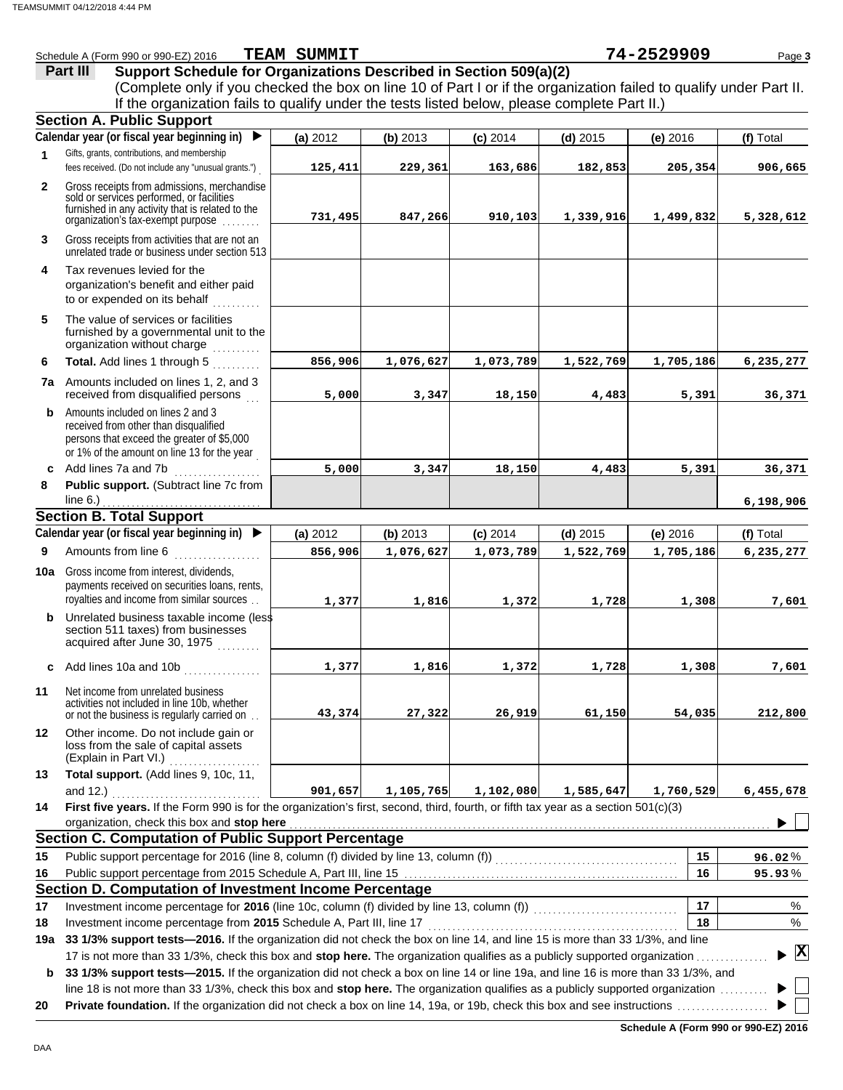|              | Schedule A (Form 990 or 990-EZ) 2016                                                                                                                                                                                                                                                                                                                                 | TEAM SUMMIT |           |            |            | 74-2529909 | Page 3                             |
|--------------|----------------------------------------------------------------------------------------------------------------------------------------------------------------------------------------------------------------------------------------------------------------------------------------------------------------------------------------------------------------------|-------------|-----------|------------|------------|------------|------------------------------------|
|              | Support Schedule for Organizations Described in Section 509(a)(2)<br>Part III                                                                                                                                                                                                                                                                                        |             |           |            |            |            |                                    |
|              | (Complete only if you checked the box on line 10 of Part I or if the organization failed to qualify under Part II.                                                                                                                                                                                                                                                   |             |           |            |            |            |                                    |
|              | If the organization fails to qualify under the tests listed below, please complete Part II.)                                                                                                                                                                                                                                                                         |             |           |            |            |            |                                    |
|              | <b>Section A. Public Support</b>                                                                                                                                                                                                                                                                                                                                     |             |           |            |            |            |                                    |
|              | Calendar year (or fiscal year beginning in)<br>▶                                                                                                                                                                                                                                                                                                                     | (a) 2012    | (b) 2013  | $(c)$ 2014 | $(d)$ 2015 | $(e)$ 2016 | (f) Total                          |
| 1.           | Gifts, grants, contributions, and membership<br>fees received. (Do not include any "unusual grants.")                                                                                                                                                                                                                                                                | 125,411     | 229,361   | 163,686    | 182,853    | 205,354    | 906,665                            |
| $\mathbf{2}$ | Gross receipts from admissions, merchandise                                                                                                                                                                                                                                                                                                                          |             |           |            |            |            |                                    |
|              | sold or services performed, or facilities<br>furnished in any activity that is related to the<br>organization's fax-exempt purpose                                                                                                                                                                                                                                   | 731,495     | 847,266   | 910,103    | 1,339,916  | 1,499,832  | 5,328,612                          |
| 3            | Gross receipts from activities that are not an<br>unrelated trade or business under section 513                                                                                                                                                                                                                                                                      |             |           |            |            |            |                                    |
| 4            | Tax revenues levied for the<br>organization's benefit and either paid<br>to or expended on its behalf                                                                                                                                                                                                                                                                |             |           |            |            |            |                                    |
| 5            | The value of services or facilities<br>furnished by a governmental unit to the<br>organization without charge                                                                                                                                                                                                                                                        |             |           |            |            |            |                                    |
| 6            | Total. Add lines 1 through 5                                                                                                                                                                                                                                                                                                                                         | 856,906     | 1,076,627 | 1,073,789  | 1,522,769  | 1,705,186  | 6,235,277                          |
|              | <b>7a</b> Amounts included on lines 1, 2, and 3<br>received from disqualified persons                                                                                                                                                                                                                                                                                | 5,000       | 3,347     | 18,150     | 4,483      | 5,391      | 36,371                             |
| b            | Amounts included on lines 2 and 3<br>received from other than disqualified<br>persons that exceed the greater of \$5,000<br>or 1% of the amount on line 13 for the year                                                                                                                                                                                              |             |           |            |            |            |                                    |
| C            | Add lines 7a and 7b<br>. <b>.</b> .                                                                                                                                                                                                                                                                                                                                  | 5,000       | 3,347     | 18,150     | 4,483      | 5,391      | 36,371                             |
| 8            | Public support. (Subtract line 7c from                                                                                                                                                                                                                                                                                                                               |             |           |            |            |            | 6,198,906                          |
|              | <b>Section B. Total Support</b>                                                                                                                                                                                                                                                                                                                                      |             |           |            |            |            |                                    |
|              | Calendar year (or fiscal year beginning in) $\blacktriangleright$                                                                                                                                                                                                                                                                                                    | (a) 2012    | (b) 2013  | $(c)$ 2014 | $(d)$ 2015 | $(e)$ 2016 | (f) Total                          |
| 9            | Amounts from line 6<br>and a straight and a straight                                                                                                                                                                                                                                                                                                                 | 856,906     | 1,076,627 | 1,073,789  | 1,522,769  | 1,705,186  | 6,235,277                          |
|              | <b>10a</b> Gross income from interest, dividends,<br>payments received on securities loans, rents,<br>royalties and income from similar sources                                                                                                                                                                                                                      | 1,377       | 1,816     | 1,372      | 1,728      | 1,308      | 7,601                              |
| b            | Unrelated business taxable income (less<br>section 511 taxes) from businesses<br>acquired after June 30, 1975                                                                                                                                                                                                                                                        |             |           |            |            |            |                                    |
| c            | Add lines 10a and 10b<br>.                                                                                                                                                                                                                                                                                                                                           | 1,377       | 1,816     | 1,372      | 1,728      | 1,308      | 7,601                              |
| 11           | Net income from unrelated business<br>activities not included in line 10b, whether<br>or not the business is regularly carried on                                                                                                                                                                                                                                    | 43,374      | 27,322    | 26,919     | 61,150     | 54,035     | 212,800                            |
| 12           | Other income. Do not include gain or<br>loss from the sale of capital assets<br>(Explain in Part VI.)                                                                                                                                                                                                                                                                |             |           |            |            |            |                                    |
| 13           | Total support. (Add lines 9, 10c, 11,                                                                                                                                                                                                                                                                                                                                |             |           |            |            |            |                                    |
|              | and 12.)                                                                                                                                                                                                                                                                                                                                                             | 901,657     | 1,105,765 | 1,102,080  | 1,585,647  | 1,760,529  | 6,455,678                          |
| 14           | First five years. If the Form 990 is for the organization's first, second, third, fourth, or fifth tax year as a section 501(c)(3)<br>organization, check this box and stop here manufactured and content to the state of the state of the state of the state of the state of the state of the state of the state of the state of the state of the state of the stat |             |           |            |            |            | ▶                                  |
|              | <b>Section C. Computation of Public Support Percentage</b>                                                                                                                                                                                                                                                                                                           |             |           |            |            |            |                                    |
| 15           |                                                                                                                                                                                                                                                                                                                                                                      |             |           |            |            | 15         | 96.02%                             |
| 16           |                                                                                                                                                                                                                                                                                                                                                                      |             |           |            |            | 16         | 95.93%                             |
|              | Section D. Computation of Investment Income Percentage                                                                                                                                                                                                                                                                                                               |             |           |            |            |            |                                    |
| 17           |                                                                                                                                                                                                                                                                                                                                                                      |             |           |            |            | 17         | %                                  |
| 18           | Investment income percentage from 2015 Schedule A, Part III, line 17                                                                                                                                                                                                                                                                                                 |             |           |            |            | 18         | %                                  |
| 19а          | 33 1/3% support tests—2016. If the organization did not check the box on line 14, and line 15 is more than 33 1/3%, and line                                                                                                                                                                                                                                         |             |           |            |            |            |                                    |
|              | 17 is not more than 33 1/3%, check this box and stop here. The organization qualifies as a publicly supported organization                                                                                                                                                                                                                                           |             |           |            |            |            | $\blacktriangleright$ $\mathbf{X}$ |
| b            | 33 1/3% support tests-2015. If the organization did not check a box on line 14 or line 19a, and line 16 is more than 33 1/3%, and                                                                                                                                                                                                                                    |             |           |            |            |            |                                    |
|              | line 18 is not more than 33 1/3%, check this box and stop here. The organization qualifies as a publicly supported organization                                                                                                                                                                                                                                      |             |           |            |            |            |                                    |
| 20           |                                                                                                                                                                                                                                                                                                                                                                      |             |           |            |            |            | ▶                                  |

| Schedule A (Form 990 or 990-EZ) 2016 |  |  |
|--------------------------------------|--|--|
|                                      |  |  |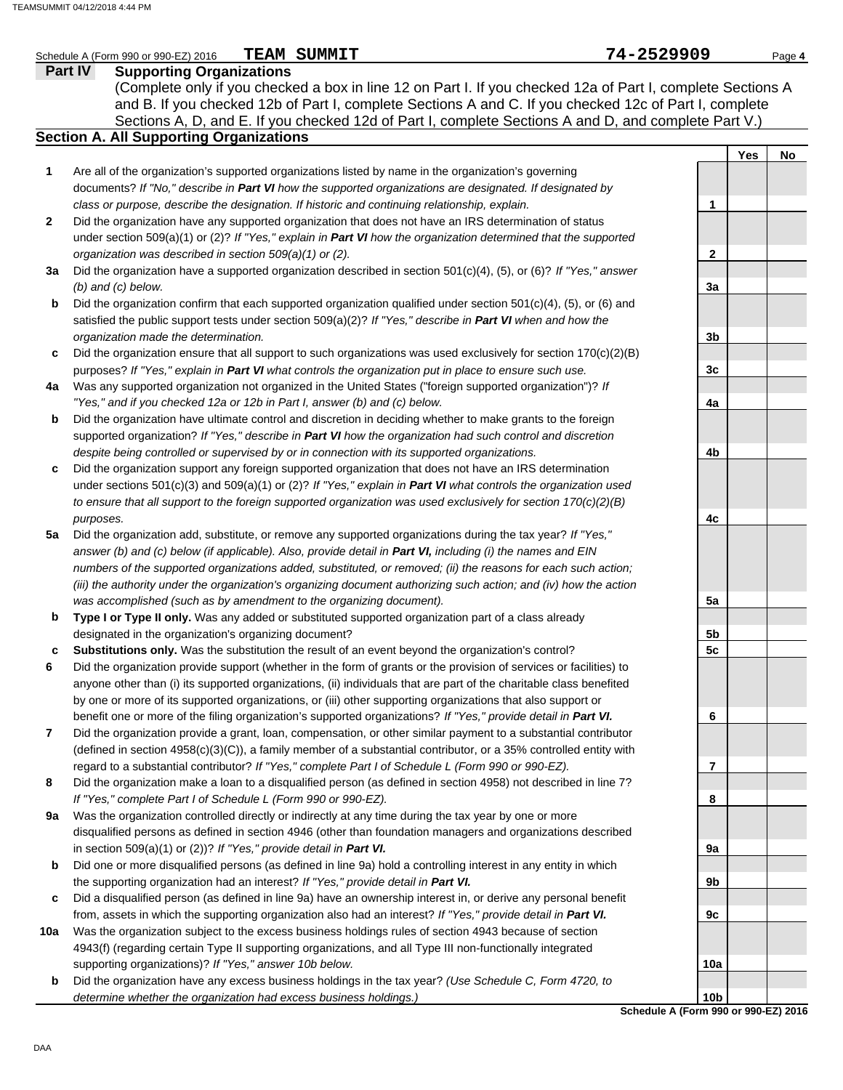### **Part IV Supporting Organizations** Sections A, D, and E. If you checked 12d of Part I, complete Sections A and D, and complete Part V.) Schedule A (Form 990 or 990-EZ) 2016 Page 4 **TEAM SUMMIT** And the Magnust Communication of the Magnust Page 4 **Section A. All Supporting Organizations** (Complete only if you checked a box in line 12 on Part I. If you checked 12a of Part I, complete Sections A and B. If you checked 12b of Part I, complete Sections A and C. If you checked 12c of Part I, complete Are all of the organization's supported organizations listed by name in the organization's governing documents? *If "No," describe in Part VI how the supported organizations are designated. If designated by class or purpose, describe the designation. If historic and continuing relationship, explain.* Did the organization have any supported organization that does not have an IRS determination of status under section 509(a)(1) or (2)? *If "Yes," explain in Part VI how the organization determined that the supported organization was described in section 509(a)(1) or (2).* **1 2 3a** Did the organization have a supported organization described in section 501(c)(4), (5), or (6)? *If "Yes," answer* **b c 4a** Was any supported organization not organized in the United States ("foreign supported organization")? *If* **b c** Did the organization support any foreign supported organization that does not have an IRS determination **5a** Did the organization add, substitute, or remove any supported organizations during the tax year? *If "Yes,"* **b c 6 7 8 9a b c 10a b** *(b) and (c) below.* Did the organization confirm that each supported organization qualified under section 501(c)(4), (5), or (6) and satisfied the public support tests under section 509(a)(2)? *If "Yes," describe in Part VI when and how the organization made the determination.* Did the organization ensure that all support to such organizations was used exclusively for section  $170(c)(2)(B)$ purposes? *If "Yes," explain in Part VI what controls the organization put in place to ensure such use. "Yes," and if you checked 12a or 12b in Part I, answer (b) and (c) below.* Did the organization have ultimate control and discretion in deciding whether to make grants to the foreign supported organization? *If "Yes," describe in Part VI how the organization had such control and discretion despite being controlled or supervised by or in connection with its supported organizations.* under sections 501(c)(3) and 509(a)(1) or (2)? *If "Yes," explain in Part VI what controls the organization used to ensure that all support to the foreign supported organization was used exclusively for section 170(c)(2)(B) purposes.* answer (b) and (c) below (if applicable). Also, provide detail in **Part VI**, *including (i)* the names and EIN *numbers of the supported organizations added, substituted, or removed; (ii) the reasons for each such action; (iii) the authority under the organization's organizing document authorizing such action; and (iv) how the action was accomplished (such as by amendment to the organizing document).* **Type I or Type II only.** Was any added or substituted supported organization part of a class already designated in the organization's organizing document? **Substitutions only.** Was the substitution the result of an event beyond the organization's control? Did the organization provide support (whether in the form of grants or the provision of services or facilities) to anyone other than (i) its supported organizations, (ii) individuals that are part of the charitable class benefited by one or more of its supported organizations, or (iii) other supporting organizations that also support or benefit one or more of the filing organization's supported organizations? *If "Yes," provide detail in Part VI.* Did the organization provide a grant, loan, compensation, or other similar payment to a substantial contributor (defined in section 4958(c)(3)(C)), a family member of a substantial contributor, or a 35% controlled entity with regard to a substantial contributor? *If "Yes," complete Part I of Schedule L (Form 990 or 990-EZ).* Did the organization make a loan to a disqualified person (as defined in section 4958) not described in line 7? *If "Yes," complete Part I of Schedule L (Form 990 or 990-EZ).* Was the organization controlled directly or indirectly at any time during the tax year by one or more disqualified persons as defined in section 4946 (other than foundation managers and organizations described in section 509(a)(1) or (2))? *If "Yes," provide detail in Part VI.* Did one or more disqualified persons (as defined in line 9a) hold a controlling interest in any entity in which the supporting organization had an interest? *If "Yes," provide detail in Part VI.* Did a disqualified person (as defined in line 9a) have an ownership interest in, or derive any personal benefit from, assets in which the supporting organization also had an interest? *If "Yes," provide detail in Part VI.* Was the organization subject to the excess business holdings rules of section 4943 because of section 4943(f) (regarding certain Type II supporting organizations, and all Type III non-functionally integrated supporting organizations)? *If "Yes," answer 10b below.* Did the organization have any excess business holdings in the tax year? *(Use Schedule C, Form 4720, to determine whether the organization had excess business holdings.)* **Yes No 1 2 3a 3b 3c 4a 4b 4c 5a 5b 5c 6 7 8 9a 9b 9c 10a 10b TEAM SUMMIT 74-2529909**

**Schedule A (Form 990 or 990-EZ) 2016**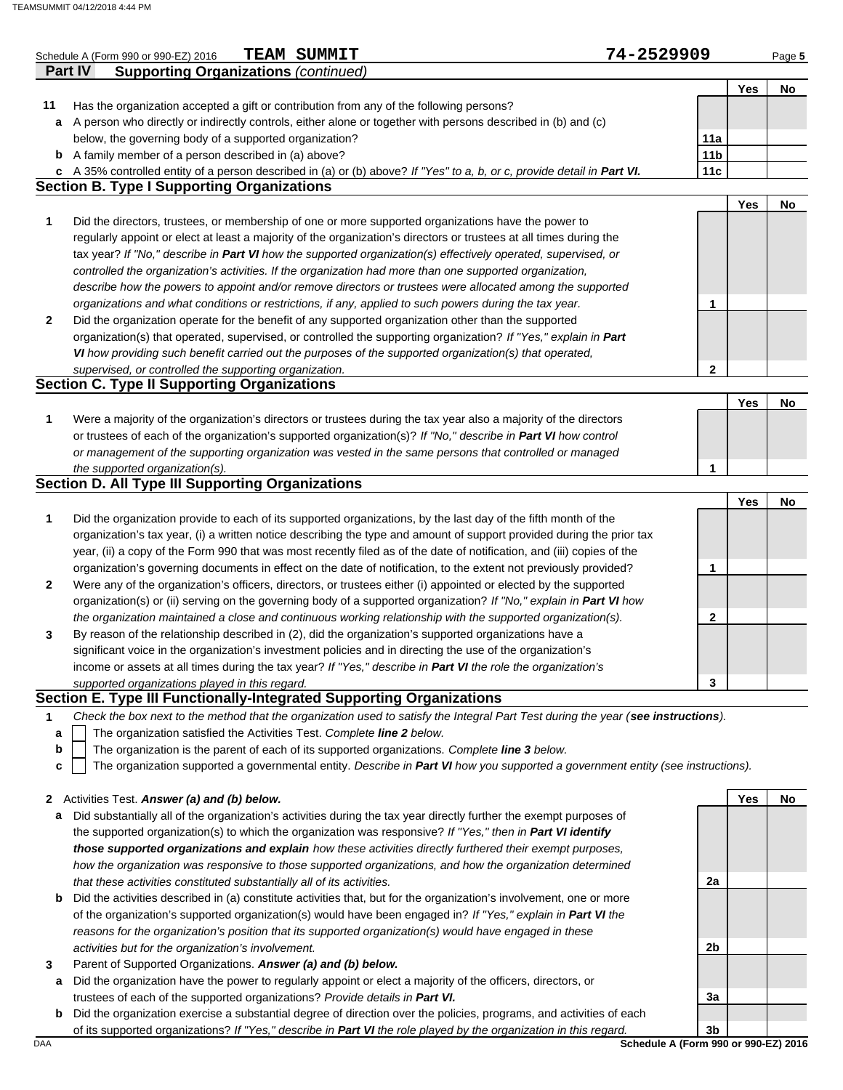|              | 74-2529909<br><b>TEAM SUMMIT</b><br>Schedule A (Form 990 or 990-EZ) 2016                                                          |                 |                                                                                                                                 | Page 5 |
|--------------|-----------------------------------------------------------------------------------------------------------------------------------|-----------------|---------------------------------------------------------------------------------------------------------------------------------|--------|
|              | Part IV<br><b>Supporting Organizations (continued)</b>                                                                            |                 |                                                                                                                                 |        |
|              |                                                                                                                                   |                 | Yes                                                                                                                             | No     |
| 11           | Has the organization accepted a gift or contribution from any of the following persons?                                           |                 |                                                                                                                                 |        |
| a            | A person who directly or indirectly controls, either alone or together with persons described in (b) and (c)                      |                 |                                                                                                                                 |        |
|              | below, the governing body of a supported organization?                                                                            | 11a             |                                                                                                                                 |        |
|              | <b>b</b> A family member of a person described in (a) above?                                                                      | 11 <sub>b</sub> |                                                                                                                                 |        |
|              | c A 35% controlled entity of a person described in (a) or (b) above? If "Yes" to a, b, or c, provide detail in Part VI.           | 11c             |                                                                                                                                 |        |
|              | <b>Section B. Type I Supporting Organizations</b>                                                                                 |                 |                                                                                                                                 |        |
|              |                                                                                                                                   |                 | Yes                                                                                                                             | No     |
| 1            | Did the directors, trustees, or membership of one or more supported organizations have the power to                               |                 |                                                                                                                                 |        |
|              | regularly appoint or elect at least a majority of the organization's directors or trustees at all times during the                |                 |                                                                                                                                 |        |
|              | tax year? If "No," describe in Part VI how the supported organization(s) effectively operated, supervised, or                     |                 |                                                                                                                                 |        |
|              | controlled the organization's activities. If the organization had more than one supported organization,                           |                 |                                                                                                                                 |        |
|              | describe how the powers to appoint and/or remove directors or trustees were allocated among the supported                         |                 |                                                                                                                                 |        |
|              | organizations and what conditions or restrictions, if any, applied to such powers during the tax year.                            | 1               |                                                                                                                                 |        |
| $\mathbf{2}$ | Did the organization operate for the benefit of any supported organization other than the supported                               |                 |                                                                                                                                 |        |
|              | organization(s) that operated, supervised, or controlled the supporting organization? If "Yes," explain in Part                   |                 |                                                                                                                                 |        |
|              | VI how providing such benefit carried out the purposes of the supported organization(s) that operated,                            |                 |                                                                                                                                 |        |
|              | supervised, or controlled the supporting organization.                                                                            | $\mathbf{2}$    |                                                                                                                                 |        |
|              | <b>Section C. Type II Supporting Organizations</b>                                                                                |                 |                                                                                                                                 |        |
|              |                                                                                                                                   |                 | Yes                                                                                                                             | No     |
| 1            | Were a majority of the organization's directors or trustees during the tax year also a majority of the directors                  |                 |                                                                                                                                 |        |
|              | or trustees of each of the organization's supported organization(s)? If "No," describe in Part VI how control                     |                 |                                                                                                                                 |        |
|              | or management of the supporting organization was vested in the same persons that controlled or managed                            |                 |                                                                                                                                 |        |
|              | the supported organization(s).                                                                                                    | 1               |                                                                                                                                 |        |
|              | <b>Section D. All Type III Supporting Organizations</b>                                                                           |                 |                                                                                                                                 |        |
|              |                                                                                                                                   |                 | Yes                                                                                                                             | No     |
| 1            | Did the organization provide to each of its supported organizations, by the last day of the fifth month of the                    |                 |                                                                                                                                 |        |
|              | organization's tax year, (i) a written notice describing the type and amount of support provided during the prior tax             |                 |                                                                                                                                 |        |
|              | year, (ii) a copy of the Form 990 that was most recently filed as of the date of notification, and (iii) copies of the            |                 |                                                                                                                                 |        |
|              | organization's governing documents in effect on the date of notification, to the extent not previously provided?                  | 1               |                                                                                                                                 |        |
| 2            | Were any of the organization's officers, directors, or trustees either (i) appointed or elected by the supported                  |                 |                                                                                                                                 |        |
|              | organization(s) or (ii) serving on the governing body of a supported organization? If "No," explain in Part VI how                |                 |                                                                                                                                 |        |
|              | the organization maintained a close and continuous working relationship with the supported organization(s).                       | 2               |                                                                                                                                 |        |
| 3            | By reason of the relationship described in (2), did the organization's supported organizations have a                             |                 |                                                                                                                                 |        |
|              | significant voice in the organization's investment policies and in directing the use of the organization's                        |                 |                                                                                                                                 |        |
|              | income or assets at all times during the tax year? If "Yes," describe in Part VI the role the organization's                      |                 |                                                                                                                                 |        |
|              | supported organizations played in this regard.                                                                                    | 3               |                                                                                                                                 |        |
|              | Section E. Type III Functionally-Integrated Supporting Organizations                                                              |                 |                                                                                                                                 |        |
| 1            | Check the box next to the method that the organization used to satisfy the Integral Part Test during the year (see instructions). |                 |                                                                                                                                 |        |
| а            | The organization satisfied the Activities Test. Complete line 2 below.                                                            |                 |                                                                                                                                 |        |
| b            | The organization is the parent of each of its supported organizations. Complete line 3 below.                                     |                 |                                                                                                                                 |        |
|              |                                                                                                                                   |                 | The organization supported a governmental entity. Describe in Part VI how you supported a government entity (see instructions). |        |

| 2 Activities Test. Answer (a) and (b) below. |  |
|----------------------------------------------|--|
|----------------------------------------------|--|

- **a** Did substantially all of the organization's activities during the tax year directly further the exempt purposes of the supported organization(s) to which the organization was responsive? *If "Yes," then in Part VI identify those supported organizations and explain how these activities directly furthered their exempt purposes, how the organization was responsive to those supported organizations, and how the organization determined that these activities constituted substantially all of its activities.*
- **b** Did the activities described in (a) constitute activities that, but for the organization's involvement, one or more of the organization's supported organization(s) would have been engaged in? *If "Yes," explain in Part VI the reasons for the organization's position that its supported organization(s) would have engaged in these activities but for the organization's involvement.*
- **3** Parent of Supported Organizations. *Answer (a) and (b) below.*
- **a** Did the organization have the power to regularly appoint or elect a majority of the officers, directors, or trustees of each of the supported organizations? *Provide details in Part VI.*
- **b** Did the organization exercise a substantial degree of direction over the policies, programs, and activities of each of its supported organizations? *If "Yes," describe in Part VI the role played by the organization in this regard.*

DAA **Schedule A (Form 990 or 990-EZ) 2016 3b**

**3a**

**2a**

**2b**

**Yes No**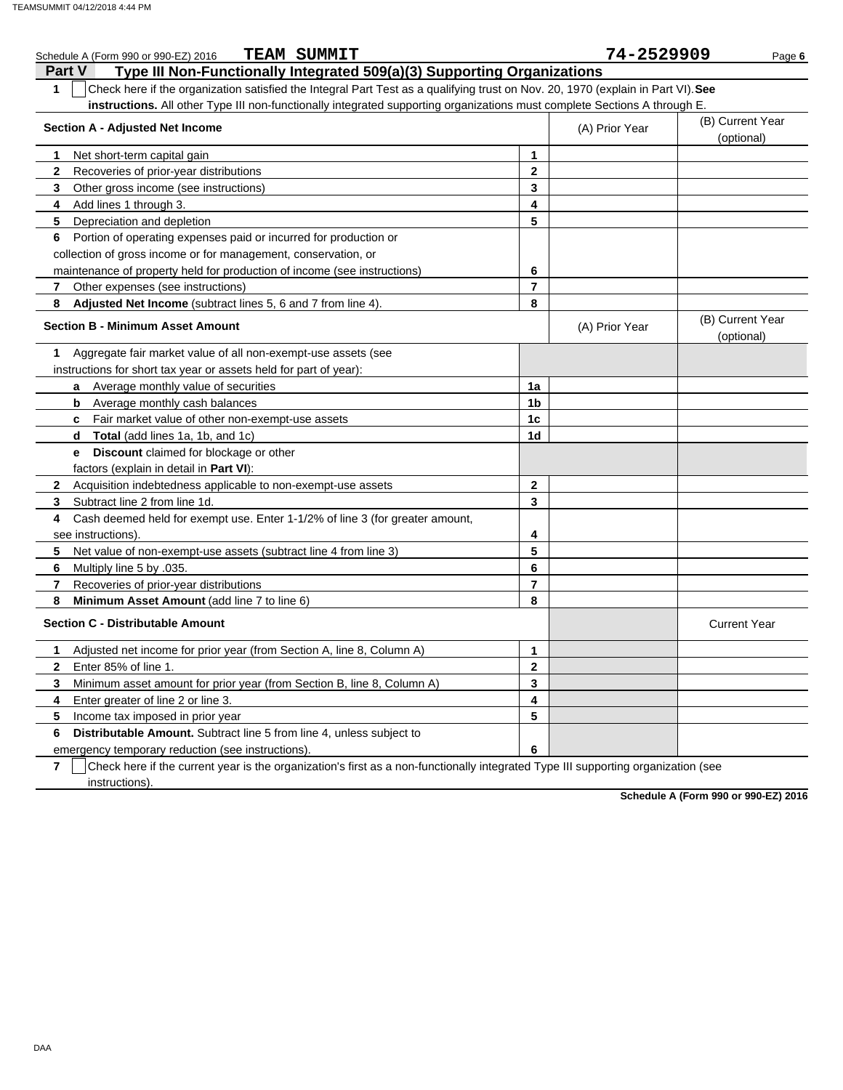| TEAM SUMMIT<br>Schedule A (Form 990 or 990-EZ) 2016                                                                                   |                         | 74-2529909     | Page 6                         |
|---------------------------------------------------------------------------------------------------------------------------------------|-------------------------|----------------|--------------------------------|
| Type III Non-Functionally Integrated 509(a)(3) Supporting Organizations<br><b>Part V</b>                                              |                         |                |                                |
| Check here if the organization satisfied the Integral Part Test as a qualifying trust on Nov. 20, 1970 (explain in Part VI). See<br>1 |                         |                |                                |
| instructions. All other Type III non-functionally integrated supporting organizations must complete Sections A through E.             |                         |                |                                |
| <b>Section A - Adjusted Net Income</b>                                                                                                |                         | (A) Prior Year | (B) Current Year<br>(optional) |
| Net short-term capital gain<br>1                                                                                                      | 1                       |                |                                |
| $\mathbf{2}$<br>Recoveries of prior-year distributions                                                                                | $\mathbf 2$             |                |                                |
| 3<br>Other gross income (see instructions)                                                                                            | 3                       |                |                                |
| Add lines 1 through 3.<br>4                                                                                                           | $\overline{\mathbf{4}}$ |                |                                |
| 5<br>Depreciation and depletion                                                                                                       | 5                       |                |                                |
| Portion of operating expenses paid or incurred for production or<br>6                                                                 |                         |                |                                |
| collection of gross income or for management, conservation, or                                                                        |                         |                |                                |
| maintenance of property held for production of income (see instructions)                                                              | 6                       |                |                                |
| 7<br>Other expenses (see instructions)                                                                                                | $\overline{7}$          |                |                                |
| Adjusted Net Income (subtract lines 5, 6 and 7 from line 4).<br>8                                                                     | 8                       |                |                                |
| <b>Section B - Minimum Asset Amount</b>                                                                                               |                         | (A) Prior Year | (B) Current Year<br>(optional) |
| Aggregate fair market value of all non-exempt-use assets (see<br>1                                                                    |                         |                |                                |
| instructions for short tax year or assets held for part of year):                                                                     |                         |                |                                |
| a Average monthly value of securities                                                                                                 | 1a                      |                |                                |
| <b>b</b> Average monthly cash balances                                                                                                | 1 <sub>b</sub>          |                |                                |
| c Fair market value of other non-exempt-use assets                                                                                    | $1c$                    |                |                                |
| <b>Total</b> (add lines 1a, 1b, and 1c)<br>d                                                                                          | 1d                      |                |                                |
| <b>e</b> Discount claimed for blockage or other                                                                                       |                         |                |                                |
| factors (explain in detail in <b>Part VI)</b> :                                                                                       |                         |                |                                |
| $\mathbf{2}$<br>Acquisition indebtedness applicable to non-exempt-use assets                                                          | $\mathbf{2}$            |                |                                |
| 3<br>Subtract line 2 from line 1d.                                                                                                    | 3                       |                |                                |
| Cash deemed held for exempt use. Enter 1-1/2% of line 3 (for greater amount,<br>4                                                     |                         |                |                                |
| see instructions).                                                                                                                    | 4                       |                |                                |
| 5<br>Net value of non-exempt-use assets (subtract line 4 from line 3)                                                                 | 5                       |                |                                |
| Multiply line 5 by .035.<br>6                                                                                                         | $\bf 6$                 |                |                                |
| 7<br>Recoveries of prior-year distributions                                                                                           | $\overline{7}$          |                |                                |
| 8<br>Minimum Asset Amount (add line 7 to line 6)                                                                                      | 8                       |                |                                |
| <b>Section C - Distributable Amount</b>                                                                                               |                         |                | <b>Current Year</b>            |
| Adjusted net income for prior year (from Section A, line 8, Column A)<br>1                                                            | 1                       |                |                                |
| $\mathbf{2}$<br>Enter 85% of line 1.                                                                                                  | $\overline{2}$          |                |                                |
| 3<br>Minimum asset amount for prior year (from Section B, line 8, Column A)                                                           | 3                       |                |                                |
| 4<br>Enter greater of line 2 or line 3.                                                                                               | 4                       |                |                                |
| 5<br>Income tax imposed in prior year                                                                                                 | 5                       |                |                                |
| Distributable Amount. Subtract line 5 from line 4, unless subject to<br>6                                                             |                         |                |                                |
| emergency temporary reduction (see instructions)                                                                                      | 6                       |                |                                |

**7** | Check here if the current year is the organization's first as a non-functionally integrated Type III supporting organization (see instructions).

**Schedule A (Form 990 or 990-EZ) 2016**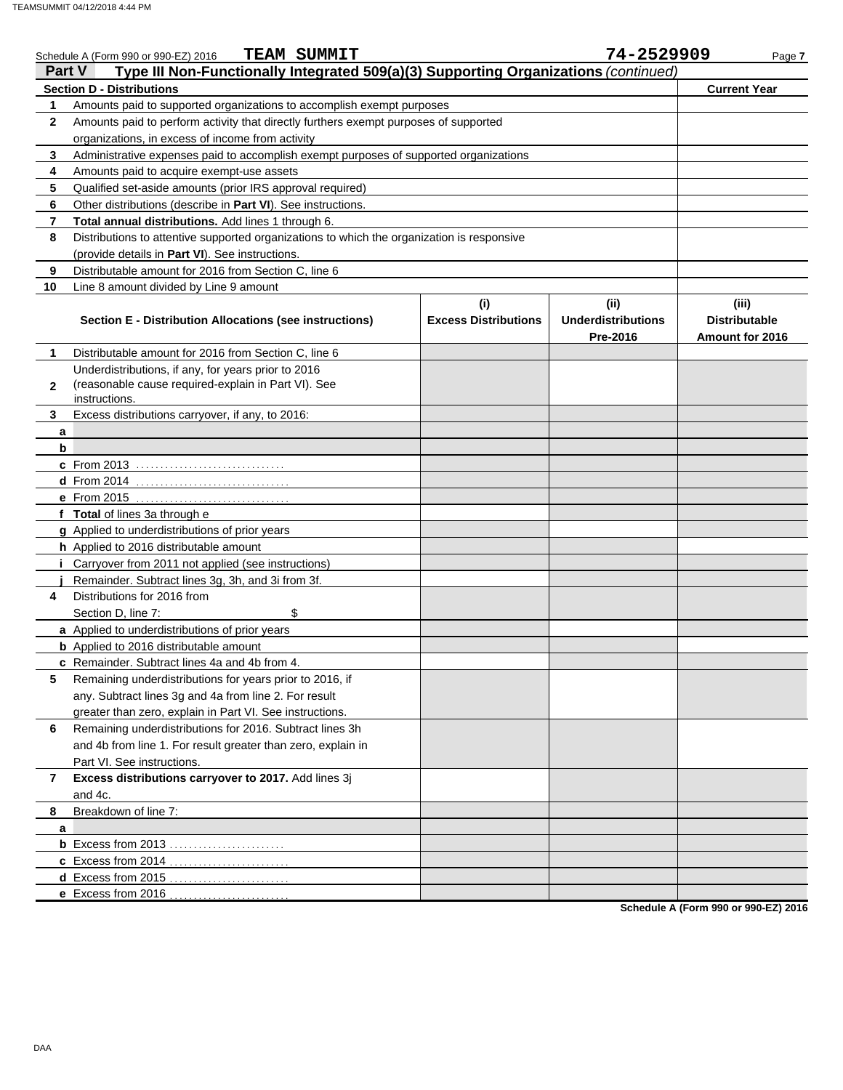|              | <b>TEAM SUMMIT</b><br>Schedule A (Form 990 or 990-EZ) 2016                                 |                                    | 74-2529909                                    | Page 7                                           |
|--------------|--------------------------------------------------------------------------------------------|------------------------------------|-----------------------------------------------|--------------------------------------------------|
| Part V       | Type III Non-Functionally Integrated 509(a)(3) Supporting Organizations (continued)        |                                    |                                               |                                                  |
|              | <b>Section D - Distributions</b>                                                           |                                    |                                               | <b>Current Year</b>                              |
| 1            | Amounts paid to supported organizations to accomplish exempt purposes                      |                                    |                                               |                                                  |
| $\mathbf{2}$ | Amounts paid to perform activity that directly furthers exempt purposes of supported       |                                    |                                               |                                                  |
|              | organizations, in excess of income from activity                                           |                                    |                                               |                                                  |
| 3            | Administrative expenses paid to accomplish exempt purposes of supported organizations      |                                    |                                               |                                                  |
| 4            | Amounts paid to acquire exempt-use assets                                                  |                                    |                                               |                                                  |
| 5            | Qualified set-aside amounts (prior IRS approval required)                                  |                                    |                                               |                                                  |
| 6            | Other distributions (describe in Part VI). See instructions.                               |                                    |                                               |                                                  |
| 7            | Total annual distributions. Add lines 1 through 6.                                         |                                    |                                               |                                                  |
| 8            | Distributions to attentive supported organizations to which the organization is responsive |                                    |                                               |                                                  |
|              | (provide details in Part VI). See instructions.                                            |                                    |                                               |                                                  |
| 9            | Distributable amount for 2016 from Section C, line 6                                       |                                    |                                               |                                                  |
| 10           | Line 8 amount divided by Line 9 amount                                                     |                                    |                                               |                                                  |
|              | Section E - Distribution Allocations (see instructions)                                    | (i)<br><b>Excess Distributions</b> | (ii)<br><b>Underdistributions</b><br>Pre-2016 | (iii)<br><b>Distributable</b><br>Amount for 2016 |
| 1            | Distributable amount for 2016 from Section C, line 6                                       |                                    |                                               |                                                  |
|              | Underdistributions, if any, for years prior to 2016                                        |                                    |                                               |                                                  |
| $\mathbf{2}$ | (reasonable cause required-explain in Part VI). See                                        |                                    |                                               |                                                  |
|              | instructions.                                                                              |                                    |                                               |                                                  |
| 3            | Excess distributions carryover, if any, to 2016:                                           |                                    |                                               |                                                  |
| a<br>b       |                                                                                            |                                    |                                               |                                                  |
|              |                                                                                            |                                    |                                               |                                                  |
|              | <b>c</b> From 2013                                                                         |                                    |                                               |                                                  |
|              | $d$ From 2014                                                                              |                                    |                                               |                                                  |
|              | e From 2015                                                                                |                                    |                                               |                                                  |
|              | f Total of lines 3a through e                                                              |                                    |                                               |                                                  |
|              | g Applied to underdistributions of prior years                                             |                                    |                                               |                                                  |
|              | h Applied to 2016 distributable amount                                                     |                                    |                                               |                                                  |
|              | Carryover from 2011 not applied (see instructions)                                         |                                    |                                               |                                                  |
|              | Remainder. Subtract lines 3g, 3h, and 3i from 3f.                                          |                                    |                                               |                                                  |
| 4            | Distributions for 2016 from                                                                |                                    |                                               |                                                  |
|              | \$<br>Section D, line 7:                                                                   |                                    |                                               |                                                  |
|              | a Applied to underdistributions of prior years                                             |                                    |                                               |                                                  |
|              | <b>b</b> Applied to 2016 distributable amount                                              |                                    |                                               |                                                  |
|              | c Remainder. Subtract lines 4a and 4b from 4.                                              |                                    |                                               |                                                  |
| 5            | Remaining underdistributions for years prior to 2016, if                                   |                                    |                                               |                                                  |
|              | any. Subtract lines 3g and 4a from line 2. For result                                      |                                    |                                               |                                                  |
|              | greater than zero, explain in Part VI. See instructions.                                   |                                    |                                               |                                                  |
| 6            | Remaining underdistributions for 2016. Subtract lines 3h                                   |                                    |                                               |                                                  |
|              | and 4b from line 1. For result greater than zero, explain in                               |                                    |                                               |                                                  |
|              | Part VI. See instructions.                                                                 |                                    |                                               |                                                  |
| 7            | Excess distributions carryover to 2017. Add lines 3j                                       |                                    |                                               |                                                  |
|              | and 4c.                                                                                    |                                    |                                               |                                                  |
| 8            | Breakdown of line 7:                                                                       |                                    |                                               |                                                  |
| a            |                                                                                            |                                    |                                               |                                                  |
|              | <b>b</b> Excess from 2013                                                                  |                                    |                                               |                                                  |
|              | c Excess from 2014                                                                         |                                    |                                               |                                                  |
|              | d Excess from 2015                                                                         |                                    |                                               |                                                  |
|              | e Excess from 2016                                                                         |                                    |                                               |                                                  |
|              |                                                                                            |                                    |                                               | Schodule A (Form 990 or 990-F7) 2016             |

**Schedule A (Form 990 or 990-EZ) 2016**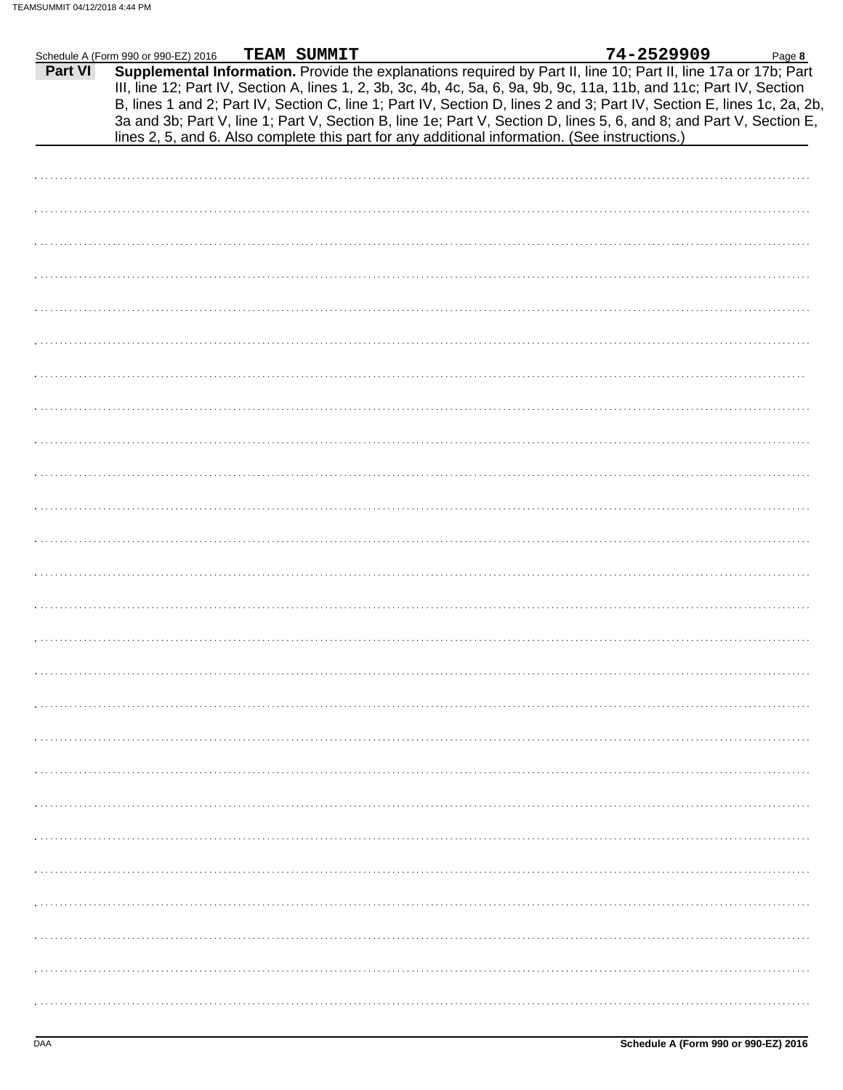|         | Schedule A (Form 990 or 990-EZ) 2016                                                                                                                                                                                                                                                                                                                                                                                                                                                                                                                                                       | TEAM SUMMIT |  | 74-2529909 | Page 8 |
|---------|--------------------------------------------------------------------------------------------------------------------------------------------------------------------------------------------------------------------------------------------------------------------------------------------------------------------------------------------------------------------------------------------------------------------------------------------------------------------------------------------------------------------------------------------------------------------------------------------|-------------|--|------------|--------|
| Part VI | Supplemental Information. Provide the explanations required by Part II, line 10; Part II, line 17a or 17b; Part<br>III, line 12; Part IV, Section A, lines 1, 2, 3b, 3c, 4b, 4c, 5a, 6, 9a, 9b, 9c, 11a, 11b, and 11c; Part IV, Section<br>B, lines 1 and 2; Part IV, Section C, line 1; Part IV, Section D, lines 2 and 3; Part IV, Section E, lines 1c, 2a, 2b,<br>3a and 3b; Part V, line 1; Part V, Section B, line 1e; Part V, Section D, lines 5, 6, and 8; and Part V, Section E,<br>lines 2, 5, and 6. Also complete this part for any additional information. (See instructions.) |             |  |            |        |
|         |                                                                                                                                                                                                                                                                                                                                                                                                                                                                                                                                                                                            |             |  |            |        |
|         |                                                                                                                                                                                                                                                                                                                                                                                                                                                                                                                                                                                            |             |  |            |        |
|         |                                                                                                                                                                                                                                                                                                                                                                                                                                                                                                                                                                                            |             |  |            |        |
|         |                                                                                                                                                                                                                                                                                                                                                                                                                                                                                                                                                                                            |             |  |            |        |
|         |                                                                                                                                                                                                                                                                                                                                                                                                                                                                                                                                                                                            |             |  |            |        |
|         |                                                                                                                                                                                                                                                                                                                                                                                                                                                                                                                                                                                            |             |  |            |        |
|         |                                                                                                                                                                                                                                                                                                                                                                                                                                                                                                                                                                                            |             |  |            |        |
|         |                                                                                                                                                                                                                                                                                                                                                                                                                                                                                                                                                                                            |             |  |            |        |
|         |                                                                                                                                                                                                                                                                                                                                                                                                                                                                                                                                                                                            |             |  |            |        |
|         |                                                                                                                                                                                                                                                                                                                                                                                                                                                                                                                                                                                            |             |  |            |        |
|         |                                                                                                                                                                                                                                                                                                                                                                                                                                                                                                                                                                                            |             |  |            |        |
|         |                                                                                                                                                                                                                                                                                                                                                                                                                                                                                                                                                                                            |             |  |            |        |
|         |                                                                                                                                                                                                                                                                                                                                                                                                                                                                                                                                                                                            |             |  |            |        |
|         |                                                                                                                                                                                                                                                                                                                                                                                                                                                                                                                                                                                            |             |  |            |        |
|         |                                                                                                                                                                                                                                                                                                                                                                                                                                                                                                                                                                                            |             |  |            |        |
|         |                                                                                                                                                                                                                                                                                                                                                                                                                                                                                                                                                                                            |             |  |            |        |
|         |                                                                                                                                                                                                                                                                                                                                                                                                                                                                                                                                                                                            |             |  |            |        |
|         |                                                                                                                                                                                                                                                                                                                                                                                                                                                                                                                                                                                            |             |  |            |        |
|         |                                                                                                                                                                                                                                                                                                                                                                                                                                                                                                                                                                                            |             |  |            |        |
|         |                                                                                                                                                                                                                                                                                                                                                                                                                                                                                                                                                                                            |             |  |            |        |
|         |                                                                                                                                                                                                                                                                                                                                                                                                                                                                                                                                                                                            |             |  |            |        |
|         |                                                                                                                                                                                                                                                                                                                                                                                                                                                                                                                                                                                            |             |  |            |        |
|         |                                                                                                                                                                                                                                                                                                                                                                                                                                                                                                                                                                                            |             |  |            |        |
|         |                                                                                                                                                                                                                                                                                                                                                                                                                                                                                                                                                                                            |             |  |            |        |
|         |                                                                                                                                                                                                                                                                                                                                                                                                                                                                                                                                                                                            |             |  |            |        |
|         |                                                                                                                                                                                                                                                                                                                                                                                                                                                                                                                                                                                            |             |  |            |        |
|         |                                                                                                                                                                                                                                                                                                                                                                                                                                                                                                                                                                                            |             |  |            |        |
|         |                                                                                                                                                                                                                                                                                                                                                                                                                                                                                                                                                                                            |             |  |            |        |
|         |                                                                                                                                                                                                                                                                                                                                                                                                                                                                                                                                                                                            |             |  |            |        |
|         |                                                                                                                                                                                                                                                                                                                                                                                                                                                                                                                                                                                            |             |  |            |        |
|         |                                                                                                                                                                                                                                                                                                                                                                                                                                                                                                                                                                                            |             |  |            |        |
|         |                                                                                                                                                                                                                                                                                                                                                                                                                                                                                                                                                                                            |             |  |            |        |
|         |                                                                                                                                                                                                                                                                                                                                                                                                                                                                                                                                                                                            |             |  |            |        |
|         |                                                                                                                                                                                                                                                                                                                                                                                                                                                                                                                                                                                            |             |  |            |        |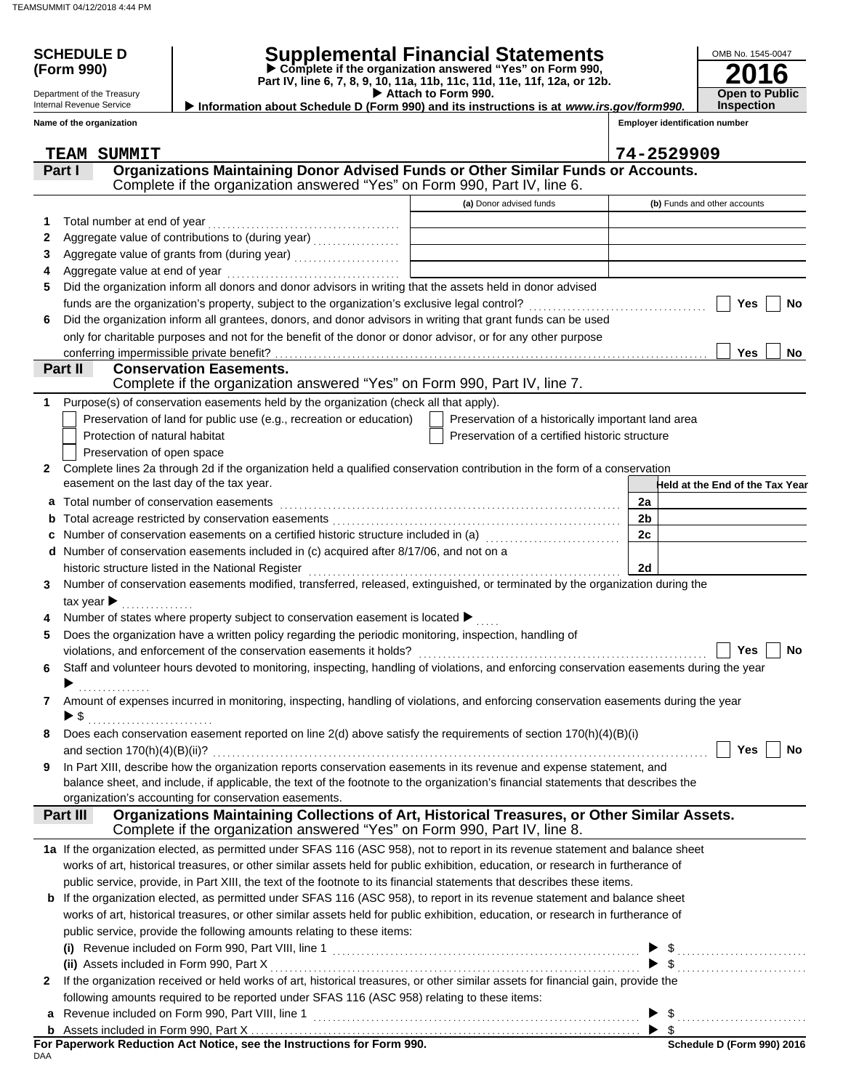# **SCHEDULE D Supplemental Financial Statements**

Attach to Form 990. **(Form 990)** ● **P** Complete if the organization answered "Yes" on Form 990,<br>Part IV, line 6, 7, 8, 9, 10, 11a, 11b, 11c, 11d, 11e, 11f, 12a, or 12b.

**2016** OMB No. 1545-0047 **Open to Public Inspection**

| Internal Revenue Service |  |
|--------------------------|--|
| Name of the organization |  |

Department of the Treasury

X **Information about Schedule D (Form 990) and its instructions is at** *www.irs.gov/form990.*

**Employer identification number**

|              | TEAM SUMMIT                                                                                                                                                                        |                                                    | 74-2529909                                           |
|--------------|------------------------------------------------------------------------------------------------------------------------------------------------------------------------------------|----------------------------------------------------|------------------------------------------------------|
|              | Organizations Maintaining Donor Advised Funds or Other Similar Funds or Accounts.<br>Part I                                                                                        |                                                    |                                                      |
|              | Complete if the organization answered "Yes" on Form 990, Part IV, line 6.                                                                                                          |                                                    |                                                      |
|              |                                                                                                                                                                                    | (a) Donor advised funds                            | (b) Funds and other accounts                         |
| 1            | Total number at end of year                                                                                                                                                        |                                                    |                                                      |
| 2            |                                                                                                                                                                                    |                                                    |                                                      |
| 3            |                                                                                                                                                                                    |                                                    |                                                      |
| 4            | Aggregate value at end of year                                                                                                                                                     |                                                    |                                                      |
| 5            | Did the organization inform all donors and donor advisors in writing that the assets held in donor advised                                                                         |                                                    |                                                      |
|              | funds are the organization's property, subject to the organization's exclusive legal control?                                                                                      |                                                    | Yes<br><b>No</b>                                     |
| 6            | Did the organization inform all grantees, donors, and donor advisors in writing that grant funds can be used                                                                       |                                                    |                                                      |
|              | only for charitable purposes and not for the benefit of the donor or donor advisor, or for any other purpose                                                                       |                                                    |                                                      |
|              | conferring impermissible private benefit?                                                                                                                                          |                                                    | <b>Yes</b><br>No                                     |
|              | Part II<br><b>Conservation Easements.</b>                                                                                                                                          |                                                    |                                                      |
|              | Complete if the organization answered "Yes" on Form 990, Part IV, line 7.                                                                                                          |                                                    |                                                      |
| 1.           | Purpose(s) of conservation easements held by the organization (check all that apply).                                                                                              |                                                    |                                                      |
|              | Preservation of land for public use (e.g., recreation or education)                                                                                                                | Preservation of a historically important land area |                                                      |
|              | Protection of natural habitat                                                                                                                                                      | Preservation of a certified historic structure     |                                                      |
|              | Preservation of open space                                                                                                                                                         |                                                    |                                                      |
| $\mathbf{z}$ | Complete lines 2a through 2d if the organization held a qualified conservation contribution in the form of a conservation<br>easement on the last day of the tax year.             |                                                    |                                                      |
|              |                                                                                                                                                                                    |                                                    | Held at the End of the Tax Year                      |
| а            | Total number of conservation easements                                                                                                                                             |                                                    | 2a<br>2 <sub>b</sub>                                 |
|              | Number of conservation easements on a certified historic structure included in (a) [11] Number of conservation easements on a certified historic structure included in (a)         |                                                    | 2c                                                   |
|              | Number of conservation easements included in (c) acquired after 8/17/06, and not on a                                                                                              |                                                    |                                                      |
|              |                                                                                                                                                                                    |                                                    | 2d                                                   |
| 3            | historic structure listed in the National Register<br>Number of conservation easements modified, transferred, released, extinguished, or terminated by the organization during the |                                                    |                                                      |
|              | tax year $\blacktriangleright$                                                                                                                                                     |                                                    |                                                      |
|              | Number of states where property subject to conservation easement is located ▶                                                                                                      |                                                    |                                                      |
| 5            | Does the organization have a written policy regarding the periodic monitoring, inspection, handling of                                                                             |                                                    |                                                      |
|              | violations, and enforcement of the conservation easements it holds?                                                                                                                |                                                    | No<br><b>Yes</b>                                     |
| 6            | Staff and volunteer hours devoted to monitoring, inspecting, handling of violations, and enforcing conservation easements during the year                                          |                                                    |                                                      |
|              |                                                                                                                                                                                    |                                                    |                                                      |
| 7            | Amount of expenses incurred in monitoring, inspecting, handling of violations, and enforcing conservation easements during the year                                                |                                                    |                                                      |
|              |                                                                                                                                                                                    |                                                    |                                                      |
|              | Does each conservation easement reported on line 2(d) above satisfy the requirements of section 170(h)(4)(B)(i)                                                                    |                                                    |                                                      |
|              |                                                                                                                                                                                    |                                                    | Yes<br>No                                            |
|              | In Part XIII, describe how the organization reports conservation easements in its revenue and expense statement, and                                                               |                                                    |                                                      |
|              | balance sheet, and include, if applicable, the text of the footnote to the organization's financial statements that describes the                                                  |                                                    |                                                      |
|              | organization's accounting for conservation easements.                                                                                                                              |                                                    |                                                      |
|              | Organizations Maintaining Collections of Art, Historical Treasures, or Other Similar Assets.<br>Part III                                                                           |                                                    |                                                      |
|              | Complete if the organization answered "Yes" on Form 990, Part IV, line 8.                                                                                                          |                                                    |                                                      |
|              | 1a If the organization elected, as permitted under SFAS 116 (ASC 958), not to report in its revenue statement and balance sheet                                                    |                                                    |                                                      |
|              | works of art, historical treasures, or other similar assets held for public exhibition, education, or research in furtherance of                                                   |                                                    |                                                      |
|              | public service, provide, in Part XIII, the text of the footnote to its financial statements that describes these items.                                                            |                                                    |                                                      |
|              | <b>b</b> If the organization elected, as permitted under SFAS 116 (ASC 958), to report in its revenue statement and balance sheet                                                  |                                                    |                                                      |
|              | works of art, historical treasures, or other similar assets held for public exhibition, education, or research in furtherance of                                                   |                                                    |                                                      |
|              | public service, provide the following amounts relating to these items:                                                                                                             |                                                    |                                                      |
|              |                                                                                                                                                                                    |                                                    | $\$\ldots\ldots\ldots\ldots\ldots\ldots\ldots\ldots$ |
|              | (ii) Assets included in Form 990, Part X                                                                                                                                           |                                                    | $\blacktriangleright$ \$                             |
| 2            | If the organization received or held works of art, historical treasures, or other similar assets for financial gain, provide the                                                   |                                                    |                                                      |
|              | following amounts required to be reported under SFAS 116 (ASC 958) relating to these items:                                                                                        |                                                    |                                                      |
|              | Revenue included on Form 990, Part VIII, line 1                                                                                                                                    |                                                    |                                                      |
|              |                                                                                                                                                                                    |                                                    |                                                      |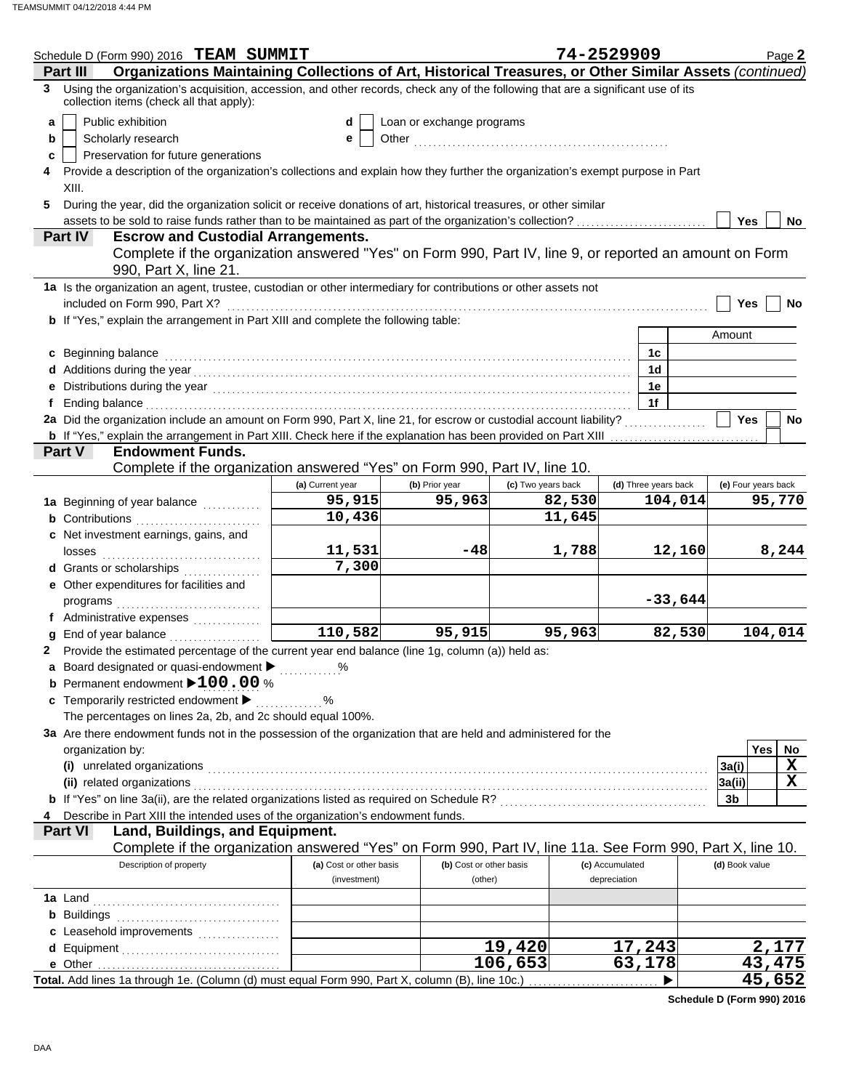|    | Schedule D (Form 990) 2016 TEAM SUMMIT                                                                                                                                                                                         |                         |                           |                    | 74-2529909           |           |                | Page 2              |
|----|--------------------------------------------------------------------------------------------------------------------------------------------------------------------------------------------------------------------------------|-------------------------|---------------------------|--------------------|----------------------|-----------|----------------|---------------------|
|    | Organizations Maintaining Collections of Art, Historical Treasures, or Other Similar Assets (continued)<br>Part III                                                                                                            |                         |                           |                    |                      |           |                |                     |
| 3. | Using the organization's acquisition, accession, and other records, check any of the following that are a significant use of its<br>collection items (check all that apply):                                                   |                         |                           |                    |                      |           |                |                     |
| a  | Public exhibition                                                                                                                                                                                                              | d                       | Loan or exchange programs |                    |                      |           |                |                     |
| b  | Scholarly research                                                                                                                                                                                                             | e                       |                           |                    |                      |           |                |                     |
| c  | Preservation for future generations                                                                                                                                                                                            |                         |                           |                    |                      |           |                |                     |
|    | Provide a description of the organization's collections and explain how they further the organization's exempt purpose in Part                                                                                                 |                         |                           |                    |                      |           |                |                     |
|    | XIII.                                                                                                                                                                                                                          |                         |                           |                    |                      |           |                |                     |
| 5  | During the year, did the organization solicit or receive donations of art, historical treasures, or other similar                                                                                                              |                         |                           |                    |                      |           |                |                     |
|    | assets to be sold to raise funds rather than to be maintained as part of the organization's collection?                                                                                                                        |                         |                           |                    |                      |           | Yes            | <b>No</b>           |
|    | Part IV<br><b>Escrow and Custodial Arrangements.</b>                                                                                                                                                                           |                         |                           |                    |                      |           |                |                     |
|    | Complete if the organization answered "Yes" on Form 990, Part IV, line 9, or reported an amount on Form                                                                                                                        |                         |                           |                    |                      |           |                |                     |
|    | 990, Part X, line 21.                                                                                                                                                                                                          |                         |                           |                    |                      |           |                |                     |
|    | 1a Is the organization an agent, trustee, custodian or other intermediary for contributions or other assets not                                                                                                                |                         |                           |                    |                      |           |                |                     |
|    | included on Form 990, Part X?                                                                                                                                                                                                  |                         |                           |                    |                      |           | Yes            | No                  |
|    | <b>b</b> If "Yes," explain the arrangement in Part XIII and complete the following table:                                                                                                                                      |                         |                           |                    |                      |           |                |                     |
|    |                                                                                                                                                                                                                                |                         |                           |                    |                      |           | Amount         |                     |
|    |                                                                                                                                                                                                                                |                         |                           |                    |                      |           |                |                     |
|    | c Beginning balance                                                                                                                                                                                                            |                         |                           |                    | 1c<br>1 <sub>d</sub> |           |                |                     |
|    |                                                                                                                                                                                                                                |                         |                           |                    |                      |           |                |                     |
|    | Distributions during the year [1, 1, 2010] [1, 2010] [1, 2010] [1, 2010] [1, 2010] [1, 2010] [1, 2010] [1, 2010] [1, 2010] [1, 2010] [1, 2010] [1, 2010] [1, 2010] [1, 2010] [1, 2010] [1, 2010] [1, 2010] [1, 2010] [1, 2010] |                         |                           |                    | 1e                   |           |                |                     |
|    | Ending balance                                                                                                                                                                                                                 |                         |                           |                    | 1f                   |           |                |                     |
|    | 2a Did the organization include an amount on Form 990, Part X, line 21, for escrow or custodial account liability?                                                                                                             |                         |                           |                    |                      |           | Yes            | No                  |
|    | <b>b</b> If "Yes," explain the arrangement in Part XIII. Check here if the explanation has been provided on Part XIII                                                                                                          |                         |                           |                    |                      |           |                |                     |
|    | Part V<br><b>Endowment Funds.</b>                                                                                                                                                                                              |                         |                           |                    |                      |           |                |                     |
|    | Complete if the organization answered "Yes" on Form 990, Part IV, line 10.                                                                                                                                                     |                         |                           |                    |                      |           |                |                     |
|    |                                                                                                                                                                                                                                | (a) Current year        | (b) Prior year            | (c) Two years back | (d) Three years back |           |                | (e) Four years back |
|    | 1a Beginning of year balance                                                                                                                                                                                                   | 95,915                  | 95,963                    | 82,530             |                      | 104,014   |                | 95,770              |
|    | <b>b</b> Contributions <b>contributions</b>                                                                                                                                                                                    | 10,436                  |                           | 11,645             |                      |           |                |                     |
|    | c Net investment earnings, gains, and                                                                                                                                                                                          |                         |                           |                    |                      |           |                |                     |
|    | losses                                                                                                                                                                                                                         | 11,531                  | -481                      | 1,788              |                      | 12,160    |                | 8,244               |
|    | d Grants or scholarships                                                                                                                                                                                                       | 7,300                   |                           |                    |                      |           |                |                     |
|    | e Other expenditures for facilities and                                                                                                                                                                                        |                         |                           |                    |                      |           |                |                     |
|    | programs                                                                                                                                                                                                                       |                         |                           |                    |                      | $-33,644$ |                |                     |
|    | f Administrative expenses                                                                                                                                                                                                      |                         |                           |                    |                      |           |                |                     |
|    | End of year balance <i>manufacturers</i>                                                                                                                                                                                       | 110,582                 | 95,915                    | 95,963             |                      | 82,530    |                | 104,014             |
|    | Provide the estimated percentage of the current year end balance (line 1g, column (a)) held as:                                                                                                                                |                         |                           |                    |                      |           |                |                     |
|    | a Board designated or quasi-endowment > %                                                                                                                                                                                      |                         |                           |                    |                      |           |                |                     |
|    | b Permanent endowment $\blacktriangleright$ 100.00%                                                                                                                                                                            |                         |                           |                    |                      |           |                |                     |
|    | c Temporarily restricted endowment >                                                                                                                                                                                           | %                       |                           |                    |                      |           |                |                     |
|    | The percentages on lines 2a, 2b, and 2c should equal 100%.                                                                                                                                                                     |                         |                           |                    |                      |           |                |                     |
|    | 3a Are there endowment funds not in the possession of the organization that are held and administered for the                                                                                                                  |                         |                           |                    |                      |           |                |                     |
|    | organization by:                                                                                                                                                                                                               |                         |                           |                    |                      |           |                | Yes<br>No           |
|    | (i) unrelated organizations                                                                                                                                                                                                    |                         |                           |                    |                      |           | 3a(i)          | X                   |
|    | (ii) related organizations                                                                                                                                                                                                     |                         |                           |                    |                      |           | 3a(ii)         | x                   |
|    |                                                                                                                                                                                                                                |                         |                           |                    |                      |           | 3b             |                     |
|    | Describe in Part XIII the intended uses of the organization's endowment funds.                                                                                                                                                 |                         |                           |                    |                      |           |                |                     |
|    | <b>Part VI</b><br>Land, Buildings, and Equipment.                                                                                                                                                                              |                         |                           |                    |                      |           |                |                     |
|    | Complete if the organization answered "Yes" on Form 990, Part IV, line 11a. See Form 990, Part X, line 10.                                                                                                                     |                         |                           |                    |                      |           |                |                     |
|    | Description of property                                                                                                                                                                                                        | (a) Cost or other basis | (b) Cost or other basis   |                    | (c) Accumulated      |           | (d) Book value |                     |
|    |                                                                                                                                                                                                                                | (investment)            | (other)                   |                    | depreciation         |           |                |                     |
|    | <b>1a</b> Land                                                                                                                                                                                                                 |                         |                           |                    |                      |           |                |                     |
|    | <b>b</b> Buildings                                                                                                                                                                                                             |                         |                           |                    |                      |           |                |                     |
|    | c Leasehold improvements                                                                                                                                                                                                       |                         |                           |                    |                      |           |                |                     |
|    |                                                                                                                                                                                                                                |                         |                           | 19,420             | 17,243               |           |                | <u>2,177</u>        |
|    |                                                                                                                                                                                                                                |                         |                           | 106,653            | 63,178               |           |                | 43,475              |
|    | Total. Add lines 1a through 1e. (Column (d) must equal Form 990, Part X, column (B), line 10c.)                                                                                                                                |                         |                           |                    |                      |           |                | 45,652              |
|    |                                                                                                                                                                                                                                |                         |                           |                    |                      |           |                |                     |

**Schedule D (Form 990) 2016**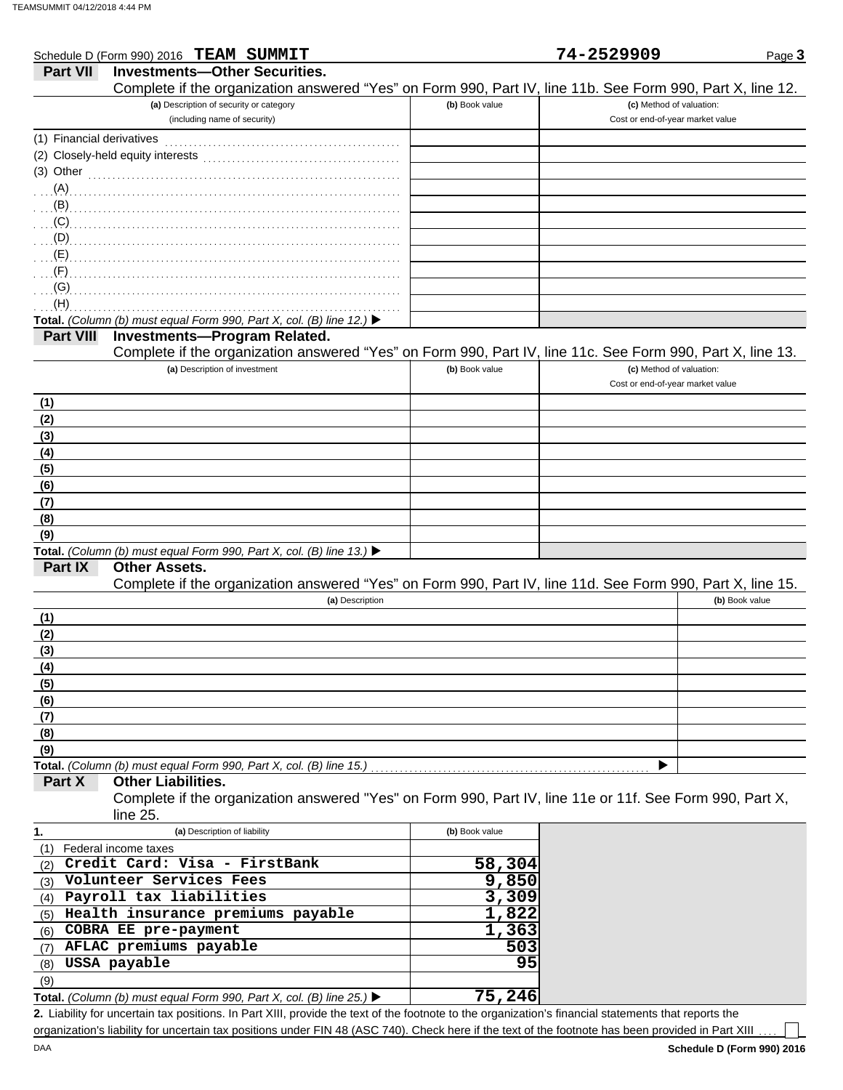|                           | Schedule D (Form 990) 2016 TEAM SUMMIT                                                                     |                | 74-2529909                       | Page 3         |
|---------------------------|------------------------------------------------------------------------------------------------------------|----------------|----------------------------------|----------------|
| Part VII                  | <b>Investments-Other Securities.</b>                                                                       |                |                                  |                |
|                           | Complete if the organization answered "Yes" on Form 990, Part IV, line 11b. See Form 990, Part X, line 12. |                |                                  |                |
|                           | (a) Description of security or category                                                                    | (b) Book value | (c) Method of valuation:         |                |
|                           | (including name of security)                                                                               |                | Cost or end-of-year market value |                |
| (1) Financial derivatives |                                                                                                            |                |                                  |                |
| (2)                       |                                                                                                            |                |                                  |                |
| $(3)$ Other               |                                                                                                            |                |                                  |                |
| (A)                       |                                                                                                            |                |                                  |                |
| (B)                       |                                                                                                            |                |                                  |                |
| (C)                       |                                                                                                            |                |                                  |                |
| (D)                       |                                                                                                            |                |                                  |                |
| (E)                       |                                                                                                            |                |                                  |                |
|                           |                                                                                                            |                |                                  |                |
| (G)                       |                                                                                                            |                |                                  |                |
| (H)                       |                                                                                                            |                |                                  |                |
|                           | Total. (Column (b) must equal Form 990, Part X, col. (B) line 12.) ▶                                       |                |                                  |                |
| <b>Part VIII</b>          | <b>Investments-Program Related.</b>                                                                        |                |                                  |                |
|                           | Complete if the organization answered "Yes" on Form 990, Part IV, line 11c. See Form 990, Part X, line 13. |                |                                  |                |
|                           | (a) Description of investment                                                                              | (b) Book value | (c) Method of valuation:         |                |
|                           |                                                                                                            |                | Cost or end-of-year market value |                |
| (1)                       |                                                                                                            |                |                                  |                |
| (2)                       |                                                                                                            |                |                                  |                |
| (3)                       |                                                                                                            |                |                                  |                |
| (4)                       |                                                                                                            |                |                                  |                |
| (5)                       |                                                                                                            |                |                                  |                |
| (6)                       |                                                                                                            |                |                                  |                |
| (7)                       |                                                                                                            |                |                                  |                |
| (8)                       |                                                                                                            |                |                                  |                |
| (9)                       |                                                                                                            |                |                                  |                |
|                           | Total. (Column (b) must equal Form 990, Part X, col. (B) line 13.) ▶                                       |                |                                  |                |
| Part IX                   | <b>Other Assets.</b>                                                                                       |                |                                  |                |
|                           | Complete if the organization answered "Yes" on Form 990, Part IV, line 11d. See Form 990, Part X, line 15. |                |                                  |                |
|                           | (a) Description                                                                                            |                |                                  | (b) Book value |
| (1)                       |                                                                                                            |                |                                  |                |
| (2)                       |                                                                                                            |                |                                  |                |
| (3)                       |                                                                                                            |                |                                  |                |
| (4)                       |                                                                                                            |                |                                  |                |
| (5)                       |                                                                                                            |                |                                  |                |
| (6)                       |                                                                                                            |                |                                  |                |
| (7)                       |                                                                                                            |                |                                  |                |
| (8)                       |                                                                                                            |                |                                  |                |
| (9)                       |                                                                                                            |                |                                  |                |
|                           | Total. (Column (b) must equal Form 990, Part X, col. (B) line 15.)                                         |                |                                  |                |
| Part X                    | <b>Other Liabilities.</b>                                                                                  |                |                                  |                |
|                           | Complete if the organization answered "Yes" on Form 990, Part IV, line 11e or 11f. See Form 990, Part X,   |                |                                  |                |
|                           | line 25.                                                                                                   |                |                                  |                |
| 1.                        | (a) Description of liability                                                                               | (b) Book value |                                  |                |
| (1)                       | Federal income taxes                                                                                       |                |                                  |                |
| (2)                       | Credit Card: Visa - FirstBank                                                                              | 58,304         |                                  |                |
| (3)                       | Volunteer Services Fees<br>Payroll tax liabilities                                                         | 9,850          |                                  |                |
| (4)                       |                                                                                                            | 3,309          |                                  |                |
| (5)                       | Health insurance premiums payable                                                                          | 1,822          |                                  |                |
| (6)                       | COBRA EE pre-payment                                                                                       | 1,363          |                                  |                |
| (7)                       | AFLAC premiums payable                                                                                     | 503            |                                  |                |
| (8)                       | USSA payable                                                                                               | 95             |                                  |                |
| (9)                       |                                                                                                            |                |                                  |                |
|                           | Total. (Column (b) must equal Form 990, Part X, col. (B) line 25.) $\blacktriangleright$                   | 75,246         |                                  |                |

organization's liability for uncertain tax positions under FIN 48 (ASC 740). Check here if the text of the footnote has been provided in Part XIII ...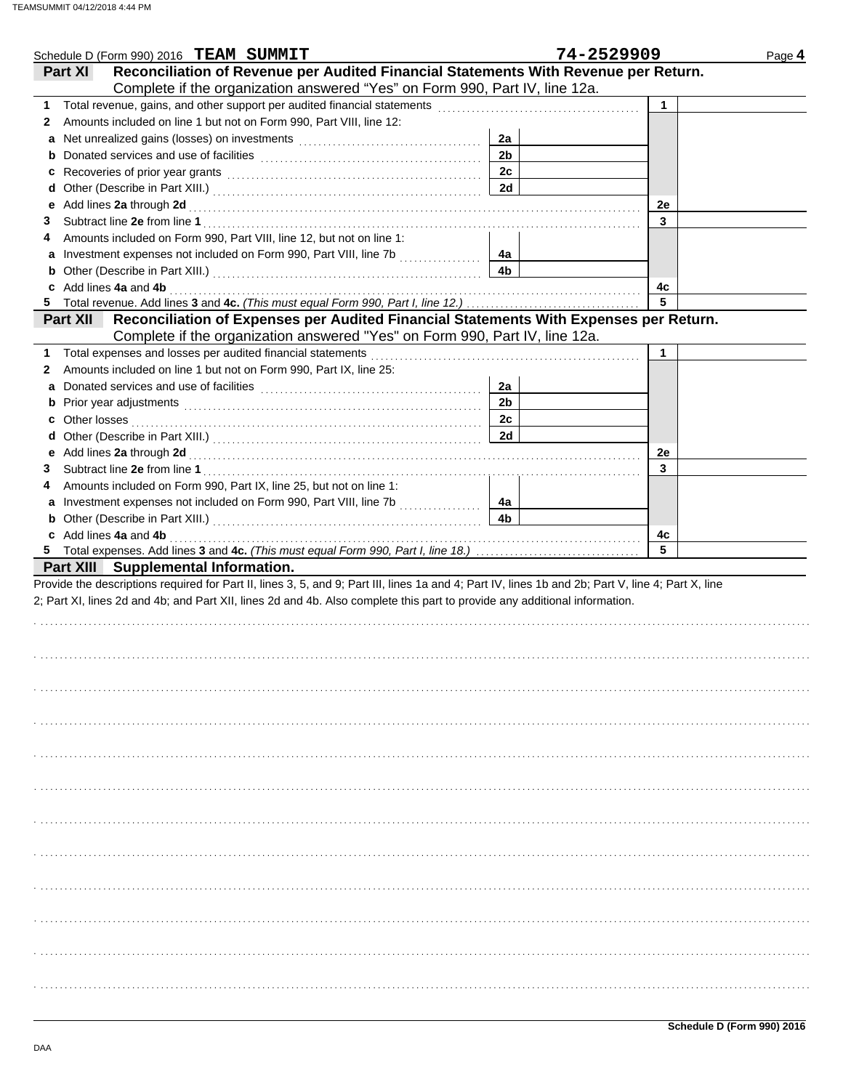| Schedule D (Form 990) 2016 TEAM SUMMIT                                                                                                                                                                          |                | 74-2529909   | Page 4 |
|-----------------------------------------------------------------------------------------------------------------------------------------------------------------------------------------------------------------|----------------|--------------|--------|
| Reconciliation of Revenue per Audited Financial Statements With Revenue per Return.<br>Part XI                                                                                                                  |                |              |        |
| Complete if the organization answered "Yes" on Form 990, Part IV, line 12a.                                                                                                                                     |                |              |        |
| 1                                                                                                                                                                                                               |                | 1.           |        |
| Amounts included on line 1 but not on Form 990, Part VIII, line 12:<br>2                                                                                                                                        |                |              |        |
|                                                                                                                                                                                                                 | 2a             |              |        |
| b                                                                                                                                                                                                               | 2 <sub>b</sub> |              |        |
|                                                                                                                                                                                                                 | 2c             |              |        |
|                                                                                                                                                                                                                 | 2d             |              |        |
|                                                                                                                                                                                                                 |                | 2е           |        |
| 3                                                                                                                                                                                                               |                | $\mathbf{3}$ |        |
| Amounts included on Form 990, Part VIII, line 12, but not on line 1:                                                                                                                                            |                |              |        |
|                                                                                                                                                                                                                 | 4a             |              |        |
| <b>b</b> Other (Describe in Part XIII.) <b>CONSIDENT DESCRIPTION DESCRIPTION DESCRIPTION DESCRIPTION DESCRIPTION DESCRIPTION DESCRIPTION DESCRIPTION DESCRIPTION DESCRIPTION DESCRIPTION DESCRIPTION DESCRI</b> | 4b             |              |        |
| c Add lines 4a and 4b                                                                                                                                                                                           |                | 4c           |        |
|                                                                                                                                                                                                                 |                | 5            |        |
| Reconciliation of Expenses per Audited Financial Statements With Expenses per Return.<br>Part XII                                                                                                               |                |              |        |
| Complete if the organization answered "Yes" on Form 990, Part IV, line 12a.                                                                                                                                     |                |              |        |
| Total expenses and losses per audited financial statements<br>1                                                                                                                                                 |                | 1            |        |
| Amounts included on line 1 but not on Form 990, Part IX, line 25:<br>2                                                                                                                                          |                |              |        |
|                                                                                                                                                                                                                 | 2a             |              |        |
|                                                                                                                                                                                                                 | 2 <sub>b</sub> |              |        |
|                                                                                                                                                                                                                 | 2c             |              |        |
| d                                                                                                                                                                                                               | 2d             |              |        |
|                                                                                                                                                                                                                 |                | 2e           |        |
| 3                                                                                                                                                                                                               |                | $\mathbf{3}$ |        |
| Amounts included on Form 990, Part IX, line 25, but not on line 1:                                                                                                                                              |                |              |        |
|                                                                                                                                                                                                                 | 4a             |              |        |
|                                                                                                                                                                                                                 | 4 <sub>b</sub> |              |        |
| c Add lines 4a and 4b                                                                                                                                                                                           |                | 4с           |        |
|                                                                                                                                                                                                                 |                | 5            |        |
| Part XIII Supplemental Information.                                                                                                                                                                             |                |              |        |
| Provide the descriptions required for Part II, lines 3, 5, and 9; Part III, lines 1a and 4; Part IV, lines 1b and 2b; Part V, line 4; Part X, line                                                              |                |              |        |
| 2; Part XI, lines 2d and 4b; and Part XII, lines 2d and 4b. Also complete this part to provide any additional information.                                                                                      |                |              |        |
|                                                                                                                                                                                                                 |                |              |        |
|                                                                                                                                                                                                                 |                |              |        |
|                                                                                                                                                                                                                 |                |              |        |
|                                                                                                                                                                                                                 |                |              |        |
|                                                                                                                                                                                                                 |                |              |        |
|                                                                                                                                                                                                                 |                |              |        |
|                                                                                                                                                                                                                 |                |              |        |
|                                                                                                                                                                                                                 |                |              |        |
|                                                                                                                                                                                                                 |                |              |        |
|                                                                                                                                                                                                                 |                |              |        |
|                                                                                                                                                                                                                 |                |              |        |
|                                                                                                                                                                                                                 |                |              |        |
|                                                                                                                                                                                                                 |                |              |        |
|                                                                                                                                                                                                                 |                |              |        |
|                                                                                                                                                                                                                 |                |              |        |
|                                                                                                                                                                                                                 |                |              |        |
|                                                                                                                                                                                                                 |                |              |        |
|                                                                                                                                                                                                                 |                |              |        |
|                                                                                                                                                                                                                 |                |              |        |
|                                                                                                                                                                                                                 |                |              |        |
|                                                                                                                                                                                                                 |                |              |        |
|                                                                                                                                                                                                                 |                |              |        |
|                                                                                                                                                                                                                 |                |              |        |
|                                                                                                                                                                                                                 |                |              |        |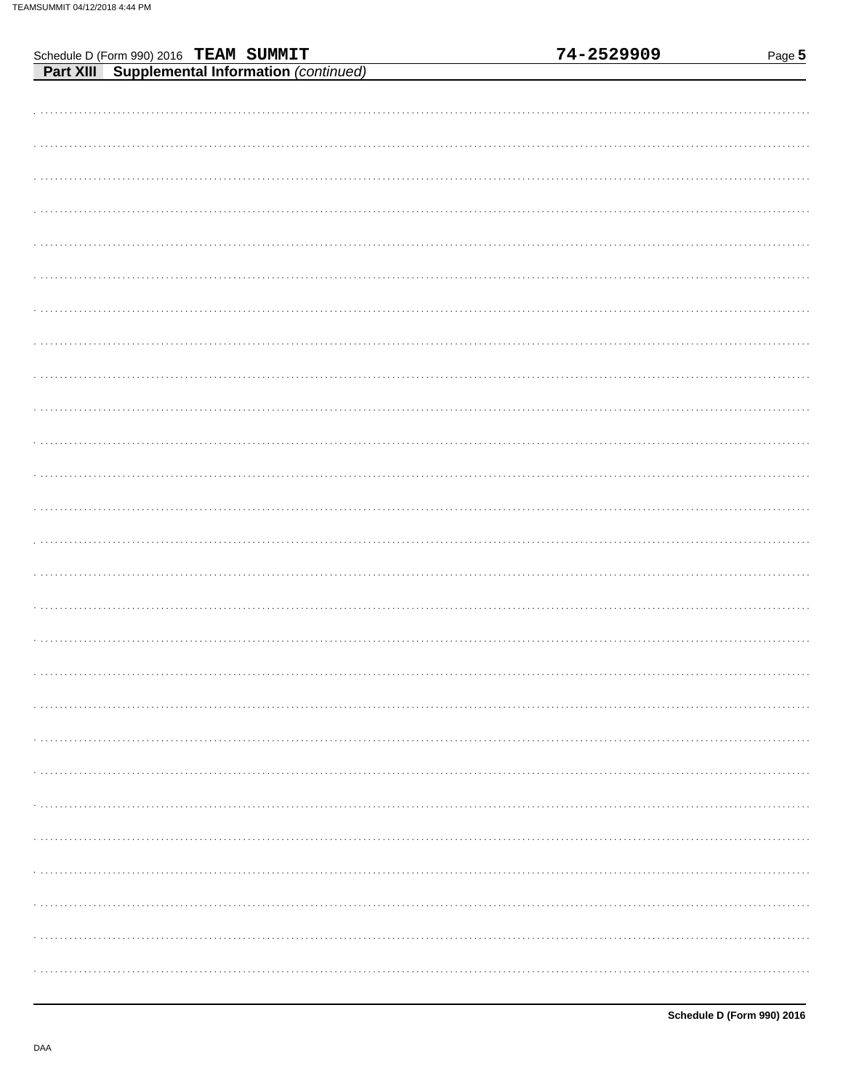|                                                                                          | 74-2529909 | Page $5$ |
|------------------------------------------------------------------------------------------|------------|----------|
| Schedule D (Form 990) 2016 TEAM SUMMIT<br>Part XIII Supplemental Information (continued) |            |          |
|                                                                                          |            |          |
|                                                                                          |            |          |
|                                                                                          |            |          |
|                                                                                          |            |          |
|                                                                                          |            |          |
|                                                                                          |            |          |
|                                                                                          |            |          |
|                                                                                          |            |          |
|                                                                                          |            |          |
|                                                                                          |            |          |
|                                                                                          |            |          |
|                                                                                          |            |          |
|                                                                                          |            |          |
|                                                                                          |            |          |
|                                                                                          |            |          |
|                                                                                          |            |          |
|                                                                                          |            |          |
|                                                                                          |            |          |
|                                                                                          |            |          |
|                                                                                          |            |          |
|                                                                                          |            |          |
|                                                                                          |            |          |
|                                                                                          |            |          |
|                                                                                          |            |          |
|                                                                                          |            |          |
|                                                                                          |            |          |
|                                                                                          |            |          |
|                                                                                          |            |          |
|                                                                                          |            |          |
|                                                                                          |            |          |
|                                                                                          |            |          |
|                                                                                          |            |          |
|                                                                                          |            |          |
|                                                                                          |            |          |
|                                                                                          |            |          |
|                                                                                          |            |          |
|                                                                                          |            |          |
|                                                                                          |            |          |
|                                                                                          |            |          |
|                                                                                          |            |          |
|                                                                                          |            |          |
|                                                                                          |            |          |
|                                                                                          |            |          |
|                                                                                          |            |          |
|                                                                                          |            |          |
|                                                                                          |            |          |
|                                                                                          |            |          |
|                                                                                          |            |          |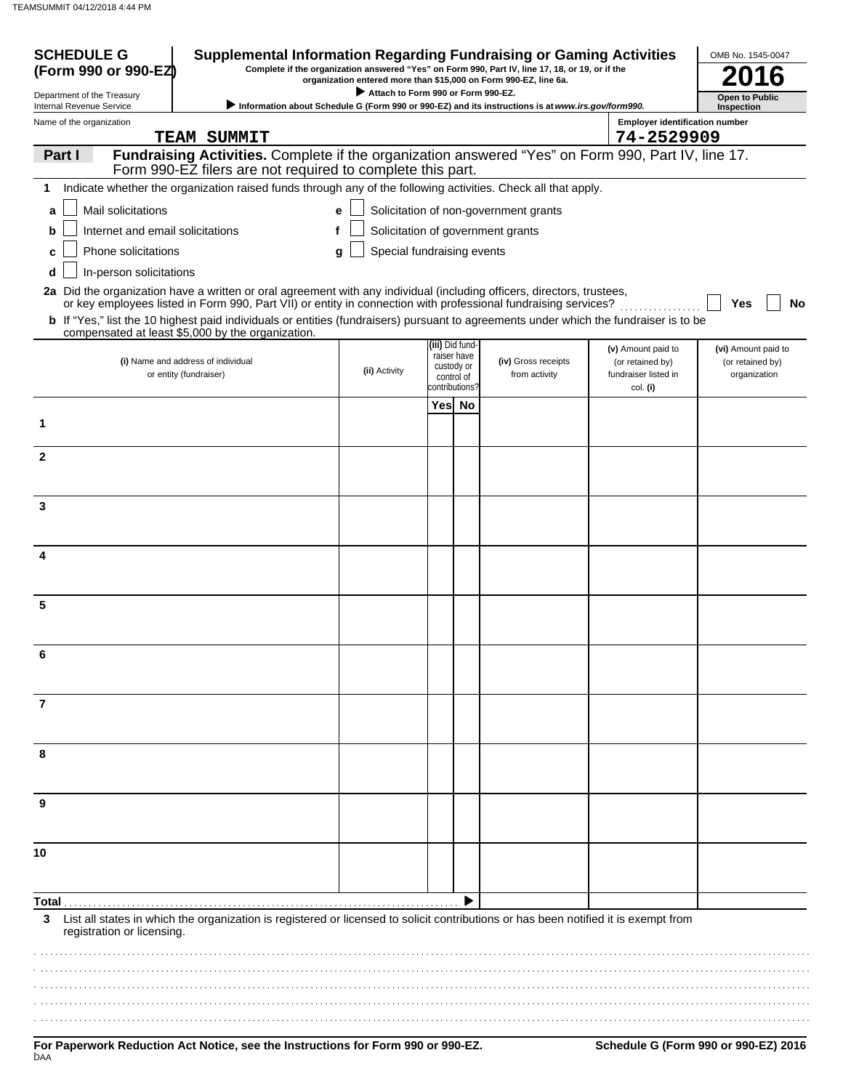| <b>SCHEDULE G</b><br>(Form 990 or 990-EZ)                     | <b>Supplemental Information Regarding Fundraising or Gaming Activities</b><br>Complete if the organization answered "Yes" on Form 990, Part IV, line 17, 18, or 19, or if the<br>organization entered more than \$15,000 on Form 990-EZ, line 6a. | OMB No. 1545-0047                  |                |                                |                                                                                                   |                                          |                                     |
|---------------------------------------------------------------|---------------------------------------------------------------------------------------------------------------------------------------------------------------------------------------------------------------------------------------------------|------------------------------------|----------------|--------------------------------|---------------------------------------------------------------------------------------------------|------------------------------------------|-------------------------------------|
| Department of the Treasury<br><b>Internal Revenue Service</b> |                                                                                                                                                                                                                                                   | Attach to Form 990 or Form 990-EZ. |                |                                | Information about Schedule G (Form 990 or 990-EZ) and its instructions is at www.irs.gov/form990. |                                          | <b>Open to Public</b><br>Inspection |
| Name of the organization                                      |                                                                                                                                                                                                                                                   |                                    |                |                                |                                                                                                   | <b>Employer identification number</b>    |                                     |
|                                                               | <b>TEAM SUMMIT</b>                                                                                                                                                                                                                                |                                    |                |                                |                                                                                                   | 74-2529909                               |                                     |
| Part I                                                        | Fundraising Activities. Complete if the organization answered "Yes" on Form 990, Part IV, line 17.<br>Form 990-EZ filers are not required to complete this part.                                                                                  |                                    |                |                                |                                                                                                   |                                          |                                     |
| 1                                                             | Indicate whether the organization raised funds through any of the following activities. Check all that apply.                                                                                                                                     |                                    |                |                                |                                                                                                   |                                          |                                     |
| Mail solicitations<br>a                                       |                                                                                                                                                                                                                                                   | e                                  |                |                                | Solicitation of non-government grants                                                             |                                          |                                     |
| Internet and email solicitations<br>b                         |                                                                                                                                                                                                                                                   | f                                  |                |                                | Solicitation of government grants                                                                 |                                          |                                     |
| Phone solicitations<br>C                                      |                                                                                                                                                                                                                                                   | Special fundraising events<br>g    |                |                                |                                                                                                   |                                          |                                     |
| In-person solicitations<br>d                                  |                                                                                                                                                                                                                                                   |                                    |                |                                |                                                                                                   |                                          |                                     |
|                                                               | 2a Did the organization have a written or oral agreement with any individual (including officers, directors, trustees,                                                                                                                            |                                    |                |                                |                                                                                                   |                                          |                                     |
|                                                               | or key employees listed in Form 990, Part VII) or entity in connection with professional fundraising services?                                                                                                                                    |                                    |                |                                |                                                                                                   |                                          | Yes<br><b>No</b>                    |
|                                                               | b If "Yes," list the 10 highest paid individuals or entities (fundraisers) pursuant to agreements under which the fundraiser is to be<br>compensated at least \$5,000 by the organization.                                                        |                                    |                |                                |                                                                                                   |                                          |                                     |
|                                                               |                                                                                                                                                                                                                                                   |                                    |                | (iii) Did fund-<br>raiser have |                                                                                                   | (v) Amount paid to                       | (vi) Amount paid to                 |
|                                                               | (i) Name and address of individual<br>or entity (fundraiser)                                                                                                                                                                                      | (ii) Activity                      |                | custody or<br>control of       | (iv) Gross receipts<br>from activity                                                              | (or retained by)<br>fundraiser listed in | (or retained by)<br>organization    |
|                                                               |                                                                                                                                                                                                                                                   |                                    | contributions? |                                |                                                                                                   | col. (i)                                 |                                     |
| 1                                                             |                                                                                                                                                                                                                                                   |                                    |                | Yes No                         |                                                                                                   |                                          |                                     |
|                                                               |                                                                                                                                                                                                                                                   |                                    |                |                                |                                                                                                   |                                          |                                     |
| $\overline{2}$                                                |                                                                                                                                                                                                                                                   |                                    |                |                                |                                                                                                   |                                          |                                     |
|                                                               |                                                                                                                                                                                                                                                   |                                    |                |                                |                                                                                                   |                                          |                                     |
| 3                                                             |                                                                                                                                                                                                                                                   |                                    |                |                                |                                                                                                   |                                          |                                     |
|                                                               |                                                                                                                                                                                                                                                   |                                    |                |                                |                                                                                                   |                                          |                                     |
|                                                               |                                                                                                                                                                                                                                                   |                                    |                |                                |                                                                                                   |                                          |                                     |
| 4                                                             |                                                                                                                                                                                                                                                   |                                    |                |                                |                                                                                                   |                                          |                                     |
|                                                               |                                                                                                                                                                                                                                                   |                                    |                |                                |                                                                                                   |                                          |                                     |
| 5                                                             |                                                                                                                                                                                                                                                   |                                    |                |                                |                                                                                                   |                                          |                                     |
|                                                               |                                                                                                                                                                                                                                                   |                                    |                |                                |                                                                                                   |                                          |                                     |
| 6                                                             |                                                                                                                                                                                                                                                   |                                    |                |                                |                                                                                                   |                                          |                                     |
|                                                               |                                                                                                                                                                                                                                                   |                                    |                |                                |                                                                                                   |                                          |                                     |
|                                                               |                                                                                                                                                                                                                                                   |                                    |                |                                |                                                                                                   |                                          |                                     |
| 7                                                             |                                                                                                                                                                                                                                                   |                                    |                |                                |                                                                                                   |                                          |                                     |
|                                                               |                                                                                                                                                                                                                                                   |                                    |                |                                |                                                                                                   |                                          |                                     |
| 8                                                             |                                                                                                                                                                                                                                                   |                                    |                |                                |                                                                                                   |                                          |                                     |
|                                                               |                                                                                                                                                                                                                                                   |                                    |                |                                |                                                                                                   |                                          |                                     |
| 9                                                             |                                                                                                                                                                                                                                                   |                                    |                |                                |                                                                                                   |                                          |                                     |
|                                                               |                                                                                                                                                                                                                                                   |                                    |                |                                |                                                                                                   |                                          |                                     |
|                                                               |                                                                                                                                                                                                                                                   |                                    |                |                                |                                                                                                   |                                          |                                     |
| 10                                                            |                                                                                                                                                                                                                                                   |                                    |                |                                |                                                                                                   |                                          |                                     |
|                                                               |                                                                                                                                                                                                                                                   |                                    |                |                                |                                                                                                   |                                          |                                     |
| Total .                                                       |                                                                                                                                                                                                                                                   |                                    |                |                                |                                                                                                   |                                          |                                     |
| 3.                                                            | List all states in which the organization is registered or licensed to solicit contributions or has been notified it is exempt from                                                                                                               |                                    |                |                                |                                                                                                   |                                          |                                     |
| registration or licensing.                                    |                                                                                                                                                                                                                                                   |                                    |                |                                |                                                                                                   |                                          |                                     |
|                                                               |                                                                                                                                                                                                                                                   |                                    |                |                                |                                                                                                   |                                          |                                     |
|                                                               |                                                                                                                                                                                                                                                   |                                    |                |                                |                                                                                                   |                                          |                                     |
|                                                               |                                                                                                                                                                                                                                                   |                                    |                |                                |                                                                                                   |                                          |                                     |
|                                                               |                                                                                                                                                                                                                                                   |                                    |                |                                |                                                                                                   |                                          |                                     |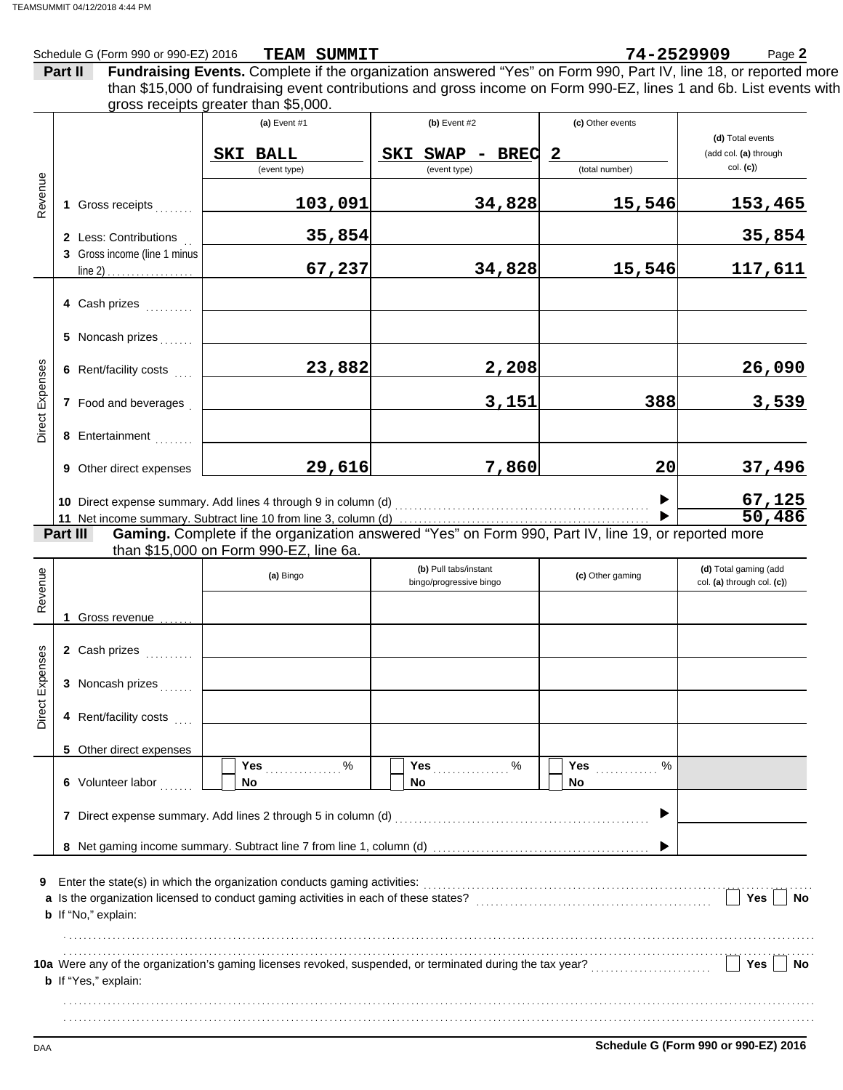|                            | Part II                                                            | gross receipts greater than \$5,000.                                     | Fundraising Events. Complete if the organization answered "Yes" on Form 990, Part IV, line 18, or reported more<br>than \$15,000 of fundraising event contributions and gross income on Form 990-EZ, lines 1 and 6b. List events with |                   |                            |
|----------------------------|--------------------------------------------------------------------|--------------------------------------------------------------------------|---------------------------------------------------------------------------------------------------------------------------------------------------------------------------------------------------------------------------------------|-------------------|----------------------------|
|                            |                                                                    | (a) Event $#1$                                                           | (b) Event $#2$                                                                                                                                                                                                                        | (c) Other events  | (d) Total events           |
|                            |                                                                    | <b>BALL</b><br>SKI                                                       | SKI SWAP - BREC                                                                                                                                                                                                                       | $\mathbf{2}$      | (add col. (a) through      |
|                            |                                                                    | (event type)                                                             | (event type)                                                                                                                                                                                                                          | (total number)    | col. (c)                   |
| Revenue                    | 1 Gross receipts                                                   | 103,091                                                                  | 34,828                                                                                                                                                                                                                                | 15,546            | <u>153,465</u>             |
|                            | 2 Less: Contributions                                              | 35,854                                                                   |                                                                                                                                                                                                                                       |                   | 35,854                     |
|                            | 3 Gross income (line 1 minus<br>line 2) $\ldots$ $\ldots$ $\ldots$ | 67,237                                                                   | 34,828                                                                                                                                                                                                                                | 15,546            | <u>117,611</u>             |
|                            | 4 Cash prizes                                                      |                                                                          |                                                                                                                                                                                                                                       |                   |                            |
|                            | 5 Noncash prizes                                                   |                                                                          |                                                                                                                                                                                                                                       |                   |                            |
|                            | 6 Rent/facility costs                                              | 23,882                                                                   | 2,208                                                                                                                                                                                                                                 |                   | 26,090                     |
| <b>Direct Expenses</b>     | 7 Food and beverages                                               |                                                                          | 3,151                                                                                                                                                                                                                                 | 388               | 3,539                      |
|                            | 8 Entertainment                                                    |                                                                          |                                                                                                                                                                                                                                       |                   |                            |
|                            |                                                                    |                                                                          |                                                                                                                                                                                                                                       |                   |                            |
|                            | 9 Other direct expenses                                            | 29,616                                                                   | 7,860                                                                                                                                                                                                                                 | 20                | 37,496                     |
|                            |                                                                    |                                                                          |                                                                                                                                                                                                                                       |                   |                            |
|                            |                                                                    | 10 Direct expense summary. Add lines 4 through 9 in column (d)           |                                                                                                                                                                                                                                       |                   | $\frac{67,125}{50,486}$    |
|                            | Part III                                                           |                                                                          | Gaming. Complete if the organization answered "Yes" on Form 990, Part IV, line 19, or reported more                                                                                                                                   |                   |                            |
|                            |                                                                    | than \$15,000 on Form 990-EZ, line 6a.                                   | (b) Pull tabs/instant                                                                                                                                                                                                                 |                   | (d) Total gaming (add      |
|                            |                                                                    | (a) Bingo                                                                | bingo/progressive bingo                                                                                                                                                                                                               | (c) Other gaming  | col. (a) through col. (c)) |
|                            |                                                                    |                                                                          |                                                                                                                                                                                                                                       |                   |                            |
|                            | Gross revenue <i>contract</i>                                      |                                                                          |                                                                                                                                                                                                                                       |                   |                            |
|                            | 2 Cash prizes                                                      |                                                                          |                                                                                                                                                                                                                                       |                   |                            |
|                            | 3 Noncash prizes                                                   |                                                                          |                                                                                                                                                                                                                                       |                   |                            |
|                            | 4 Rent/facility costs                                              |                                                                          |                                                                                                                                                                                                                                       |                   |                            |
| Revenue<br>Direct Expenses |                                                                    |                                                                          |                                                                                                                                                                                                                                       |                   |                            |
|                            | 5 Other direct expenses<br>6 Volunteer labor                       | %<br>Yes<br>No                                                           | Yes<br>%<br>No                                                                                                                                                                                                                        | Yes<br>$\%$<br>No |                            |
|                            |                                                                    |                                                                          |                                                                                                                                                                                                                                       |                   |                            |
|                            |                                                                    |                                                                          | 7 Direct expense summary. Add lines 2 through 5 in column (d) [11] [21] Direct expenses summary. Add lines 2 through 5 in column (d) [11] $\frac{1}{2}$                                                                               | ▶                 |                            |
|                            |                                                                    |                                                                          |                                                                                                                                                                                                                                       |                   |                            |
|                            |                                                                    |                                                                          |                                                                                                                                                                                                                                       |                   |                            |
|                            |                                                                    | Enter the state(s) in which the organization conducts gaming activities: |                                                                                                                                                                                                                                       |                   | Yes<br><b>No</b>           |

. . . . . . . . . . . . . . . . . . . . . . . . . . . . . . . . . . . . . . . . . . . . . . . . . . . . . . . . . . . . . . . . . . . . . . . . . . . . . . . . . . . . . . . . . . . . . . . . . . . . . . . . . . . . . . . . . . . . . . . . . . . . . . . . . . . . . . . . . . . . . . . . . . . . . . . . . . . . . . . . . . . . . . . . . . . . . . . . . . . . . . . . . . . . . . . . . . . . . . . . . . . . . . . . . . . . . . . . . . . . . . . . . . . . . . . . . . . . . . . . . . . . . . . . . . . . . . . . . . . . . . . . . . . . . . . . . . . . . . . . . . . . . . . . . . . . . . . . . . . . . . . . . . . . . . . .

| <b>b</b> If "Yes," explain: |  |
|-----------------------------|--|
|-----------------------------|--|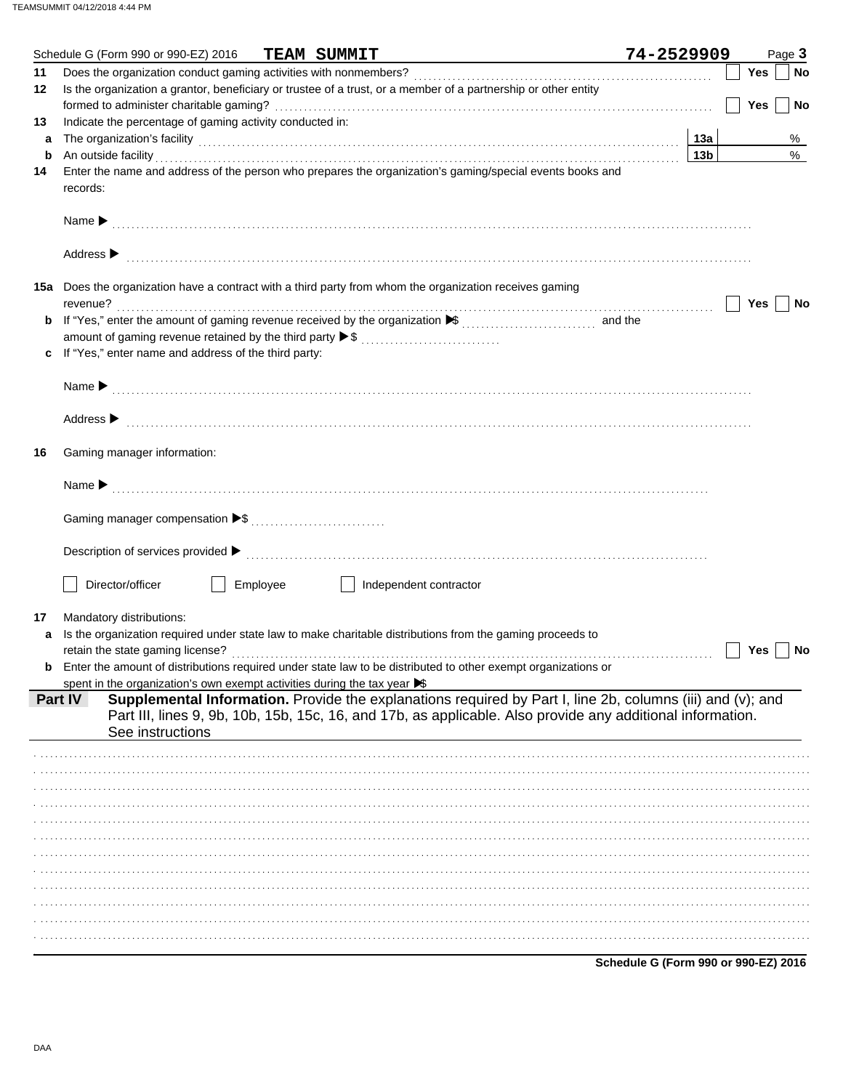|    | Schedule G (Form 990 or 990-EZ) 2016<br>TEAM SUMMIT                                                                                                                                                                            | 74-2529909                           |  |            | Page 3 |    |
|----|--------------------------------------------------------------------------------------------------------------------------------------------------------------------------------------------------------------------------------|--------------------------------------|--|------------|--------|----|
| 11 |                                                                                                                                                                                                                                |                                      |  | Yes        |        | No |
| 12 | Is the organization a grantor, beneficiary or trustee of a trust, or a member of a partnership or other entity                                                                                                                 |                                      |  |            |        |    |
|    |                                                                                                                                                                                                                                |                                      |  | <b>Yes</b> |        | No |
| 13 | Indicate the percentage of gaming activity conducted in:                                                                                                                                                                       |                                      |  |            |        |    |
| a  | The organization's facility [13a] 13a [135] The organization's facility [13a] 13a [13a] [13a] [13a] [13a] [13a                                                                                                                 |                                      |  |            | %      |    |
| b  | An outside facility <b>contained a set of a set of a set of a set of a set of a set of a set of a set of a set of a</b>                                                                                                        | 13 <sub>b</sub>                      |  |            | $\%$   |    |
| 14 | Enter the name and address of the person who prepares the organization's gaming/special events books and                                                                                                                       |                                      |  |            |        |    |
|    | records:                                                                                                                                                                                                                       |                                      |  |            |        |    |
|    |                                                                                                                                                                                                                                |                                      |  |            |        |    |
|    |                                                                                                                                                                                                                                |                                      |  |            |        |    |
|    |                                                                                                                                                                                                                                |                                      |  |            |        |    |
|    | Address $\blacktriangleright$                                                                                                                                                                                                  |                                      |  |            |        |    |
|    |                                                                                                                                                                                                                                |                                      |  |            |        |    |
|    | 15a Does the organization have a contract with a third party from whom the organization receives gaming                                                                                                                        |                                      |  |            |        |    |
|    | revenue?                                                                                                                                                                                                                       |                                      |  | Yes        |        |    |
|    |                                                                                                                                                                                                                                |                                      |  |            |        | No |
| b  |                                                                                                                                                                                                                                |                                      |  |            |        |    |
|    |                                                                                                                                                                                                                                |                                      |  |            |        |    |
| c  | If "Yes," enter name and address of the third party:                                                                                                                                                                           |                                      |  |            |        |    |
|    |                                                                                                                                                                                                                                |                                      |  |            |        |    |
|    |                                                                                                                                                                                                                                |                                      |  |            |        |    |
|    |                                                                                                                                                                                                                                |                                      |  |            |        |    |
|    | Address > the communication of the contract of the contract of the contract of the contract of the contract of the contract of the contract of the contract of the contract of the contract of the contract of the contract of |                                      |  |            |        |    |
|    |                                                                                                                                                                                                                                |                                      |  |            |        |    |
| 16 | Gaming manager information:                                                                                                                                                                                                    |                                      |  |            |        |    |
|    |                                                                                                                                                                                                                                |                                      |  |            |        |    |
|    |                                                                                                                                                                                                                                |                                      |  |            |        |    |
|    |                                                                                                                                                                                                                                |                                      |  |            |        |    |
|    |                                                                                                                                                                                                                                |                                      |  |            |        |    |
|    |                                                                                                                                                                                                                                |                                      |  |            |        |    |
|    |                                                                                                                                                                                                                                |                                      |  |            |        |    |
|    | Director/officer<br>Employee<br>Independent contractor                                                                                                                                                                         |                                      |  |            |        |    |
|    |                                                                                                                                                                                                                                |                                      |  |            |        |    |
| 17 | Mandatory distributions:                                                                                                                                                                                                       |                                      |  |            |        |    |
| a  | Is the organization required under state law to make charitable distributions from the gaming proceeds to                                                                                                                      |                                      |  |            |        |    |
|    |                                                                                                                                                                                                                                |                                      |  | Yes        |        | No |
| b  | Enter the amount of distributions required under state law to be distributed to other exempt organizations or                                                                                                                  |                                      |  |            |        |    |
|    | spent in the organization's own exempt activities during the tax year $\blacktriangleright$                                                                                                                                    |                                      |  |            |        |    |
|    | Supplemental Information. Provide the explanations required by Part I, line 2b, columns (iii) and (v); and<br>Part IV                                                                                                          |                                      |  |            |        |    |
|    | Part III, lines 9, 9b, 10b, 15b, 15c, 16, and 17b, as applicable. Also provide any additional information.                                                                                                                     |                                      |  |            |        |    |
|    | See instructions                                                                                                                                                                                                               |                                      |  |            |        |    |
|    |                                                                                                                                                                                                                                |                                      |  |            |        |    |
|    |                                                                                                                                                                                                                                |                                      |  |            |        |    |
|    |                                                                                                                                                                                                                                |                                      |  |            |        |    |
|    |                                                                                                                                                                                                                                |                                      |  |            |        |    |
|    |                                                                                                                                                                                                                                |                                      |  |            |        |    |
|    |                                                                                                                                                                                                                                |                                      |  |            |        |    |
|    |                                                                                                                                                                                                                                |                                      |  |            |        |    |
|    |                                                                                                                                                                                                                                |                                      |  |            |        |    |
|    |                                                                                                                                                                                                                                |                                      |  |            |        |    |
|    |                                                                                                                                                                                                                                |                                      |  |            |        |    |
|    |                                                                                                                                                                                                                                |                                      |  |            |        |    |
|    |                                                                                                                                                                                                                                |                                      |  |            |        |    |
|    |                                                                                                                                                                                                                                |                                      |  |            |        |    |
|    |                                                                                                                                                                                                                                | Schodule C (Form 000 or 000 E7) 2010 |  |            |        |    |

Schedule G (Form 990 or 990-EZ) 2016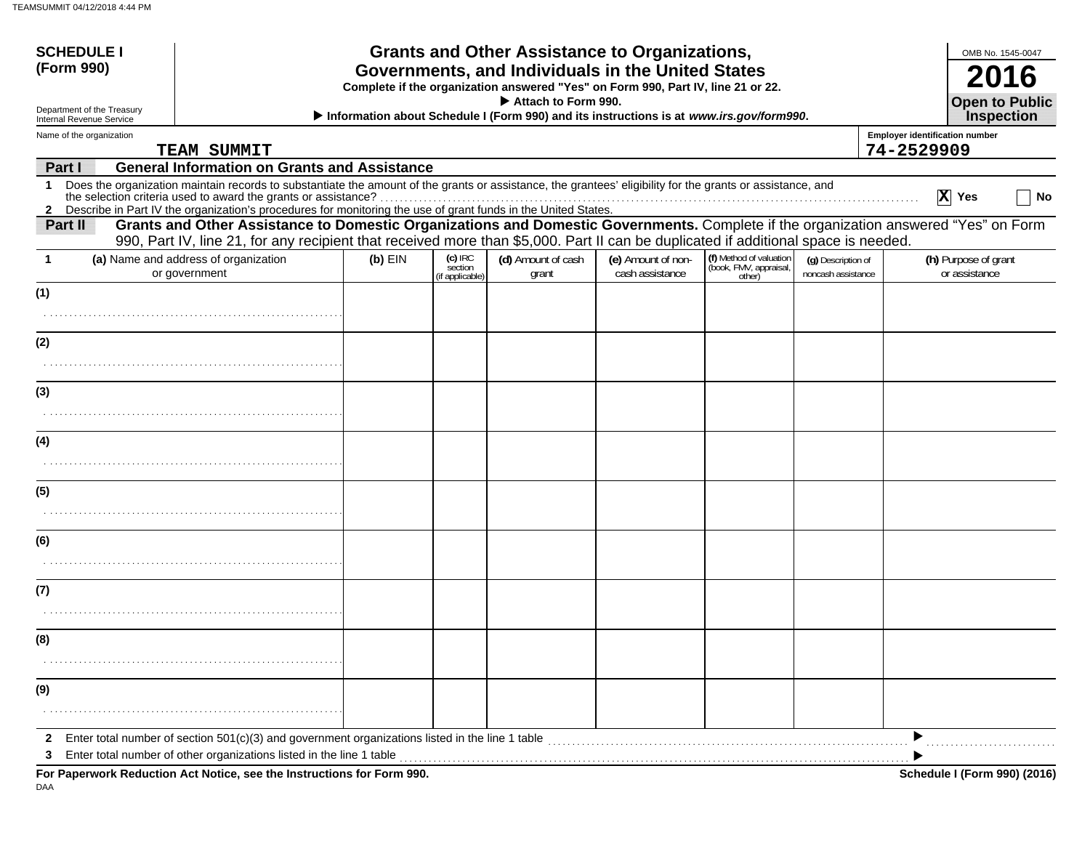|                                          | <b>SCHEDULE I</b>                                     |                                                                                                                                                                                                                                                        |                                                                                                                                                                                                    |                                         | <b>Grants and Other Assistance to Organizations,</b> |                                       |                                                             |                                          |                                                            | OMB No. 1545-0047                     |                       |  |
|------------------------------------------|-------------------------------------------------------|--------------------------------------------------------------------------------------------------------------------------------------------------------------------------------------------------------------------------------------------------------|----------------------------------------------------------------------------------------------------------------------------------------------------------------------------------------------------|-----------------------------------------|------------------------------------------------------|---------------------------------------|-------------------------------------------------------------|------------------------------------------|------------------------------------------------------------|---------------------------------------|-----------------------|--|
| (Form 990)<br>Department of the Treasury |                                                       | Governments, and Individuals in the United States                                                                                                                                                                                                      |                                                                                                                                                                                                    |                                         |                                                      |                                       |                                                             |                                          |                                                            |                                       |                       |  |
|                                          |                                                       |                                                                                                                                                                                                                                                        | Complete if the organization answered "Yes" on Form 990, Part IV, line 21 or 22.<br>Attach to Form 990.<br>Information about Schedule I (Form 990) and its instructions is at www.irs.gov/form990. |                                         |                                                      |                                       |                                                             |                                          |                                                            |                                       | <b>Open to Public</b> |  |
|                                          | Internal Revenue Service<br>Name of the organization  |                                                                                                                                                                                                                                                        |                                                                                                                                                                                                    |                                         |                                                      |                                       |                                                             |                                          | <b>Inspection</b><br><b>Employer identification number</b> |                                       |                       |  |
|                                          |                                                       | TEAM SUMMIT                                                                                                                                                                                                                                            |                                                                                                                                                                                                    |                                         |                                                      |                                       |                                                             |                                          |                                                            | 74-2529909                            |                       |  |
| Part I<br>$\mathbf 1$                    |                                                       | <b>General Information on Grants and Assistance</b><br>Does the organization maintain records to substantiate the amount of the grants or assistance, the grantees' eligibility for the grants or assistance, and                                      |                                                                                                                                                                                                    |                                         |                                                      |                                       |                                                             |                                          |                                                            |                                       |                       |  |
|                                          |                                                       |                                                                                                                                                                                                                                                        |                                                                                                                                                                                                    |                                         |                                                      |                                       |                                                             |                                          |                                                            | $ X $ Yes                             | <b>No</b>             |  |
| Part II                                  |                                                       | 2 Describe in Part IV the organization's procedures for monitoring the use of grant funds in the United States.<br>Grants and Other Assistance to Domestic Organizations and Domestic Governments. Complete if the organization answered "Yes" on Form |                                                                                                                                                                                                    |                                         |                                                      |                                       |                                                             |                                          |                                                            |                                       |                       |  |
|                                          |                                                       | 990, Part IV, line 21, for any recipient that received more than \$5,000. Part II can be duplicated if additional space is needed.                                                                                                                     |                                                                                                                                                                                                    |                                         |                                                      |                                       |                                                             |                                          |                                                            |                                       |                       |  |
| -1                                       | (a) Name and address of organization<br>or government |                                                                                                                                                                                                                                                        | $(b)$ EIN                                                                                                                                                                                          | $(c)$ IRC<br>section<br>(if applicable) | (d) Amount of cash<br>grant                          | (e) Amount of non-<br>cash assistance | (f) Method of valuation<br>(book, FMV, appraisal,<br>other) | (q) Description of<br>noncash assistance |                                                            | (h) Purpose of grant<br>or assistance |                       |  |
| (1)                                      |                                                       |                                                                                                                                                                                                                                                        |                                                                                                                                                                                                    |                                         |                                                      |                                       |                                                             |                                          |                                                            |                                       |                       |  |
|                                          |                                                       |                                                                                                                                                                                                                                                        |                                                                                                                                                                                                    |                                         |                                                      |                                       |                                                             |                                          |                                                            |                                       |                       |  |
| (2)                                      |                                                       |                                                                                                                                                                                                                                                        |                                                                                                                                                                                                    |                                         |                                                      |                                       |                                                             |                                          |                                                            |                                       |                       |  |
|                                          |                                                       |                                                                                                                                                                                                                                                        |                                                                                                                                                                                                    |                                         |                                                      |                                       |                                                             |                                          |                                                            |                                       |                       |  |
| (3)                                      |                                                       |                                                                                                                                                                                                                                                        |                                                                                                                                                                                                    |                                         |                                                      |                                       |                                                             |                                          |                                                            |                                       |                       |  |
|                                          |                                                       |                                                                                                                                                                                                                                                        |                                                                                                                                                                                                    |                                         |                                                      |                                       |                                                             |                                          |                                                            |                                       |                       |  |
| (4)                                      |                                                       |                                                                                                                                                                                                                                                        |                                                                                                                                                                                                    |                                         |                                                      |                                       |                                                             |                                          |                                                            |                                       |                       |  |
|                                          |                                                       |                                                                                                                                                                                                                                                        |                                                                                                                                                                                                    |                                         |                                                      |                                       |                                                             |                                          |                                                            |                                       |                       |  |
| (5)                                      |                                                       |                                                                                                                                                                                                                                                        |                                                                                                                                                                                                    |                                         |                                                      |                                       |                                                             |                                          |                                                            |                                       |                       |  |
|                                          |                                                       |                                                                                                                                                                                                                                                        |                                                                                                                                                                                                    |                                         |                                                      |                                       |                                                             |                                          |                                                            |                                       |                       |  |
|                                          |                                                       |                                                                                                                                                                                                                                                        |                                                                                                                                                                                                    |                                         |                                                      |                                       |                                                             |                                          |                                                            |                                       |                       |  |
| (6)                                      |                                                       |                                                                                                                                                                                                                                                        |                                                                                                                                                                                                    |                                         |                                                      |                                       |                                                             |                                          |                                                            |                                       |                       |  |
|                                          |                                                       |                                                                                                                                                                                                                                                        |                                                                                                                                                                                                    |                                         |                                                      |                                       |                                                             |                                          |                                                            |                                       |                       |  |
| (7)                                      |                                                       |                                                                                                                                                                                                                                                        |                                                                                                                                                                                                    |                                         |                                                      |                                       |                                                             |                                          |                                                            |                                       |                       |  |
|                                          |                                                       |                                                                                                                                                                                                                                                        |                                                                                                                                                                                                    |                                         |                                                      |                                       |                                                             |                                          |                                                            |                                       |                       |  |
| (8)                                      |                                                       |                                                                                                                                                                                                                                                        |                                                                                                                                                                                                    |                                         |                                                      |                                       |                                                             |                                          |                                                            |                                       |                       |  |
|                                          |                                                       |                                                                                                                                                                                                                                                        |                                                                                                                                                                                                    |                                         |                                                      |                                       |                                                             |                                          |                                                            |                                       |                       |  |
| (9)                                      |                                                       |                                                                                                                                                                                                                                                        |                                                                                                                                                                                                    |                                         |                                                      |                                       |                                                             |                                          |                                                            |                                       |                       |  |
|                                          |                                                       |                                                                                                                                                                                                                                                        |                                                                                                                                                                                                    |                                         |                                                      |                                       |                                                             |                                          |                                                            |                                       |                       |  |
|                                          |                                                       | Enter total number of section $501(c)(3)$ and government organizations listed in the line 1 table                                                                                                                                                      |                                                                                                                                                                                                    |                                         |                                                      |                                       |                                                             |                                          |                                                            |                                       |                       |  |
| 3                                        |                                                       | Enter total number of other organizations listed in the line 1 table<br>For Paperwork Reduction Act Notice, see the Instructions for Form 990.                                                                                                         |                                                                                                                                                                                                    |                                         |                                                      |                                       |                                                             |                                          |                                                            | <b>Schedule I (Form 990) (2016)</b>   |                       |  |

DAA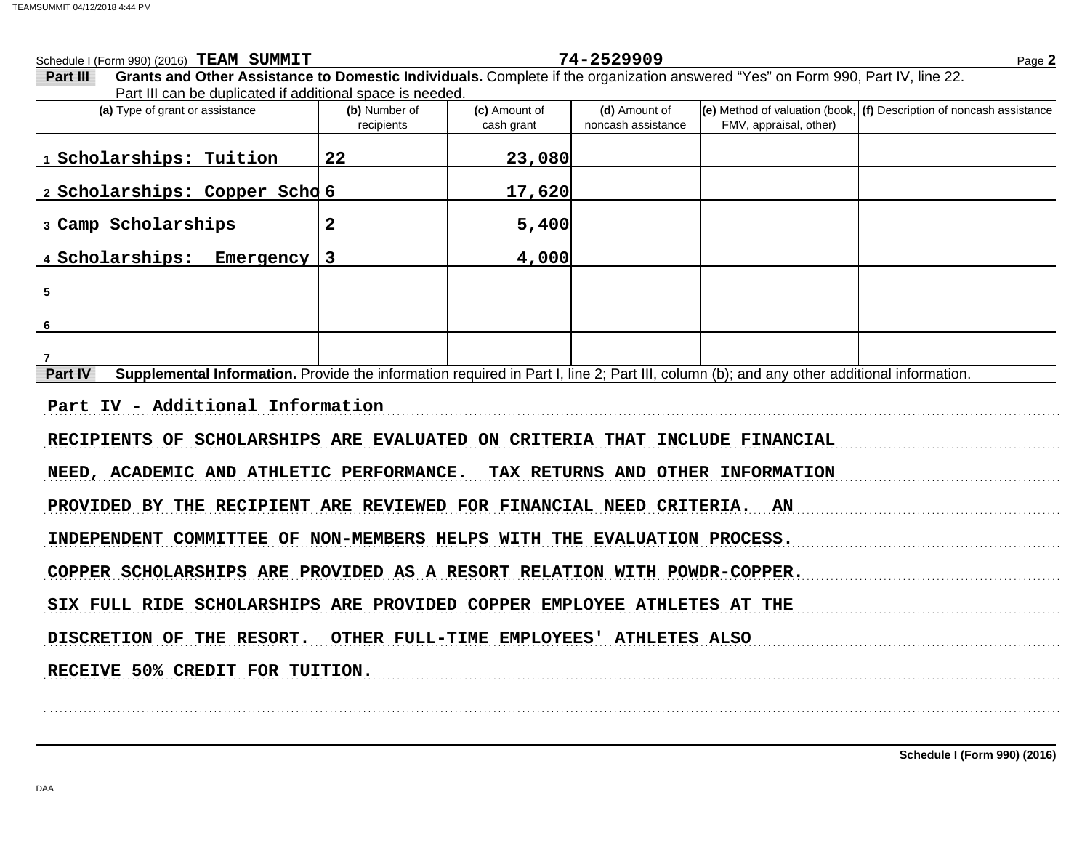| Schedule I (Form 990) (2016) TEAM SUMMIT                                                                                                             |               |                                          | 74-2529909         |                                   | Page 2                                                                   |
|------------------------------------------------------------------------------------------------------------------------------------------------------|---------------|------------------------------------------|--------------------|-----------------------------------|--------------------------------------------------------------------------|
| Grants and Other Assistance to Domestic Individuals. Complete if the organization answered "Yes" on Form 990, Part IV, line 22.<br>Part III          |               |                                          |                    |                                   |                                                                          |
| Part III can be duplicated if additional space is needed.                                                                                            |               |                                          |                    |                                   |                                                                          |
| (a) Type of grant or assistance                                                                                                                      | (b) Number of | (c) Amount of                            | (d) Amount of      |                                   | $ e $ Method of valuation (book, $ f $ Description of noncash assistance |
|                                                                                                                                                      | recipients    | cash grant                               | noncash assistance | FMV, appraisal, other)            |                                                                          |
|                                                                                                                                                      |               |                                          |                    |                                   |                                                                          |
| 1 Scholarships: Tuition                                                                                                                              | 22            | 23,080                                   |                    |                                   |                                                                          |
|                                                                                                                                                      |               |                                          |                    |                                   |                                                                          |
| 2 Scholarships: Copper Scho 6                                                                                                                        |               | 17,620                                   |                    |                                   |                                                                          |
| 3 Camp Scholarships                                                                                                                                  | $\mathbf{2}$  | 5,400                                    |                    |                                   |                                                                          |
|                                                                                                                                                      |               |                                          |                    |                                   |                                                                          |
| 4 Scholarships:<br>Emergency                                                                                                                         | 3             | 4,000                                    |                    |                                   |                                                                          |
|                                                                                                                                                      |               |                                          |                    |                                   |                                                                          |
| 5                                                                                                                                                    |               |                                          |                    |                                   |                                                                          |
|                                                                                                                                                      |               |                                          |                    |                                   |                                                                          |
| 6                                                                                                                                                    |               |                                          |                    |                                   |                                                                          |
|                                                                                                                                                      |               |                                          |                    |                                   |                                                                          |
| $\mathbf{7}$                                                                                                                                         |               |                                          |                    |                                   |                                                                          |
| Part IV<br>Supplemental Information. Provide the information required in Part I, line 2; Part III, column (b); and any other additional information. |               |                                          |                    |                                   |                                                                          |
| Part IV - Additional Information                                                                                                                     |               |                                          |                    |                                   |                                                                          |
| RECIPIENTS OF SCHOLARSHIPS ARE EVALUATED ON CRITERIA THAT INCLUDE FINANCIAL                                                                          |               |                                          |                    |                                   |                                                                          |
| NEED, ACADEMIC AND ATHLETIC PERFORMANCE.                                                                                                             |               |                                          |                    | TAX RETURNS AND OTHER INFORMATION |                                                                          |
| PROVIDED BY THE RECIPIENT ARE REVIEWED FOR FINANCIAL NEED CRITERIA.                                                                                  |               |                                          |                    | AN                                |                                                                          |
| INDEPENDENT COMMITTEE OF NON-MEMBERS HELPS WITH THE EVALUATION PROCESS.                                                                              |               |                                          |                    |                                   |                                                                          |
| COPPER SCHOLARSHIPS ARE PROVIDED AS A RESORT RELATION WITH POWDR-COPPER.                                                                             |               |                                          |                    |                                   |                                                                          |
| SIX FULL RIDE SCHOLARSHIPS ARE PROVIDED COPPER EMPLOYEE ATHLETES AT THE                                                                              |               |                                          |                    |                                   |                                                                          |
| DISCRETION OF THE RESORT.                                                                                                                            |               | OTHER FULL-TIME EMPLOYEES' ATHLETES ALSO |                    |                                   |                                                                          |
| RECEIVE 50% CREDIT FOR TUITION.                                                                                                                      |               |                                          |                    |                                   |                                                                          |
|                                                                                                                                                      |               |                                          |                    |                                   |                                                                          |
|                                                                                                                                                      |               |                                          |                    |                                   |                                                                          |

**Schedule I (Form 990) (2016)**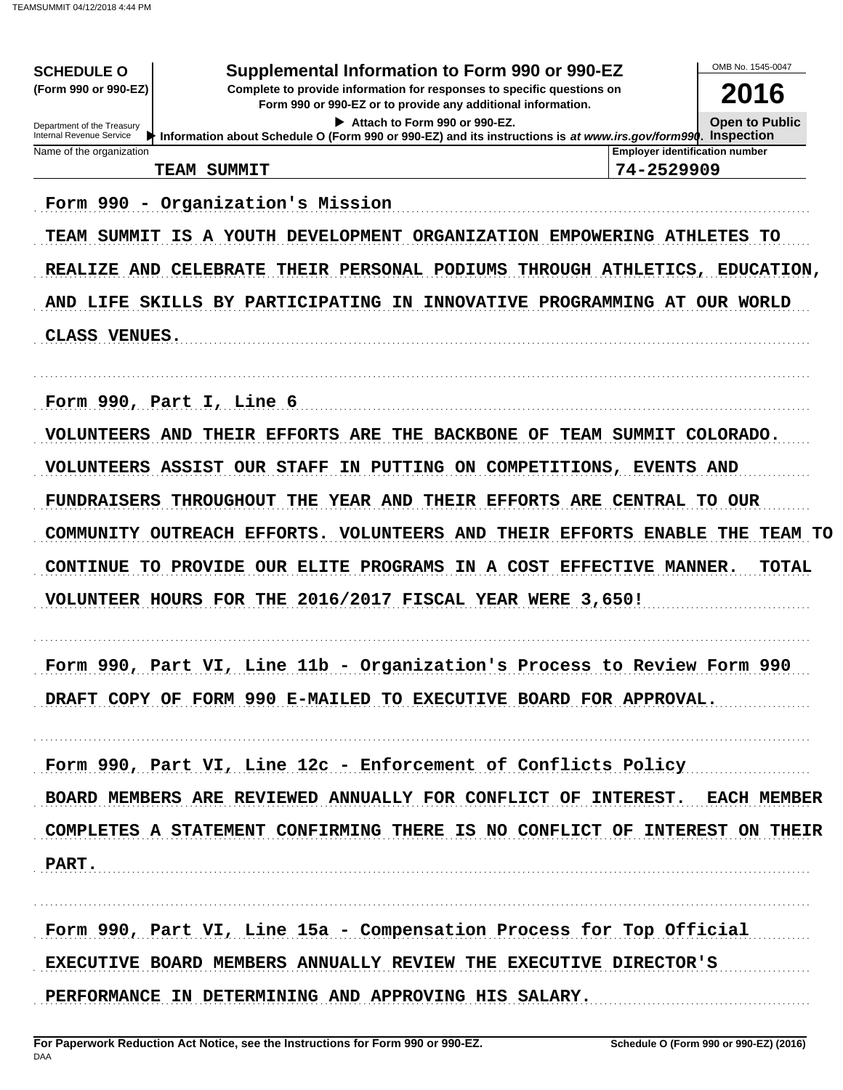| Supplemental Information to Form 990 or 990-EZ<br><b>SCHEDULE O</b><br>(Form 990 or 990-EZ)<br>Complete to provide information for responses to specific questions on<br>Form 990 or 990-EZ or to provide any additional information.<br>Attach to Form 990 or 990-EZ.<br>Department of the Treasury<br>Information about Schedule O (Form 990 or 990-EZ) and its instructions is at www.irs.gov/form990. Inspection<br>Internal Revenue Service<br>Name of the organization<br>TEAM SUMMIT<br>Form 990 - Organization's Mission<br>TEAM SUMMIT IS A YOUTH DEVELOPMENT ORGANIZATION EMPOWERING ATHLETES TO<br>REALIZE AND CELEBRATE THEIR PERSONAL PODIUMS THROUGH ATHLETICS, EDUCATION, | OMB No. 1545-0047<br>2016<br><b>Open to Public</b><br><b>Employer identification number</b><br>74-2529909 |
|------------------------------------------------------------------------------------------------------------------------------------------------------------------------------------------------------------------------------------------------------------------------------------------------------------------------------------------------------------------------------------------------------------------------------------------------------------------------------------------------------------------------------------------------------------------------------------------------------------------------------------------------------------------------------------------|-----------------------------------------------------------------------------------------------------------|
| AND LIFE SKILLS BY PARTICIPATING IN INNOVATIVE PROGRAMMING AT OUR WORLD<br>CLASS VENUES.                                                                                                                                                                                                                                                                                                                                                                                                                                                                                                                                                                                                 |                                                                                                           |
| Form 990, Part I, Line 6<br>VOLUNTEERS AND THEIR EFFORTS ARE THE BACKBONE OF TEAM SUMMIT COLORADO.<br>VOLUNTEERS ASSIST OUR STAFF IN PUTTING ON COMPETITIONS, EVENTS AND<br>FUNDRAISERS THROUGHOUT THE YEAR AND THEIR EFFORTS ARE CENTRAL TO OUR<br>COMMUNITY OUTREACH EFFORTS. VOLUNTEERS AND THEIR EFFORTS ENABLE THE TEAM TO<br>CONTINUE TO PROVIDE OUR ELITE PROGRAMS IN A COST EFFECTIVE MANNER.<br>VOLUNTEER HOURS FOR THE 2016/2017 FISCAL YEAR WERE 3,650!                                                                                                                                                                                                                       | <b>TOTAL</b>                                                                                              |
| Form 990, Part VI, Line 11b - Organization's Process to Review Form 990<br>DRAFT COPY OF FORM 990 E-MAILED TO EXECUTIVE BOARD FOR APPROVAL.                                                                                                                                                                                                                                                                                                                                                                                                                                                                                                                                              |                                                                                                           |
| Form 990, Part VI, Line 12c - Enforcement of Conflicts Policy<br>BOARD MEMBERS ARE REVIEWED ANNUALLY FOR CONFLICT OF INTEREST. EACH MEMBER<br>COMPLETES A STATEMENT CONFIRMING THERE IS NO CONFLICT OF INTEREST ON THEIR<br>PART.                                                                                                                                                                                                                                                                                                                                                                                                                                                        |                                                                                                           |
| Form 990, Part VI, Line 15a - Compensation Process for Top Official<br>EXECUTIVE BOARD MEMBERS ANNUALLY REVIEW THE EXECUTIVE DIRECTOR'S<br>PERFORMANCE IN DETERMINING AND APPROVING HIS SALARY.                                                                                                                                                                                                                                                                                                                                                                                                                                                                                          |                                                                                                           |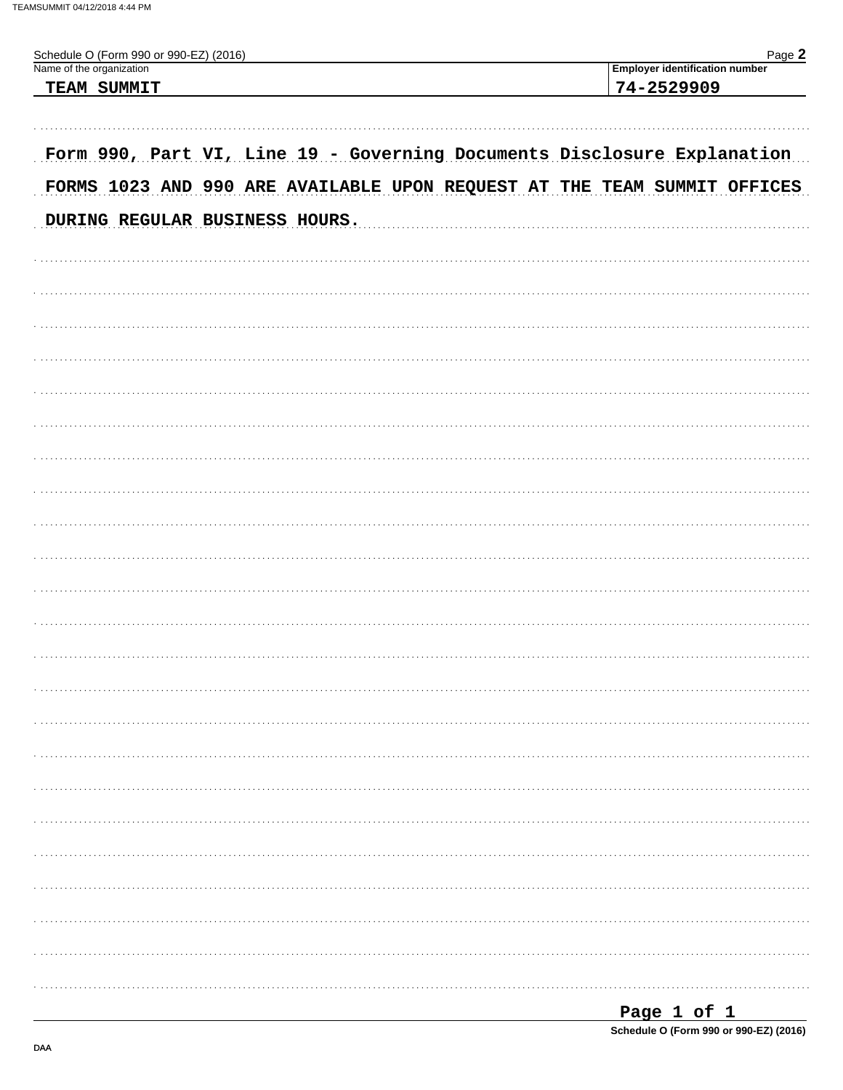| Schedule O (Form 990 or 990-EZ) (2016)<br>Name of the organization       | Page 2<br><b>Employer identification number</b> |  |  |  |  |  |
|--------------------------------------------------------------------------|-------------------------------------------------|--|--|--|--|--|
| TEAM SUMMIT                                                              | 74-2529909                                      |  |  |  |  |  |
|                                                                          |                                                 |  |  |  |  |  |
|                                                                          |                                                 |  |  |  |  |  |
| Form 990, Part VI, Line 19 - Governing Documents Disclosure Explanation  |                                                 |  |  |  |  |  |
| FORMS 1023 AND 990 ARE AVAILABLE UPON REQUEST AT THE TEAM SUMMIT OFFICES |                                                 |  |  |  |  |  |
| DURING REGULAR BUSINESS HOURS.                                           |                                                 |  |  |  |  |  |
|                                                                          |                                                 |  |  |  |  |  |
|                                                                          |                                                 |  |  |  |  |  |
|                                                                          |                                                 |  |  |  |  |  |
|                                                                          |                                                 |  |  |  |  |  |
|                                                                          |                                                 |  |  |  |  |  |
|                                                                          |                                                 |  |  |  |  |  |
|                                                                          |                                                 |  |  |  |  |  |
|                                                                          |                                                 |  |  |  |  |  |
|                                                                          |                                                 |  |  |  |  |  |
|                                                                          |                                                 |  |  |  |  |  |
|                                                                          |                                                 |  |  |  |  |  |
|                                                                          |                                                 |  |  |  |  |  |
|                                                                          |                                                 |  |  |  |  |  |
|                                                                          |                                                 |  |  |  |  |  |
|                                                                          |                                                 |  |  |  |  |  |
|                                                                          |                                                 |  |  |  |  |  |
|                                                                          |                                                 |  |  |  |  |  |
|                                                                          |                                                 |  |  |  |  |  |
|                                                                          |                                                 |  |  |  |  |  |
|                                                                          |                                                 |  |  |  |  |  |
|                                                                          |                                                 |  |  |  |  |  |
|                                                                          |                                                 |  |  |  |  |  |
|                                                                          |                                                 |  |  |  |  |  |
|                                                                          |                                                 |  |  |  |  |  |
|                                                                          |                                                 |  |  |  |  |  |
|                                                                          |                                                 |  |  |  |  |  |
|                                                                          |                                                 |  |  |  |  |  |
|                                                                          |                                                 |  |  |  |  |  |
|                                                                          |                                                 |  |  |  |  |  |
|                                                                          |                                                 |  |  |  |  |  |

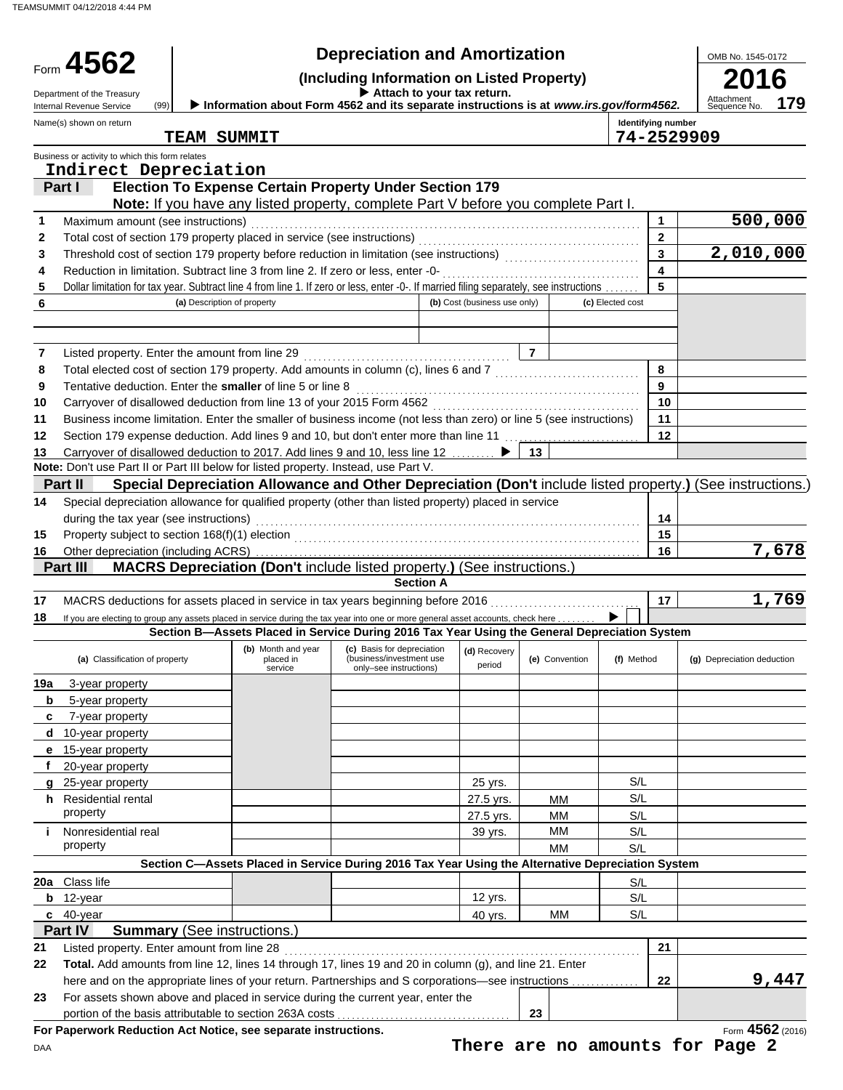|          |                                                                                                                                                                                                                                                      |                                    |                      |                                                                                                                             |                              |                |                                | OMB No. 1545-0172                                                                                          |
|----------|------------------------------------------------------------------------------------------------------------------------------------------------------------------------------------------------------------------------------------------------------|------------------------------------|----------------------|-----------------------------------------------------------------------------------------------------------------------------|------------------------------|----------------|--------------------------------|------------------------------------------------------------------------------------------------------------|
|          | <b>Depreciation and Amortization</b><br>Form 4562<br>(Including Information on Listed Property)<br>Attach to your tax return.<br>Department of the Treasury<br>Information about Form 4562 and its separate instructions is at www.irs.gov/form4562. |                                    |                      |                                                                                                                             |                              |                |                                |                                                                                                            |
|          | (99)<br>Internal Revenue Service<br>Name(s) shown on return                                                                                                                                                                                          |                                    |                      |                                                                                                                             |                              |                | <b>Identifying number</b>      | Attachment<br>Sequence No.<br>179                                                                          |
|          |                                                                                                                                                                                                                                                      | <b>TEAM SUMMIT</b>                 |                      |                                                                                                                             |                              |                | 74-2529909                     |                                                                                                            |
|          | Business or activity to which this form relates<br>Indirect Depreciation                                                                                                                                                                             |                                    |                      |                                                                                                                             |                              |                |                                |                                                                                                            |
|          | Part I                                                                                                                                                                                                                                               |                                    |                      | <b>Election To Expense Certain Property Under Section 179</b>                                                               |                              |                |                                |                                                                                                            |
|          |                                                                                                                                                                                                                                                      |                                    |                      | Note: If you have any listed property, complete Part V before you complete Part I.                                          |                              |                |                                |                                                                                                            |
| 1        | Maximum amount (see instructions)                                                                                                                                                                                                                    |                                    |                      |                                                                                                                             |                              |                | $\mathbf 1$                    | 500,000                                                                                                    |
| 2<br>3   | Threshold cost of section 179 property before reduction in limitation (see instructions) [[[[[[[[[[[[[[[[[[[[                                                                                                                                        |                                    |                      |                                                                                                                             |                              |                | $\mathbf{2}$<br>$\overline{3}$ | 2,010,000                                                                                                  |
| 4        |                                                                                                                                                                                                                                                      |                                    |                      |                                                                                                                             |                              |                | $\overline{\mathbf{4}}$        |                                                                                                            |
| 5        | Dollar limitation for tax year. Subtract line 4 from line 1. If zero or less, enter -0-. If married filing separately, see instructions                                                                                                              |                                    |                      |                                                                                                                             |                              |                | 5                              |                                                                                                            |
| 6        |                                                                                                                                                                                                                                                      | (a) Description of property        |                      |                                                                                                                             | (b) Cost (business use only) |                | (c) Elected cost               |                                                                                                            |
|          |                                                                                                                                                                                                                                                      |                                    |                      |                                                                                                                             |                              |                |                                |                                                                                                            |
| 7        |                                                                                                                                                                                                                                                      |                                    |                      |                                                                                                                             |                              | $\overline{7}$ |                                |                                                                                                            |
| 8        | Total elected cost of section 179 property. Add amounts in column (c), lines 6 and 7 [[[[[[[[[[[[[[[[[[[[[[[[                                                                                                                                        |                                    |                      |                                                                                                                             |                              |                | 8                              |                                                                                                            |
| 9        | Tentative deduction. Enter the smaller of line 5 or line 8                                                                                                                                                                                           |                                    |                      |                                                                                                                             |                              |                | 9                              |                                                                                                            |
| 10       |                                                                                                                                                                                                                                                      |                                    |                      |                                                                                                                             |                              |                | 10                             |                                                                                                            |
| 11       | Business income limitation. Enter the smaller of business income (not less than zero) or line 5 (see instructions)                                                                                                                                   |                                    |                      |                                                                                                                             |                              |                | 11                             |                                                                                                            |
| 12<br>13 | Section 179 expense deduction. Add lines 9 and 10, but don't enter more than line 11<br>Carryover of disallowed deduction to 2017. Add lines 9 and 10, less line 12                                                                                  |                                    |                      |                                                                                                                             |                              | 13             | 12                             |                                                                                                            |
|          | Note: Don't use Part II or Part III below for listed property. Instead, use Part V.                                                                                                                                                                  |                                    |                      |                                                                                                                             |                              |                |                                |                                                                                                            |
|          | Part II                                                                                                                                                                                                                                              |                                    |                      |                                                                                                                             |                              |                |                                | Special Depreciation Allowance and Other Depreciation (Don't include listed property.) (See instructions.) |
| 14       | Special depreciation allowance for qualified property (other than listed property) placed in service                                                                                                                                                 |                                    |                      |                                                                                                                             |                              |                |                                |                                                                                                            |
|          | during the tax year (see instructions)                                                                                                                                                                                                               |                                    |                      |                                                                                                                             |                              |                | 14                             |                                                                                                            |
| 15       |                                                                                                                                                                                                                                                      |                                    |                      |                                                                                                                             |                              |                | 15<br>16                       | 7,678                                                                                                      |
| 16       | Part III                                                                                                                                                                                                                                             |                                    |                      | MACRS Depreciation (Don't include listed property.) (See instructions.)                                                     |                              |                |                                |                                                                                                            |
|          |                                                                                                                                                                                                                                                      |                                    |                      | <b>Section A</b>                                                                                                            |                              |                |                                |                                                                                                            |
| 17       | MACRS deductions for assets placed in service in tax years beginning before 2016                                                                                                                                                                     |                                    |                      |                                                                                                                             |                              |                | 17                             | 1,769                                                                                                      |
| 18       | If you are electing to group any assets placed in service during the tax year into one or more general asset accounts, check here                                                                                                                    |                                    |                      |                                                                                                                             |                              |                |                                |                                                                                                            |
|          |                                                                                                                                                                                                                                                      |                                    | (b) Month and year   | Section B-Assets Placed in Service During 2016 Tax Year Using the General Depreciation System<br>(c) Basis for depreciation |                              |                |                                |                                                                                                            |
|          | (a) Classification of property                                                                                                                                                                                                                       |                                    | placed in<br>service | (business/investment use<br>only-see instructions)                                                                          | (d) Recovery<br>period       | (e) Convention | (f) Method                     | (g) Depreciation deduction                                                                                 |
| 19a      | 3-year property                                                                                                                                                                                                                                      |                                    |                      |                                                                                                                             |                              |                |                                |                                                                                                            |
| b        | 5-year property                                                                                                                                                                                                                                      |                                    |                      |                                                                                                                             |                              |                |                                |                                                                                                            |
| c        | 7-year property                                                                                                                                                                                                                                      |                                    |                      |                                                                                                                             |                              |                |                                |                                                                                                            |
| d        | 10-year property                                                                                                                                                                                                                                     |                                    |                      |                                                                                                                             |                              |                |                                |                                                                                                            |
| е        | 15-year property                                                                                                                                                                                                                                     |                                    |                      |                                                                                                                             |                              |                |                                |                                                                                                            |
| g        | 20-year property<br>25-year property                                                                                                                                                                                                                 |                                    |                      |                                                                                                                             | 25 yrs.                      |                | S/L                            |                                                                                                            |
|          | h Residential rental                                                                                                                                                                                                                                 |                                    |                      |                                                                                                                             | 27.5 yrs.                    | ΜМ             | S/L                            |                                                                                                            |
|          | property                                                                                                                                                                                                                                             |                                    |                      |                                                                                                                             | 27.5 yrs.                    | МM             | S/L                            |                                                                                                            |
| j.       | Nonresidential real                                                                                                                                                                                                                                  |                                    |                      |                                                                                                                             | 39 yrs.                      | МM             | S/L                            |                                                                                                            |
|          | property                                                                                                                                                                                                                                             |                                    |                      |                                                                                                                             |                              | <b>MM</b>      | S/L                            |                                                                                                            |
|          | Class life                                                                                                                                                                                                                                           |                                    |                      | Section C-Assets Placed in Service During 2016 Tax Year Using the Alternative Depreciation System                           |                              |                |                                |                                                                                                            |
| 20a<br>b | 12-year                                                                                                                                                                                                                                              |                                    |                      |                                                                                                                             | 12 yrs.                      |                | S/L<br>S/L                     |                                                                                                            |
| c        | 40-year                                                                                                                                                                                                                                              |                                    |                      |                                                                                                                             | 40 yrs.                      | ΜМ             | S/L                            |                                                                                                            |
|          | Part IV                                                                                                                                                                                                                                              | <b>Summary (See instructions.)</b> |                      |                                                                                                                             |                              |                |                                |                                                                                                            |
| 21       | Listed property. Enter amount from line 28                                                                                                                                                                                                           |                                    |                      |                                                                                                                             |                              |                | 21                             |                                                                                                            |
| 22       | Total. Add amounts from line 12, lines 14 through 17, lines 19 and 20 in column (g), and line 21. Enter                                                                                                                                              |                                    |                      |                                                                                                                             |                              |                |                                |                                                                                                            |
|          | here and on the appropriate lines of your return. Partnerships and S corporations-see instructions                                                                                                                                                   |                                    |                      |                                                                                                                             |                              |                | 22                             | 9,447                                                                                                      |
| 23       | For assets shown above and placed in service during the current year, enter the<br>portion of the basis attributable to section 263A costs                                                                                                           |                                    |                      |                                                                                                                             |                              | 23             |                                |                                                                                                            |
|          |                                                                                                                                                                                                                                                      |                                    |                      |                                                                                                                             |                              |                |                                |                                                                                                            |

DAA